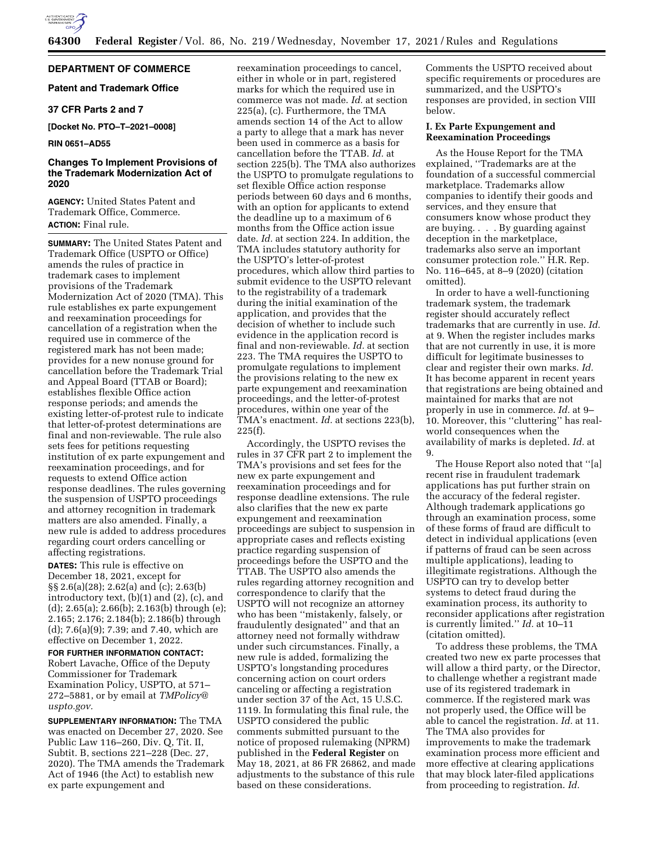

# **DEPARTMENT OF COMMERCE**

# **Patent and Trademark Office**

# **37 CFR Parts 2 and 7**

**[Docket No. PTO–T–2021–0008]** 

## **RIN 0651–AD55**

# **Changes To Implement Provisions of the Trademark Modernization Act of 2020**

**AGENCY:** United States Patent and Trademark Office, Commerce. **ACTION:** Final rule.

**SUMMARY:** The United States Patent and Trademark Office (USPTO or Office) amends the rules of practice in trademark cases to implement provisions of the Trademark Modernization Act of 2020 (TMA). This rule establishes ex parte expungement and reexamination proceedings for cancellation of a registration when the required use in commerce of the registered mark has not been made; provides for a new nonuse ground for cancellation before the Trademark Trial and Appeal Board (TTAB or Board); establishes flexible Office action response periods; and amends the existing letter-of-protest rule to indicate that letter-of-protest determinations are final and non-reviewable. The rule also sets fees for petitions requesting institution of ex parte expungement and reexamination proceedings, and for requests to extend Office action response deadlines. The rules governing the suspension of USPTO proceedings and attorney recognition in trademark matters are also amended. Finally, a new rule is added to address procedures regarding court orders cancelling or affecting registrations.

**DATES:** This rule is effective on December 18, 2021, except for §§ 2.6(a)(28); 2.62(a) and (c); 2.63(b) introductory text, (b)(1) and (2), (c), and (d); 2.65(a); 2.66(b); 2.163(b) through (e); 2.165; 2.176; 2.184(b); 2.186(b) through (d); 7.6(a)(9); 7.39; and 7.40, which are effective on December 1, 2022.

**FOR FURTHER INFORMATION CONTACT:**  Robert Lavache, Office of the Deputy Commissioner for Trademark Examination Policy, USPTO, at 571– 272–5881, or by email at *TMPolicy@ uspto.gov.* 

**SUPPLEMENTARY INFORMATION:** The TMA was enacted on December 27, 2020. See Public Law 116–260, Div. Q, Tit. II, Subtit. B, sections 221–228 (Dec. 27, 2020). The TMA amends the Trademark Act of 1946 (the Act) to establish new ex parte expungement and

reexamination proceedings to cancel, either in whole or in part, registered marks for which the required use in commerce was not made. *Id.* at section 225(a), (c). Furthermore, the TMA amends section 14 of the Act to allow a party to allege that a mark has never been used in commerce as a basis for cancellation before the TTAB. *Id.* at section 225(b). The TMA also authorizes the USPTO to promulgate regulations to set flexible Office action response periods between 60 days and 6 months, with an option for applicants to extend the deadline up to a maximum of 6 months from the Office action issue date. *Id.* at section 224. In addition, the TMA includes statutory authority for the USPTO's letter-of-protest procedures, which allow third parties to submit evidence to the USPTO relevant to the registrability of a trademark during the initial examination of the application, and provides that the decision of whether to include such evidence in the application record is final and non-reviewable. *Id.* at section 223. The TMA requires the USPTO to promulgate regulations to implement the provisions relating to the new ex parte expungement and reexamination proceedings, and the letter-of-protest procedures, within one year of the TMA's enactment. *Id.* at sections 223(b), 225(f).

Accordingly, the USPTO revises the rules in 37 CFR part 2 to implement the TMA's provisions and set fees for the new ex parte expungement and reexamination proceedings and for response deadline extensions. The rule also clarifies that the new ex parte expungement and reexamination proceedings are subject to suspension in appropriate cases and reflects existing practice regarding suspension of proceedings before the USPTO and the TTAB. The USPTO also amends the rules regarding attorney recognition and correspondence to clarify that the USPTO will not recognize an attorney who has been ''mistakenly, falsely, or fraudulently designated'' and that an attorney need not formally withdraw under such circumstances. Finally, a new rule is added, formalizing the USPTO's longstanding procedures concerning action on court orders canceling or affecting a registration under section 37 of the Act, 15 U.S.C. 1119. In formulating this final rule, the USPTO considered the public comments submitted pursuant to the notice of proposed rulemaking (NPRM) published in the **Federal Register** on May 18, 2021, at 86 FR 26862, and made adjustments to the substance of this rule based on these considerations.

Comments the USPTO received about specific requirements or procedures are summarized, and the USPTO's responses are provided, in section VIII below.

# **I. Ex Parte Expungement and Reexamination Proceedings**

As the House Report for the TMA explained, ''Trademarks are at the foundation of a successful commercial marketplace. Trademarks allow companies to identify their goods and services, and they ensure that consumers know whose product they are buying. . . . By guarding against deception in the marketplace, trademarks also serve an important consumer protection role.'' H.R. Rep. No. 116–645, at 8–9 (2020) (citation omitted).

In order to have a well-functioning trademark system, the trademark register should accurately reflect trademarks that are currently in use. *Id.*  at 9. When the register includes marks that are not currently in use, it is more difficult for legitimate businesses to clear and register their own marks. *Id.*  It has become apparent in recent years that registrations are being obtained and maintained for marks that are not properly in use in commerce. *Id.* at 9– 10. Moreover, this ''cluttering'' has realworld consequences when the availability of marks is depleted. *Id.* at 9.

The House Report also noted that ''[a] recent rise in fraudulent trademark applications has put further strain on the accuracy of the federal register. Although trademark applications go through an examination process, some of these forms of fraud are difficult to detect in individual applications (even if patterns of fraud can be seen across multiple applications), leading to illegitimate registrations. Although the USPTO can try to develop better systems to detect fraud during the examination process, its authority to reconsider applications after registration is currently limited.'' *Id.* at 10–11 (citation omitted).

To address these problems, the TMA created two new ex parte processes that will allow a third party, or the Director, to challenge whether a registrant made use of its registered trademark in commerce. If the registered mark was not properly used, the Office will be able to cancel the registration. *Id.* at 11. The TMA also provides for improvements to make the trademark examination process more efficient and more effective at clearing applications that may block later-filed applications from proceeding to registration. *Id.*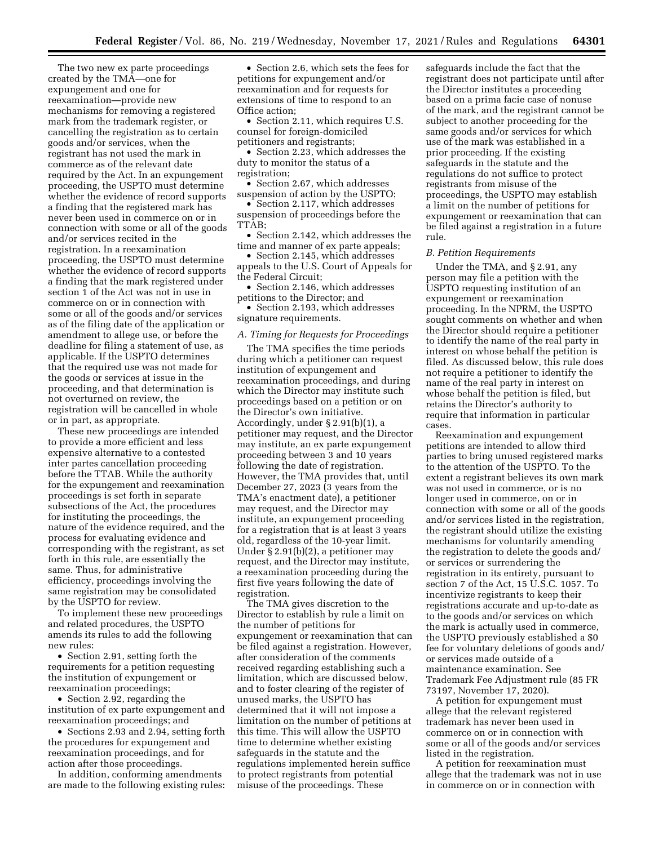The two new ex parte proceedings created by the TMA—one for expungement and one for reexamination—provide new mechanisms for removing a registered mark from the trademark register, or cancelling the registration as to certain goods and/or services, when the registrant has not used the mark in commerce as of the relevant date required by the Act. In an expungement proceeding, the USPTO must determine whether the evidence of record supports a finding that the registered mark has never been used in commerce on or in connection with some or all of the goods and/or services recited in the registration. In a reexamination proceeding, the USPTO must determine whether the evidence of record supports a finding that the mark registered under section 1 of the Act was not in use in commerce on or in connection with some or all of the goods and/or services as of the filing date of the application or amendment to allege use, or before the deadline for filing a statement of use, as applicable. If the USPTO determines that the required use was not made for the goods or services at issue in the proceeding, and that determination is not overturned on review, the registration will be cancelled in whole or in part, as appropriate.

These new proceedings are intended to provide a more efficient and less expensive alternative to a contested inter partes cancellation proceeding before the TTAB. While the authority for the expungement and reexamination proceedings is set forth in separate subsections of the Act, the procedures for instituting the proceedings, the nature of the evidence required, and the process for evaluating evidence and corresponding with the registrant, as set forth in this rule, are essentially the same. Thus, for administrative efficiency, proceedings involving the same registration may be consolidated by the USPTO for review.

To implement these new proceedings and related procedures, the USPTO amends its rules to add the following new rules:

• Section 2.91, setting forth the requirements for a petition requesting the institution of expungement or reexamination proceedings;

• Section 2.92, regarding the institution of ex parte expungement and reexamination proceedings; and

• Sections 2.93 and 2.94, setting forth the procedures for expungement and reexamination proceedings, and for action after those proceedings.

In addition, conforming amendments are made to the following existing rules:

• Section 2.6, which sets the fees for petitions for expungement and/or reexamination and for requests for extensions of time to respond to an Office action;

• Section 2.11, which requires U.S. counsel for foreign-domiciled petitioners and registrants;

• Section 2.23, which addresses the duty to monitor the status of a registration;

• Section 2.67, which addresses suspension of action by the USPTO;

• Section 2.117, which addresses suspension of proceedings before the TTAB;

• Section 2.142, which addresses the time and manner of ex parte appeals;

• Section 2.145, which addresses appeals to the U.S. Court of Appeals for the Federal Circuit;

• Section 2.146, which addresses petitions to the Director; and

• Section 2.193, which addresses signature requirements.

## *A. Timing for Requests for Proceedings*

The TMA specifies the time periods during which a petitioner can request institution of expungement and reexamination proceedings, and during which the Director may institute such proceedings based on a petition or on the Director's own initiative. Accordingly, under § 2.91(b)(1), a petitioner may request, and the Director may institute, an ex parte expungement proceeding between 3 and 10 years following the date of registration. However, the TMA provides that, until December 27, 2023 (3 years from the TMA's enactment date), a petitioner may request, and the Director may institute, an expungement proceeding for a registration that is at least 3 years old, regardless of the 10-year limit. Under § 2.91(b)(2), a petitioner may request, and the Director may institute, a reexamination proceeding during the first five years following the date of registration.

The TMA gives discretion to the Director to establish by rule a limit on the number of petitions for expungement or reexamination that can be filed against a registration. However, after consideration of the comments received regarding establishing such a limitation, which are discussed below, and to foster clearing of the register of unused marks, the USPTO has determined that it will not impose a limitation on the number of petitions at this time. This will allow the USPTO time to determine whether existing safeguards in the statute and the regulations implemented herein suffice to protect registrants from potential misuse of the proceedings. These

safeguards include the fact that the registrant does not participate until after the Director institutes a proceeding based on a prima facie case of nonuse of the mark, and the registrant cannot be subject to another proceeding for the same goods and/or services for which use of the mark was established in a prior proceeding. If the existing safeguards in the statute and the regulations do not suffice to protect registrants from misuse of the proceedings, the USPTO may establish a limit on the number of petitions for expungement or reexamination that can be filed against a registration in a future rule.

## *B. Petition Requirements*

Under the TMA, and § 2.91, any person may file a petition with the USPTO requesting institution of an expungement or reexamination proceeding. In the NPRM, the USPTO sought comments on whether and when the Director should require a petitioner to identify the name of the real party in interest on whose behalf the petition is filed. As discussed below, this rule does not require a petitioner to identify the name of the real party in interest on whose behalf the petition is filed, but retains the Director's authority to require that information in particular cases.

Reexamination and expungement petitions are intended to allow third parties to bring unused registered marks to the attention of the USPTO. To the extent a registrant believes its own mark was not used in commerce, or is no longer used in commerce, on or in connection with some or all of the goods and/or services listed in the registration, the registrant should utilize the existing mechanisms for voluntarily amending the registration to delete the goods and/ or services or surrendering the registration in its entirety, pursuant to section 7 of the Act, 15 U.S.C. 1057. To incentivize registrants to keep their registrations accurate and up-to-date as to the goods and/or services on which the mark is actually used in commerce, the USPTO previously established a \$0 fee for voluntary deletions of goods and/ or services made outside of a maintenance examination. See Trademark Fee Adjustment rule (85 FR 73197, November 17, 2020).

A petition for expungement must allege that the relevant registered trademark has never been used in commerce on or in connection with some or all of the goods and/or services listed in the registration.

A petition for reexamination must allege that the trademark was not in use in commerce on or in connection with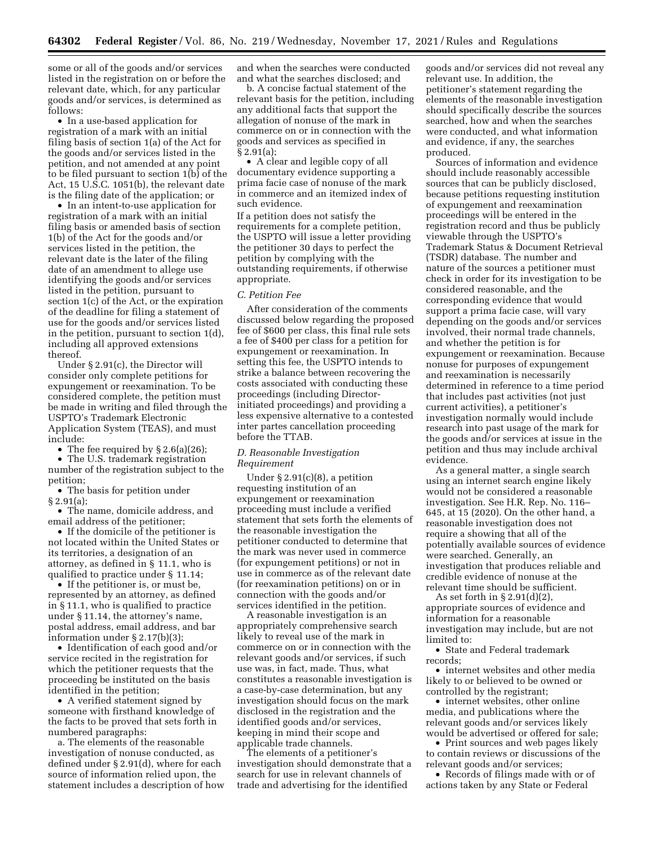some or all of the goods and/or services listed in the registration on or before the relevant date, which, for any particular goods and/or services, is determined as follows:

• In a use-based application for registration of a mark with an initial filing basis of section 1(a) of the Act for the goods and/or services listed in the petition, and not amended at any point to be filed pursuant to section 1(b) of the Act, 15 U.S.C. 1051(b), the relevant date is the filing date of the application; or

• In an intent-to-use application for registration of a mark with an initial filing basis or amended basis of section 1(b) of the Act for the goods and/or services listed in the petition, the relevant date is the later of the filing date of an amendment to allege use identifying the goods and/or services listed in the petition, pursuant to section 1(c) of the Act, or the expiration of the deadline for filing a statement of use for the goods and/or services listed in the petition, pursuant to section 1(d), including all approved extensions thereof.

Under § 2.91(c), the Director will consider only complete petitions for expungement or reexamination. To be considered complete, the petition must be made in writing and filed through the USPTO's Trademark Electronic Application System (TEAS), and must include:

• The fee required by § 2.6(a)(26);

• The U.S. trademark registration number of the registration subject to the petition;

• The basis for petition under § 2.91(a);

• The name, domicile address, and email address of the petitioner;

• If the domicile of the petitioner is not located within the United States or its territories, a designation of an attorney, as defined in § 11.1, who is qualified to practice under § 11.14;

• If the petitioner is, or must be, represented by an attorney, as defined in § 11.1, who is qualified to practice under § 11.14, the attorney's name, postal address, email address, and bar information under § 2.17(b)(3);

• Identification of each good and/or service recited in the registration for which the petitioner requests that the proceeding be instituted on the basis identified in the petition;

• A verified statement signed by someone with firsthand knowledge of the facts to be proved that sets forth in numbered paragraphs:

a. The elements of the reasonable investigation of nonuse conducted, as defined under § 2.91(d), where for each source of information relied upon, the statement includes a description of how

and when the searches were conducted and what the searches disclosed; and

b. A concise factual statement of the relevant basis for the petition, including any additional facts that support the allegation of nonuse of the mark in commerce on or in connection with the goods and services as specified in § 2.91(a);

• A clear and legible copy of all documentary evidence supporting a prima facie case of nonuse of the mark in commerce and an itemized index of such evidence.

If a petition does not satisfy the requirements for a complete petition, the USPTO will issue a letter providing the petitioner 30 days to perfect the petition by complying with the outstanding requirements, if otherwise appropriate.

## *C. Petition Fee*

After consideration of the comments discussed below regarding the proposed fee of \$600 per class, this final rule sets a fee of \$400 per class for a petition for expungement or reexamination. In setting this fee, the USPTO intends to strike a balance between recovering the costs associated with conducting these proceedings (including Directorinitiated proceedings) and providing a less expensive alternative to a contested inter partes cancellation proceeding before the TTAB.

# *D. Reasonable Investigation Requirement*

Under § 2.91(c)(8), a petition requesting institution of an expungement or reexamination proceeding must include a verified statement that sets forth the elements of the reasonable investigation the petitioner conducted to determine that the mark was never used in commerce (for expungement petitions) or not in use in commerce as of the relevant date (for reexamination petitions) on or in connection with the goods and/or services identified in the petition.

A reasonable investigation is an appropriately comprehensive search likely to reveal use of the mark in commerce on or in connection with the relevant goods and/or services, if such use was, in fact, made. Thus, what constitutes a reasonable investigation is a case-by-case determination, but any investigation should focus on the mark disclosed in the registration and the identified goods and/or services, keeping in mind their scope and applicable trade channels.

The elements of a petitioner's investigation should demonstrate that a search for use in relevant channels of trade and advertising for the identified

goods and/or services did not reveal any relevant use. In addition, the petitioner's statement regarding the elements of the reasonable investigation should specifically describe the sources searched, how and when the searches were conducted, and what information and evidence, if any, the searches produced.

Sources of information and evidence should include reasonably accessible sources that can be publicly disclosed, because petitions requesting institution of expungement and reexamination proceedings will be entered in the registration record and thus be publicly viewable through the USPTO's Trademark Status & Document Retrieval (TSDR) database. The number and nature of the sources a petitioner must check in order for its investigation to be considered reasonable, and the corresponding evidence that would support a prima facie case, will vary depending on the goods and/or services involved, their normal trade channels, and whether the petition is for expungement or reexamination. Because nonuse for purposes of expungement and reexamination is necessarily determined in reference to a time period that includes past activities (not just current activities), a petitioner's investigation normally would include research into past usage of the mark for the goods and/or services at issue in the petition and thus may include archival evidence.

As a general matter, a single search using an internet search engine likely would not be considered a reasonable investigation. See H.R. Rep. No. 116– 645, at 15 (2020). On the other hand, a reasonable investigation does not require a showing that all of the potentially available sources of evidence were searched. Generally, an investigation that produces reliable and credible evidence of nonuse at the relevant time should be sufficient.

As set forth in § 2.91(d)(2), appropriate sources of evidence and information for a reasonable investigation may include, but are not limited to:

• State and Federal trademark records;

• internet websites and other media likely to or believed to be owned or controlled by the registrant;

• internet websites, other online media, and publications where the relevant goods and/or services likely would be advertised or offered for sale;

• Print sources and web pages likely to contain reviews or discussions of the relevant goods and/or services;

• Records of filings made with or of actions taken by any State or Federal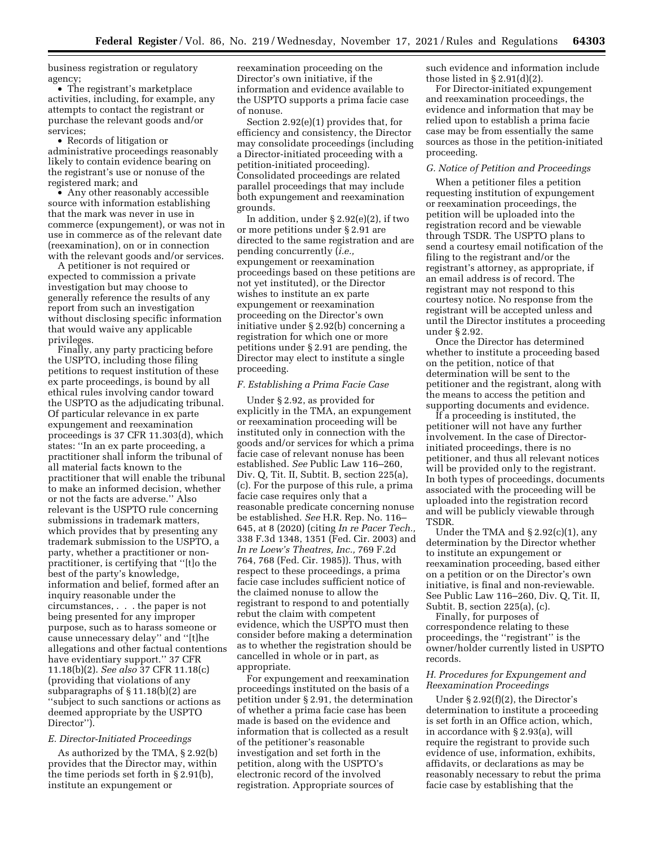business registration or regulatory agency;

• The registrant's marketplace activities, including, for example, any attempts to contact the registrant or purchase the relevant goods and/or services;

• Records of litigation or administrative proceedings reasonably likely to contain evidence bearing on the registrant's use or nonuse of the registered mark; and

• Any other reasonably accessible source with information establishing that the mark was never in use in commerce (expungement), or was not in use in commerce as of the relevant date (reexamination), on or in connection with the relevant goods and/or services.

A petitioner is not required or expected to commission a private investigation but may choose to generally reference the results of any report from such an investigation without disclosing specific information that would waive any applicable privileges.

Finally, any party practicing before the USPTO, including those filing petitions to request institution of these ex parte proceedings, is bound by all ethical rules involving candor toward the USPTO as the adjudicating tribunal. Of particular relevance in ex parte expungement and reexamination proceedings is 37 CFR 11.303(d), which states: ''In an ex parte proceeding, a practitioner shall inform the tribunal of all material facts known to the practitioner that will enable the tribunal to make an informed decision, whether or not the facts are adverse.'' Also relevant is the USPTO rule concerning submissions in trademark matters, which provides that by presenting any trademark submission to the USPTO, a party, whether a practitioner or nonpractitioner, is certifying that ''[t]o the best of the party's knowledge, information and belief, formed after an inquiry reasonable under the circumstances, . . . the paper is not being presented for any improper purpose, such as to harass someone or cause unnecessary delay'' and ''[t]he allegations and other factual contentions have evidentiary support.'' 37 CFR 11.18(b)(2). *See also* 37 CFR 11.18(c) (providing that violations of any subparagraphs of § 11.18(b)(2) are ''subject to such sanctions or actions as deemed appropriate by the USPTO Director'').

#### *E. Director-Initiated Proceedings*

As authorized by the TMA, § 2.92(b) provides that the Director may, within the time periods set forth in § 2.91(b), institute an expungement or

reexamination proceeding on the Director's own initiative, if the information and evidence available to the USPTO supports a prima facie case of nonuse.

Section 2.92(e)(1) provides that, for efficiency and consistency, the Director may consolidate proceedings (including a Director-initiated proceeding with a petition-initiated proceeding). Consolidated proceedings are related parallel proceedings that may include both expungement and reexamination grounds.

In addition, under § 2.92(e)(2), if two or more petitions under § 2.91 are directed to the same registration and are pending concurrently (*i.e.,*  expungement or reexamination proceedings based on these petitions are not yet instituted), or the Director wishes to institute an ex parte expungement or reexamination proceeding on the Director's own initiative under § 2.92(b) concerning a registration for which one or more petitions under § 2.91 are pending, the Director may elect to institute a single proceeding.

## *F. Establishing a Prima Facie Case*

Under § 2.92, as provided for explicitly in the TMA, an expungement or reexamination proceeding will be instituted only in connection with the goods and/or services for which a prima facie case of relevant nonuse has been established. *See* Public Law 116–260, Div. Q, Tit. II, Subtit. B, section 225(a), (c). For the purpose of this rule, a prima facie case requires only that a reasonable predicate concerning nonuse be established. *See* H.R. Rep. No. 116– 645, at 8 (2020) (citing *In re Pacer Tech.,*  338 F.3d 1348, 1351 (Fed. Cir. 2003) and *In re Loew's Theatres, Inc.,* 769 F.2d 764, 768 (Fed. Cir. 1985)). Thus, with respect to these proceedings, a prima facie case includes sufficient notice of the claimed nonuse to allow the registrant to respond to and potentially rebut the claim with competent evidence, which the USPTO must then consider before making a determination as to whether the registration should be cancelled in whole or in part, as appropriate.

For expungement and reexamination proceedings instituted on the basis of a petition under § 2.91, the determination of whether a prima facie case has been made is based on the evidence and information that is collected as a result of the petitioner's reasonable investigation and set forth in the petition, along with the USPTO's electronic record of the involved registration. Appropriate sources of

such evidence and information include those listed in § 2.91(d)(2).

For Director-initiated expungement and reexamination proceedings, the evidence and information that may be relied upon to establish a prima facie case may be from essentially the same sources as those in the petition-initiated proceeding.

## *G. Notice of Petition and Proceedings*

When a petitioner files a petition requesting institution of expungement or reexamination proceedings, the petition will be uploaded into the registration record and be viewable through TSDR. The USPTO plans to send a courtesy email notification of the filing to the registrant and/or the registrant's attorney, as appropriate, if an email address is of record. The registrant may not respond to this courtesy notice. No response from the registrant will be accepted unless and until the Director institutes a proceeding under § 2.92.

Once the Director has determined whether to institute a proceeding based on the petition, notice of that determination will be sent to the petitioner and the registrant, along with the means to access the petition and supporting documents and evidence.

If a proceeding is instituted, the petitioner will not have any further involvement. In the case of Directorinitiated proceedings, there is no petitioner, and thus all relevant notices will be provided only to the registrant. In both types of proceedings, documents associated with the proceeding will be uploaded into the registration record and will be publicly viewable through TSDR.

Under the TMA and  $\S 2.92(c)(1)$ , any determination by the Director whether to institute an expungement or reexamination proceeding, based either on a petition or on the Director's own initiative, is final and non-reviewable. See Public Law 116–260, Div. Q, Tit. II, Subtit. B, section 225(a), (c).

Finally, for purposes of correspondence relating to these proceedings, the ''registrant'' is the owner/holder currently listed in USPTO records.

# *H. Procedures for Expungement and Reexamination Proceedings*

Under § 2.92(f)(2), the Director's determination to institute a proceeding is set forth in an Office action, which, in accordance with § 2.93(a), will require the registrant to provide such evidence of use, information, exhibits, affidavits, or declarations as may be reasonably necessary to rebut the prima facie case by establishing that the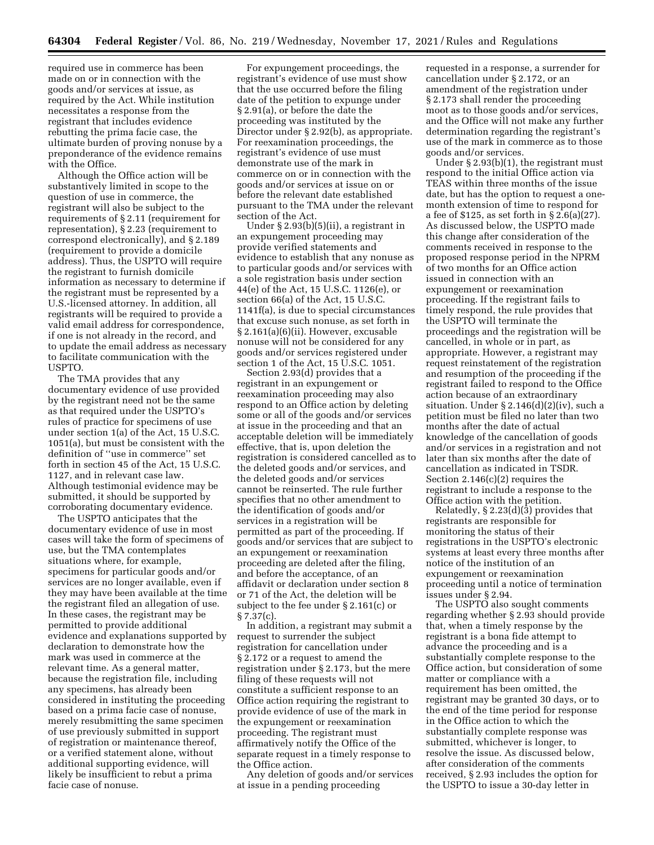required use in commerce has been made on or in connection with the goods and/or services at issue, as required by the Act. While institution necessitates a response from the registrant that includes evidence rebutting the prima facie case, the ultimate burden of proving nonuse by a preponderance of the evidence remains with the Office.

Although the Office action will be substantively limited in scope to the question of use in commerce, the registrant will also be subject to the requirements of § 2.11 (requirement for representation), § 2.23 (requirement to correspond electronically), and § 2.189 (requirement to provide a domicile address). Thus, the USPTO will require the registrant to furnish domicile information as necessary to determine if the registrant must be represented by a U.S.-licensed attorney. In addition, all registrants will be required to provide a valid email address for correspondence, if one is not already in the record, and to update the email address as necessary to facilitate communication with the USPTO.

The TMA provides that any documentary evidence of use provided by the registrant need not be the same as that required under the USPTO's rules of practice for specimens of use under section 1(a) of the Act, 15 U.S.C. 1051(a), but must be consistent with the definition of ''use in commerce'' set forth in section 45 of the Act, 15 U.S.C. 1127, and in relevant case law. Although testimonial evidence may be submitted, it should be supported by corroborating documentary evidence.

The USPTO anticipates that the documentary evidence of use in most cases will take the form of specimens of use, but the TMA contemplates situations where, for example, specimens for particular goods and/or services are no longer available, even if they may have been available at the time the registrant filed an allegation of use. In these cases, the registrant may be permitted to provide additional evidence and explanations supported by declaration to demonstrate how the mark was used in commerce at the relevant time. As a general matter, because the registration file, including any specimens, has already been considered in instituting the proceeding based on a prima facie case of nonuse, merely resubmitting the same specimen of use previously submitted in support of registration or maintenance thereof, or a verified statement alone, without additional supporting evidence, will likely be insufficient to rebut a prima facie case of nonuse.

For expungement proceedings, the registrant's evidence of use must show that the use occurred before the filing date of the petition to expunge under § 2.91(a), or before the date the proceeding was instituted by the Director under § 2.92(b), as appropriate. For reexamination proceedings, the registrant's evidence of use must demonstrate use of the mark in commerce on or in connection with the goods and/or services at issue on or before the relevant date established pursuant to the TMA under the relevant section of the Act.

Under § 2.93(b)(5)(ii), a registrant in an expungement proceeding may provide verified statements and evidence to establish that any nonuse as to particular goods and/or services with a sole registration basis under section 44(e) of the Act, 15 U.S.C. 1126(e), or section 66(a) of the Act, 15 U.S.C. 1141f(a), is due to special circumstances that excuse such nonuse, as set forth in § 2.161(a)(6)(ii). However, excusable nonuse will not be considered for any goods and/or services registered under section 1 of the Act, 15 U.S.C. 1051.

Section 2.93(d) provides that a registrant in an expungement or reexamination proceeding may also respond to an Office action by deleting some or all of the goods and/or services at issue in the proceeding and that an acceptable deletion will be immediately effective, that is, upon deletion the registration is considered cancelled as to the deleted goods and/or services, and the deleted goods and/or services cannot be reinserted. The rule further specifies that no other amendment to the identification of goods and/or services in a registration will be permitted as part of the proceeding. If goods and/or services that are subject to an expungement or reexamination proceeding are deleted after the filing, and before the acceptance, of an affidavit or declaration under section 8 or 71 of the Act, the deletion will be subject to the fee under § 2.161(c) or § 7.37(c).

In addition, a registrant may submit a request to surrender the subject registration for cancellation under § 2.172 or a request to amend the registration under § 2.173, but the mere filing of these requests will not constitute a sufficient response to an Office action requiring the registrant to provide evidence of use of the mark in the expungement or reexamination proceeding. The registrant must affirmatively notify the Office of the separate request in a timely response to the Office action.

Any deletion of goods and/or services at issue in a pending proceeding

requested in a response, a surrender for cancellation under § 2.172, or an amendment of the registration under § 2.173 shall render the proceeding moot as to those goods and/or services, and the Office will not make any further determination regarding the registrant's use of the mark in commerce as to those goods and/or services.

Under § 2.93(b)(1), the registrant must respond to the initial Office action via TEAS within three months of the issue date, but has the option to request a onemonth extension of time to respond for a fee of \$125, as set forth in § 2.6(a)(27). As discussed below, the USPTO made this change after consideration of the comments received in response to the proposed response period in the NPRM of two months for an Office action issued in connection with an expungement or reexamination proceeding. If the registrant fails to timely respond, the rule provides that the USPTO will terminate the proceedings and the registration will be cancelled, in whole or in part, as appropriate. However, a registrant may request reinstatement of the registration and resumption of the proceeding if the registrant failed to respond to the Office action because of an extraordinary situation. Under § 2.146(d)(2)(iv), such a petition must be filed no later than two months after the date of actual knowledge of the cancellation of goods and/or services in a registration and not later than six months after the date of cancellation as indicated in TSDR. Section 2.146(c)(2) requires the registrant to include a response to the Office action with the petition.

Relatedly, § 2.23(d)(3) provides that registrants are responsible for monitoring the status of their registrations in the USPTO's electronic systems at least every three months after notice of the institution of an expungement or reexamination proceeding until a notice of termination issues under § 2.94.

The USPTO also sought comments regarding whether § 2.93 should provide that, when a timely response by the registrant is a bona fide attempt to advance the proceeding and is a substantially complete response to the Office action, but consideration of some matter or compliance with a requirement has been omitted, the registrant may be granted 30 days, or to the end of the time period for response in the Office action to which the substantially complete response was submitted, whichever is longer, to resolve the issue. As discussed below, after consideration of the comments received, § 2.93 includes the option for the USPTO to issue a 30-day letter in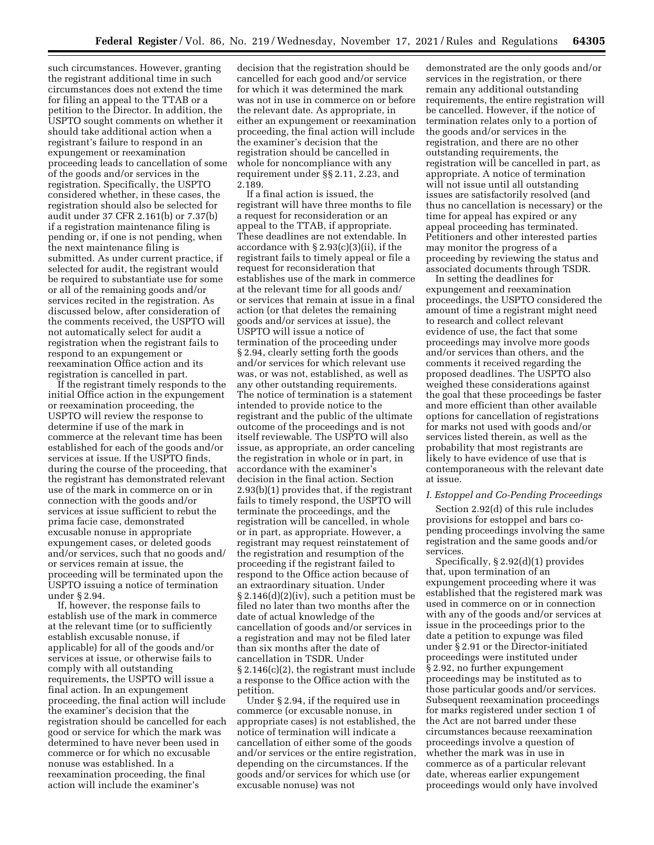such circumstances. However, granting the registrant additional time in such circumstances does not extend the time for filing an appeal to the TTAB or a petition to the Director. In addition, the USPTO sought comments on whether it should take additional action when a registrant's failure to respond in an expungement or reexamination proceeding leads to cancellation of some of the goods and/or services in the registration. Specifically, the USPTO considered whether, in these cases, the registration should also be selected for audit under 37 CFR 2.161(b) or 7.37(b) if a registration maintenance filing is pending or, if one is not pending, when the next maintenance filing is submitted. As under current practice, if selected for audit, the registrant would be required to substantiate use for some or all of the remaining goods and/or services recited in the registration. As discussed below, after consideration of the comments received, the USPTO will not automatically select for audit a registration when the registrant fails to respond to an expungement or reexamination Office action and its registration is cancelled in part.

If the registrant timely responds to the initial Office action in the expungement or reexamination proceeding, the USPTO will review the response to determine if use of the mark in commerce at the relevant time has been established for each of the goods and/or services at issue. If the USPTO finds, during the course of the proceeding, that the registrant has demonstrated relevant use of the mark in commerce on or in connection with the goods and/or services at issue sufficient to rebut the prima facie case, demonstrated excusable nonuse in appropriate expungement cases, or deleted goods and/or services, such that no goods and/ or services remain at issue, the proceeding will be terminated upon the USPTO issuing a notice of termination under § 2.94.

If, however, the response fails to establish use of the mark in commerce at the relevant time (or to sufficiently establish excusable nonuse, if applicable) for all of the goods and/or services at issue, or otherwise fails to comply with all outstanding requirements, the USPTO will issue a final action. In an expungement proceeding, the final action will include the examiner's decision that the registration should be cancelled for each good or service for which the mark was determined to have never been used in commerce or for which no excusable nonuse was established. In a reexamination proceeding, the final action will include the examiner's

decision that the registration should be cancelled for each good and/or service for which it was determined the mark was not in use in commerce on or before the relevant date. As appropriate, in either an expungement or reexamination proceeding, the final action will include the examiner's decision that the registration should be cancelled in whole for noncompliance with any requirement under §§ 2.11, 2.23, and 2.189.

If a final action is issued, the registrant will have three months to file a request for reconsideration or an appeal to the TTAB, if appropriate. These deadlines are not extendable. In accordance with § 2.93(c)(3)(ii), if the registrant fails to timely appeal or file a request for reconsideration that establishes use of the mark in commerce at the relevant time for all goods and/ or services that remain at issue in a final action (or that deletes the remaining goods and/or services at issue), the USPTO will issue a notice of termination of the proceeding under § 2.94, clearly setting forth the goods and/or services for which relevant use was, or was not, established, as well as any other outstanding requirements. The notice of termination is a statement intended to provide notice to the registrant and the public of the ultimate outcome of the proceedings and is not itself reviewable. The USPTO will also issue, as appropriate, an order canceling the registration in whole or in part, in accordance with the examiner's decision in the final action. Section 2.93(b)(1) provides that, if the registrant fails to timely respond, the USPTO will terminate the proceedings, and the registration will be cancelled, in whole or in part, as appropriate. However, a registrant may request reinstatement of the registration and resumption of the proceeding if the registrant failed to respond to the Office action because of an extraordinary situation. Under § 2.146(d)(2)(iv), such a petition must be filed no later than two months after the date of actual knowledge of the cancellation of goods and/or services in a registration and may not be filed later than six months after the date of cancellation in TSDR. Under § 2.146(c)(2), the registrant must include a response to the Office action with the petition.

Under § 2.94, if the required use in commerce (or excusable nonuse, in appropriate cases) is not established, the notice of termination will indicate a cancellation of either some of the goods and/or services or the entire registration, depending on the circumstances. If the goods and/or services for which use (or excusable nonuse) was not

demonstrated are the only goods and/or services in the registration, or there remain any additional outstanding requirements, the entire registration will be cancelled. However, if the notice of termination relates only to a portion of the goods and/or services in the registration, and there are no other outstanding requirements, the registration will be cancelled in part, as appropriate. A notice of termination will not issue until all outstanding issues are satisfactorily resolved (and thus no cancellation is necessary) or the time for appeal has expired or any appeal proceeding has terminated. Petitioners and other interested parties may monitor the progress of a proceeding by reviewing the status and associated documents through TSDR.

In setting the deadlines for expungement and reexamination proceedings, the USPTO considered the amount of time a registrant might need to research and collect relevant evidence of use, the fact that some proceedings may involve more goods and/or services than others, and the comments it received regarding the proposed deadlines. The USPTO also weighed these considerations against the goal that these proceedings be faster and more efficient than other available options for cancellation of registrations for marks not used with goods and/or services listed therein, as well as the probability that most registrants are likely to have evidence of use that is contemporaneous with the relevant date at issue.

# *I. Estoppel and Co-Pending Proceedings*

Section 2.92(d) of this rule includes provisions for estoppel and bars copending proceedings involving the same registration and the same goods and/or services.

Specifically, § 2.92(d)(1) provides that, upon termination of an expungement proceeding where it was established that the registered mark was used in commerce on or in connection with any of the goods and/or services at issue in the proceedings prior to the date a petition to expunge was filed under § 2.91 or the Director-initiated proceedings were instituted under § 2.92, no further expungement proceedings may be instituted as to those particular goods and/or services. Subsequent reexamination proceedings for marks registered under section 1 of the Act are not barred under these circumstances because reexamination proceedings involve a question of whether the mark was in use in commerce as of a particular relevant date, whereas earlier expungement proceedings would only have involved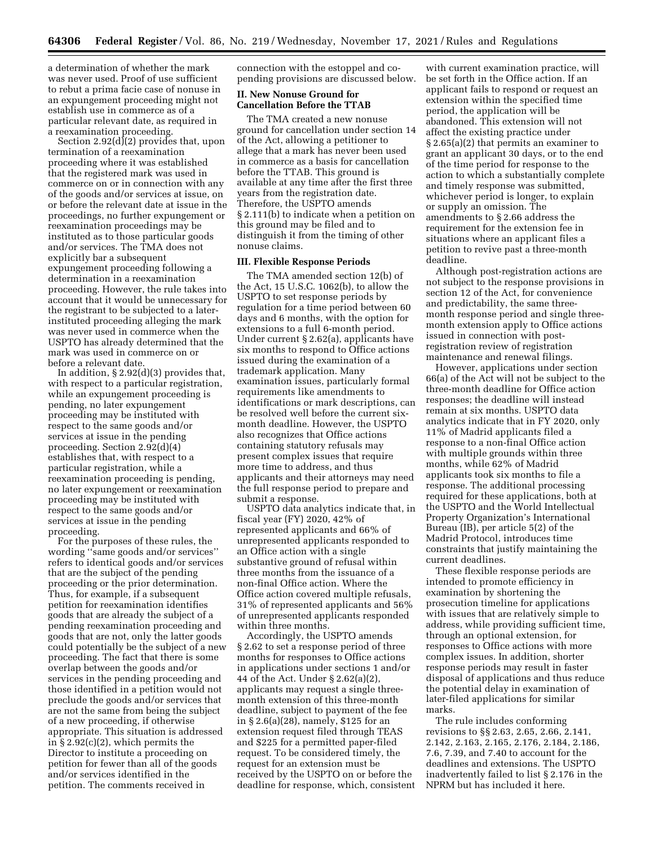a determination of whether the mark was never used. Proof of use sufficient to rebut a prima facie case of nonuse in an expungement proceeding might not establish use in commerce as of a particular relevant date, as required in a reexamination proceeding.

Section 2.92(d)(2) provides that, upon termination of a reexamination proceeding where it was established that the registered mark was used in commerce on or in connection with any of the goods and/or services at issue, on or before the relevant date at issue in the proceedings, no further expungement or reexamination proceedings may be instituted as to those particular goods and/or services. The TMA does not explicitly bar a subsequent expungement proceeding following a determination in a reexamination proceeding. However, the rule takes into account that it would be unnecessary for the registrant to be subjected to a laterinstituted proceeding alleging the mark was never used in commerce when the USPTO has already determined that the mark was used in commerce on or before a relevant date.

In addition, § 2.92(d)(3) provides that, with respect to a particular registration, while an expungement proceeding is pending, no later expungement proceeding may be instituted with respect to the same goods and/or services at issue in the pending proceeding. Section 2.92(d)(4) establishes that, with respect to a particular registration, while a reexamination proceeding is pending, no later expungement or reexamination proceeding may be instituted with respect to the same goods and/or services at issue in the pending proceeding.

For the purposes of these rules, the wording ''same goods and/or services'' refers to identical goods and/or services that are the subject of the pending proceeding or the prior determination. Thus, for example, if a subsequent petition for reexamination identifies goods that are already the subject of a pending reexamination proceeding and goods that are not, only the latter goods could potentially be the subject of a new proceeding. The fact that there is some overlap between the goods and/or services in the pending proceeding and those identified in a petition would not preclude the goods and/or services that are not the same from being the subject of a new proceeding, if otherwise appropriate. This situation is addressed in § 2.92(c)(2), which permits the Director to institute a proceeding on petition for fewer than all of the goods and/or services identified in the petition. The comments received in

connection with the estoppel and copending provisions are discussed below.

# **II. New Nonuse Ground for Cancellation Before the TTAB**

The TMA created a new nonuse ground for cancellation under section 14 of the Act, allowing a petitioner to allege that a mark has never been used in commerce as a basis for cancellation before the TTAB. This ground is available at any time after the first three years from the registration date. Therefore, the USPTO amends § 2.111(b) to indicate when a petition on this ground may be filed and to distinguish it from the timing of other nonuse claims.

# **III. Flexible Response Periods**

The TMA amended section 12(b) of the Act, 15 U.S.C. 1062(b), to allow the USPTO to set response periods by regulation for a time period between 60 days and 6 months, with the option for extensions to a full 6-month period. Under current § 2.62(a), applicants have six months to respond to Office actions issued during the examination of a trademark application. Many examination issues, particularly formal requirements like amendments to identifications or mark descriptions, can be resolved well before the current sixmonth deadline. However, the USPTO also recognizes that Office actions containing statutory refusals may present complex issues that require more time to address, and thus applicants and their attorneys may need the full response period to prepare and submit a response.

USPTO data analytics indicate that, in fiscal year (FY) 2020, 42% of represented applicants and 66% of unrepresented applicants responded to an Office action with a single substantive ground of refusal within three months from the issuance of a non-final Office action. Where the Office action covered multiple refusals, 31% of represented applicants and 56% of unrepresented applicants responded within three months.

Accordingly, the USPTO amends § 2.62 to set a response period of three months for responses to Office actions in applications under sections 1 and/or 44 of the Act. Under § 2.62(a)(2), applicants may request a single threemonth extension of this three-month deadline, subject to payment of the fee in § 2.6(a)(28), namely, \$125 for an extension request filed through TEAS and \$225 for a permitted paper-filed request. To be considered timely, the request for an extension must be received by the USPTO on or before the deadline for response, which, consistent

with current examination practice, will be set forth in the Office action. If an applicant fails to respond or request an extension within the specified time period, the application will be abandoned. This extension will not affect the existing practice under § 2.65(a)(2) that permits an examiner to grant an applicant 30 days, or to the end of the time period for response to the action to which a substantially complete and timely response was submitted, whichever period is longer, to explain or supply an omission. The amendments to § 2.66 address the requirement for the extension fee in situations where an applicant files a petition to revive past a three-month deadline.

Although post-registration actions are not subject to the response provisions in section 12 of the Act, for convenience and predictability, the same threemonth response period and single threemonth extension apply to Office actions issued in connection with postregistration review of registration maintenance and renewal filings.

However, applications under section 66(a) of the Act will not be subject to the three-month deadline for Office action responses; the deadline will instead remain at six months. USPTO data analytics indicate that in FY 2020, only 11% of Madrid applicants filed a response to a non-final Office action with multiple grounds within three months, while 62% of Madrid applicants took six months to file a response. The additional processing required for these applications, both at the USPTO and the World Intellectual Property Organization's International Bureau (IB), per article 5(2) of the Madrid Protocol, introduces time constraints that justify maintaining the current deadlines.

These flexible response periods are intended to promote efficiency in examination by shortening the prosecution timeline for applications with issues that are relatively simple to address, while providing sufficient time, through an optional extension, for responses to Office actions with more complex issues. In addition, shorter response periods may result in faster disposal of applications and thus reduce the potential delay in examination of later-filed applications for similar marks.

The rule includes conforming revisions to §§ 2.63, 2.65, 2.66, 2.141, 2.142, 2.163, 2.165, 2.176, 2.184, 2.186, 7.6, 7.39, and 7.40 to account for the deadlines and extensions. The USPTO inadvertently failed to list § 2.176 in the NPRM but has included it here.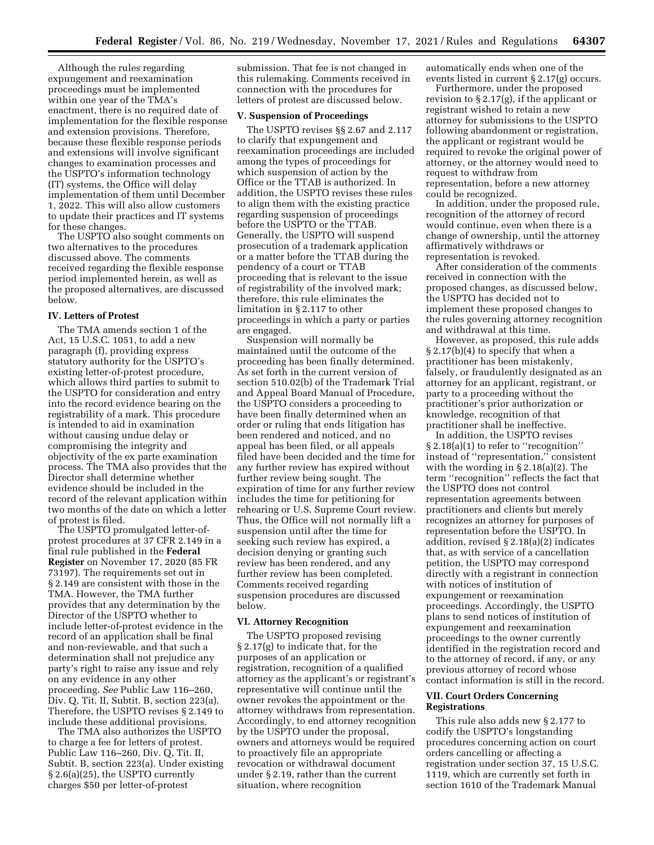Although the rules regarding expungement and reexamination proceedings must be implemented within one year of the TMA's enactment, there is no required date of implementation for the flexible response and extension provisions. Therefore, because these flexible response periods and extensions will involve significant changes to examination processes and the USPTO's information technology (IT) systems, the Office will delay implementation of them until December 1, 2022. This will also allow customers to update their practices and IT systems for these changes.

The USPTO also sought comments on two alternatives to the procedures discussed above. The comments received regarding the flexible response period implemented herein, as well as the proposed alternatives, are discussed below.

# **IV. Letters of Protest**

The TMA amends section 1 of the Act, 15 U.S.C. 1051, to add a new paragraph (f), providing express statutory authority for the USPTO's existing letter-of-protest procedure, which allows third parties to submit to the USPTO for consideration and entry into the record evidence bearing on the registrability of a mark. This procedure is intended to aid in examination without causing undue delay or compromising the integrity and objectivity of the ex parte examination process. The TMA also provides that the Director shall determine whether evidence should be included in the record of the relevant application within two months of the date on which a letter of protest is filed.

The USPTO promulgated letter-ofprotest procedures at 37 CFR 2.149 in a final rule published in the **Federal Register** on November 17, 2020 (85 FR 73197). The requirements set out in § 2.149 are consistent with those in the TMA. However, the TMA further provides that any determination by the Director of the USPTO whether to include letter-of-protest evidence in the record of an application shall be final and non-reviewable, and that such a determination shall not prejudice any party's right to raise any issue and rely on any evidence in any other proceeding. *See* Public Law 116–260, Div. Q, Tit. II, Subtit. B, section 223(a). Therefore, the USPTO revises § 2.149 to include these additional provisions.

The TMA also authorizes the USPTO to charge a fee for letters of protest. Public Law 116–260, Div. Q, Tit. II, Subtit. B, section 223(a). Under existing § 2.6(a)(25), the USPTO currently charges \$50 per letter-of-protest

submission. That fee is not changed in this rulemaking. Comments received in connection with the procedures for letters of protest are discussed below.

## **V. Suspension of Proceedings**

The USPTO revises §§ 2.67 and 2.117 to clarify that expungement and reexamination proceedings are included among the types of proceedings for which suspension of action by the Office or the TTAB is authorized. In addition, the USPTO revises these rules to align them with the existing practice regarding suspension of proceedings before the USPTO or the TTAB. Generally, the USPTO will suspend prosecution of a trademark application or a matter before the TTAB during the pendency of a court or TTAB proceeding that is relevant to the issue of registrability of the involved mark; therefore, this rule eliminates the limitation in § 2.117 to other proceedings in which a party or parties are engaged.

Suspension will normally be maintained until the outcome of the proceeding has been finally determined. As set forth in the current version of section 510.02(b) of the Trademark Trial and Appeal Board Manual of Procedure, the USPTO considers a proceeding to have been finally determined when an order or ruling that ends litigation has been rendered and noticed, and no appeal has been filed, or all appeals filed have been decided and the time for any further review has expired without further review being sought. The expiration of time for any further review includes the time for petitioning for rehearing or U.S. Supreme Court review. Thus, the Office will not normally lift a suspension until after the time for seeking such review has expired, a decision denying or granting such review has been rendered, and any further review has been completed. Comments received regarding suspension procedures are discussed below.

# **VI. Attorney Recognition**

The USPTO proposed revising § 2.17(g) to indicate that, for the purposes of an application or registration, recognition of a qualified attorney as the applicant's or registrant's representative will continue until the owner revokes the appointment or the attorney withdraws from representation. Accordingly, to end attorney recognition by the USPTO under the proposal, owners and attorneys would be required to proactively file an appropriate revocation or withdrawal document under § 2.19, rather than the current situation, where recognition

automatically ends when one of the events listed in current § 2.17(g) occurs.

Furthermore, under the proposed revision to § 2.17(g), if the applicant or registrant wished to retain a new attorney for submissions to the USPTO following abandonment or registration, the applicant or registrant would be required to revoke the original power of attorney, or the attorney would need to request to withdraw from representation, before a new attorney could be recognized.

In addition, under the proposed rule, recognition of the attorney of record would continue, even when there is a change of ownership, until the attorney affirmatively withdraws or representation is revoked.

After consideration of the comments received in connection with the proposed changes, as discussed below, the USPTO has decided not to implement these proposed changes to the rules governing attorney recognition and withdrawal at this time.

However, as proposed, this rule adds § 2.17(b)(4) to specify that when a practitioner has been mistakenly, falsely, or fraudulently designated as an attorney for an applicant, registrant, or party to a proceeding without the practitioner's prior authorization or knowledge, recognition of that practitioner shall be ineffective.

In addition, the USPTO revises § 2.18(a)(1) to refer to "recognition" instead of ''representation,'' consistent with the wording in § 2.18(a)(2). The term ''recognition'' reflects the fact that the USPTO does not control representation agreements between practitioners and clients but merely recognizes an attorney for purposes of representation before the USPTO. In addition, revised § 2.18(a)(2) indicates that, as with service of a cancellation petition, the USPTO may correspond directly with a registrant in connection with notices of institution of expungement or reexamination proceedings. Accordingly, the USPTO plans to send notices of institution of expungement and reexamination proceedings to the owner currently identified in the registration record and to the attorney of record, if any, or any previous attorney of record whose contact information is still in the record.

# **VII. Court Orders Concerning Registrations**

This rule also adds new § 2.177 to codify the USPTO's longstanding procedures concerning action on court orders cancelling or affecting a registration under section 37, 15 U.S.C. 1119, which are currently set forth in section 1610 of the Trademark Manual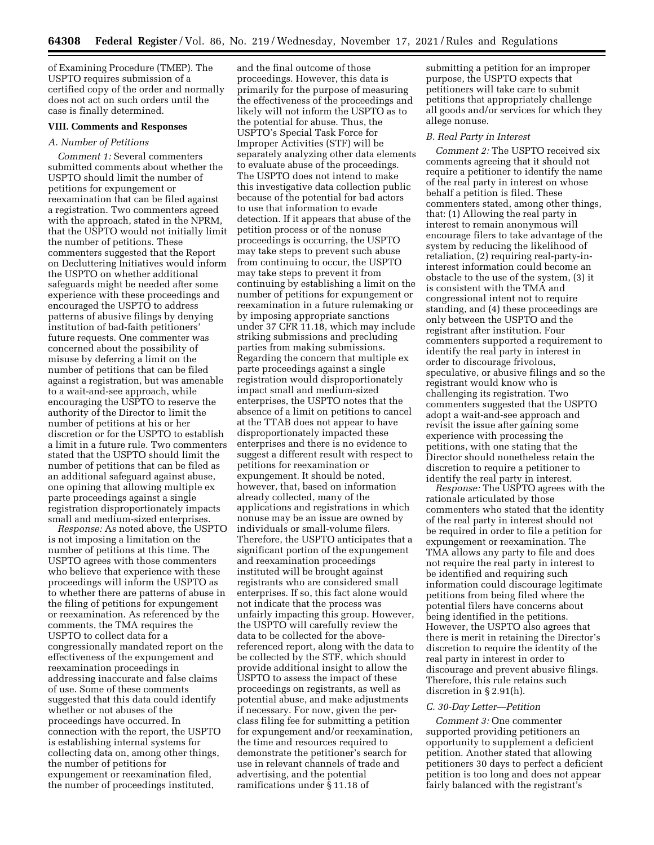of Examining Procedure (TMEP). The USPTO requires submission of a certified copy of the order and normally does not act on such orders until the case is finally determined.

# **VIII. Comments and Responses**

### *A. Number of Petitions*

*Comment 1:* Several commenters submitted comments about whether the USPTO should limit the number of petitions for expungement or reexamination that can be filed against a registration. Two commenters agreed with the approach, stated in the NPRM, that the USPTO would not initially limit the number of petitions. These commenters suggested that the Report on Decluttering Initiatives would inform the USPTO on whether additional safeguards might be needed after some experience with these proceedings and encouraged the USPTO to address patterns of abusive filings by denying institution of bad-faith petitioners' future requests. One commenter was concerned about the possibility of misuse by deferring a limit on the number of petitions that can be filed against a registration, but was amenable to a wait-and-see approach, while encouraging the USPTO to reserve the authority of the Director to limit the number of petitions at his or her discretion or for the USPTO to establish a limit in a future rule. Two commenters stated that the USPTO should limit the number of petitions that can be filed as an additional safeguard against abuse, one opining that allowing multiple ex parte proceedings against a single registration disproportionately impacts small and medium-sized enterprises.

*Response:* As noted above, the USPTO is not imposing a limitation on the number of petitions at this time. The USPTO agrees with those commenters who believe that experience with these proceedings will inform the USPTO as to whether there are patterns of abuse in the filing of petitions for expungement or reexamination. As referenced by the comments, the TMA requires the USPTO to collect data for a congressionally mandated report on the effectiveness of the expungement and reexamination proceedings in addressing inaccurate and false claims of use. Some of these comments suggested that this data could identify whether or not abuses of the proceedings have occurred. In connection with the report, the USPTO is establishing internal systems for collecting data on, among other things, the number of petitions for expungement or reexamination filed, the number of proceedings instituted,

and the final outcome of those proceedings. However, this data is primarily for the purpose of measuring the effectiveness of the proceedings and likely will not inform the USPTO as to the potential for abuse. Thus, the USPTO's Special Task Force for Improper Activities (STF) will be separately analyzing other data elements to evaluate abuse of the proceedings. The USPTO does not intend to make this investigative data collection public because of the potential for bad actors to use that information to evade detection. If it appears that abuse of the petition process or of the nonuse proceedings is occurring, the USPTO may take steps to prevent such abuse from continuing to occur, the USPTO may take steps to prevent it from continuing by establishing a limit on the number of petitions for expungement or reexamination in a future rulemaking or by imposing appropriate sanctions under 37 CFR 11.18, which may include striking submissions and precluding parties from making submissions. Regarding the concern that multiple ex parte proceedings against a single registration would disproportionately impact small and medium-sized enterprises, the USPTO notes that the absence of a limit on petitions to cancel at the TTAB does not appear to have disproportionately impacted these enterprises and there is no evidence to suggest a different result with respect to petitions for reexamination or expungement. It should be noted, however, that, based on information already collected, many of the applications and registrations in which nonuse may be an issue are owned by individuals or small-volume filers. Therefore, the USPTO anticipates that a significant portion of the expungement and reexamination proceedings instituted will be brought against registrants who are considered small enterprises. If so, this fact alone would not indicate that the process was unfairly impacting this group. However, the USPTO will carefully review the data to be collected for the abovereferenced report, along with the data to be collected by the STF, which should provide additional insight to allow the USPTO to assess the impact of these proceedings on registrants, as well as potential abuse, and make adjustments if necessary. For now, given the perclass filing fee for submitting a petition for expungement and/or reexamination, the time and resources required to demonstrate the petitioner's search for use in relevant channels of trade and advertising, and the potential ramifications under § 11.18 of

submitting a petition for an improper purpose, the USPTO expects that petitioners will take care to submit petitions that appropriately challenge all goods and/or services for which they allege nonuse.

#### *B. Real Party in Interest*

*Comment 2:* The USPTO received six comments agreeing that it should not require a petitioner to identify the name of the real party in interest on whose behalf a petition is filed. These commenters stated, among other things, that: (1) Allowing the real party in interest to remain anonymous will encourage filers to take advantage of the system by reducing the likelihood of retaliation, (2) requiring real-party-ininterest information could become an obstacle to the use of the system, (3) it is consistent with the TMA and congressional intent not to require standing, and (4) these proceedings are only between the USPTO and the registrant after institution. Four commenters supported a requirement to identify the real party in interest in order to discourage frivolous, speculative, or abusive filings and so the registrant would know who is challenging its registration. Two commenters suggested that the USPTO adopt a wait-and-see approach and revisit the issue after gaining some experience with processing the petitions, with one stating that the Director should nonetheless retain the discretion to require a petitioner to identify the real party in interest.

*Response:* The USPTO agrees with the rationale articulated by those commenters who stated that the identity of the real party in interest should not be required in order to file a petition for expungement or reexamination. The TMA allows any party to file and does not require the real party in interest to be identified and requiring such information could discourage legitimate petitions from being filed where the potential filers have concerns about being identified in the petitions. However, the USPTO also agrees that there is merit in retaining the Director's discretion to require the identity of the real party in interest in order to discourage and prevent abusive filings. Therefore, this rule retains such discretion in § 2.91(h).

## *C. 30-Day Letter—Petition*

*Comment 3:* One commenter supported providing petitioners an opportunity to supplement a deficient petition. Another stated that allowing petitioners 30 days to perfect a deficient petition is too long and does not appear fairly balanced with the registrant's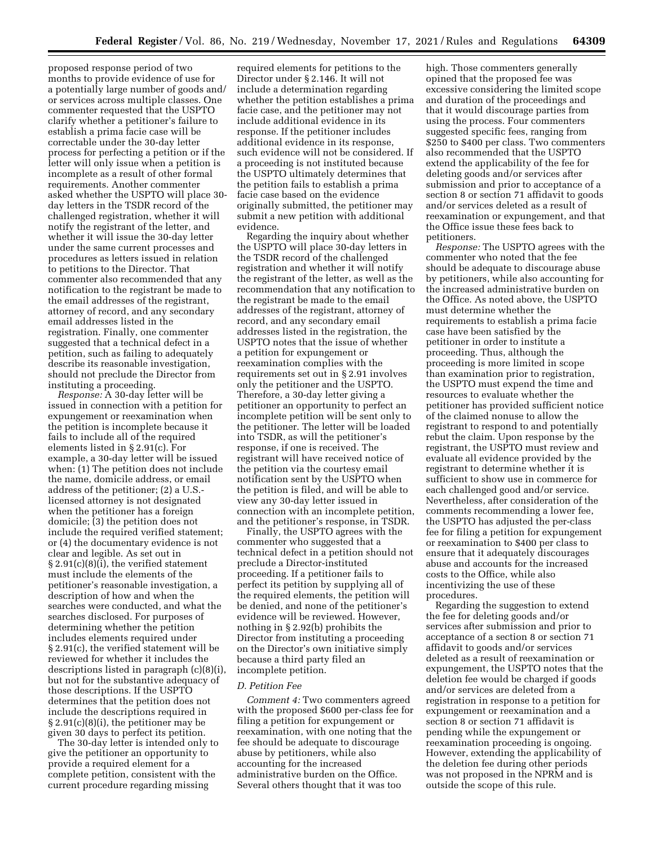proposed response period of two months to provide evidence of use for a potentially large number of goods and/ or services across multiple classes. One commenter requested that the USPTO clarify whether a petitioner's failure to establish a prima facie case will be correctable under the 30-day letter process for perfecting a petition or if the letter will only issue when a petition is incomplete as a result of other formal requirements. Another commenter asked whether the USPTO will place 30 day letters in the TSDR record of the challenged registration, whether it will notify the registrant of the letter, and whether it will issue the 30-day letter under the same current processes and procedures as letters issued in relation to petitions to the Director. That commenter also recommended that any notification to the registrant be made to the email addresses of the registrant, attorney of record, and any secondary email addresses listed in the registration. Finally, one commenter suggested that a technical defect in a petition, such as failing to adequately describe its reasonable investigation, should not preclude the Director from instituting a proceeding.

*Response:* A 30-day letter will be issued in connection with a petition for expungement or reexamination when the petition is incomplete because it fails to include all of the required elements listed in § 2.91(c). For example, a 30-day letter will be issued when: (1) The petition does not include the name, domicile address, or email address of the petitioner; (2) a U.S. licensed attorney is not designated when the petitioner has a foreign domicile; (3) the petition does not include the required verified statement; or (4) the documentary evidence is not clear and legible. As set out in § 2.91(c)(8)(i), the verified statement must include the elements of the petitioner's reasonable investigation, a description of how and when the searches were conducted, and what the searches disclosed. For purposes of determining whether the petition includes elements required under § 2.91(c), the verified statement will be reviewed for whether it includes the descriptions listed in paragraph (c)(8)(i), but not for the substantive adequacy of those descriptions. If the USPTO determines that the petition does not include the descriptions required in § 2.91(c)(8)(i), the petitioner may be given 30 days to perfect its petition.

The 30-day letter is intended only to give the petitioner an opportunity to provide a required element for a complete petition, consistent with the current procedure regarding missing

required elements for petitions to the Director under § 2.146. It will not include a determination regarding whether the petition establishes a prima facie case, and the petitioner may not include additional evidence in its response. If the petitioner includes additional evidence in its response, such evidence will not be considered. If a proceeding is not instituted because the USPTO ultimately determines that the petition fails to establish a prima facie case based on the evidence originally submitted, the petitioner may submit a new petition with additional evidence.

Regarding the inquiry about whether the USPTO will place 30-day letters in the TSDR record of the challenged registration and whether it will notify the registrant of the letter, as well as the recommendation that any notification to the registrant be made to the email addresses of the registrant, attorney of record, and any secondary email addresses listed in the registration, the USPTO notes that the issue of whether a petition for expungement or reexamination complies with the requirements set out in § 2.91 involves only the petitioner and the USPTO. Therefore, a 30-day letter giving a petitioner an opportunity to perfect an incomplete petition will be sent only to the petitioner. The letter will be loaded into TSDR, as will the petitioner's response, if one is received. The registrant will have received notice of the petition via the courtesy email notification sent by the USPTO when the petition is filed, and will be able to view any 30-day letter issued in connection with an incomplete petition, and the petitioner's response, in TSDR.

Finally, the USPTO agrees with the commenter who suggested that a technical defect in a petition should not preclude a Director-instituted proceeding. If a petitioner fails to perfect its petition by supplying all of the required elements, the petition will be denied, and none of the petitioner's evidence will be reviewed. However, nothing in § 2.92(b) prohibits the Director from instituting a proceeding on the Director's own initiative simply because a third party filed an incomplete petition.

#### *D. Petition Fee*

*Comment 4:* Two commenters agreed with the proposed \$600 per-class fee for filing a petition for expungement or reexamination, with one noting that the fee should be adequate to discourage abuse by petitioners, while also accounting for the increased administrative burden on the Office. Several others thought that it was too

high. Those commenters generally opined that the proposed fee was excessive considering the limited scope and duration of the proceedings and that it would discourage parties from using the process. Four commenters suggested specific fees, ranging from \$250 to \$400 per class. Two commenters also recommended that the USPTO extend the applicability of the fee for deleting goods and/or services after submission and prior to acceptance of a section 8 or section 71 affidavit to goods and/or services deleted as a result of reexamination or expungement, and that the Office issue these fees back to petitioners.

*Response:* The USPTO agrees with the commenter who noted that the fee should be adequate to discourage abuse by petitioners, while also accounting for the increased administrative burden on the Office. As noted above, the USPTO must determine whether the requirements to establish a prima facie case have been satisfied by the petitioner in order to institute a proceeding. Thus, although the proceeding is more limited in scope than examination prior to registration, the USPTO must expend the time and resources to evaluate whether the petitioner has provided sufficient notice of the claimed nonuse to allow the registrant to respond to and potentially rebut the claim. Upon response by the registrant, the USPTO must review and evaluate all evidence provided by the registrant to determine whether it is sufficient to show use in commerce for each challenged good and/or service. Nevertheless, after consideration of the comments recommending a lower fee, the USPTO has adjusted the per-class fee for filing a petition for expungement or reexamination to \$400 per class to ensure that it adequately discourages abuse and accounts for the increased costs to the Office, while also incentivizing the use of these procedures.

Regarding the suggestion to extend the fee for deleting goods and/or services after submission and prior to acceptance of a section 8 or section 71 affidavit to goods and/or services deleted as a result of reexamination or expungement, the USPTO notes that the deletion fee would be charged if goods and/or services are deleted from a registration in response to a petition for expungement or reexamination and a section 8 or section 71 affidavit is pending while the expungement or reexamination proceeding is ongoing. However, extending the applicability of the deletion fee during other periods was not proposed in the NPRM and is outside the scope of this rule.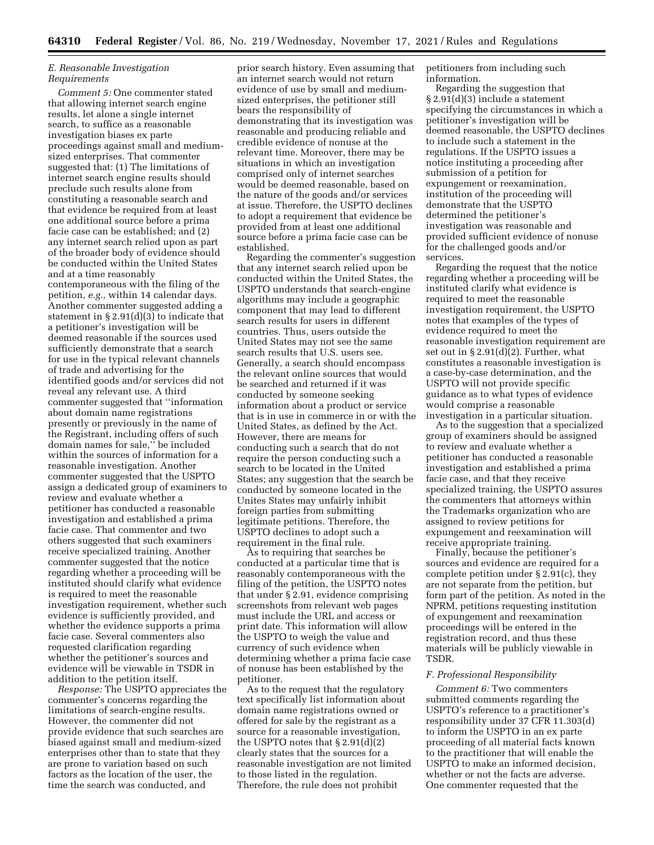# *E. Reasonable Investigation Requirements*

*Comment 5:* One commenter stated that allowing internet search engine results, let alone a single internet search, to suffice as a reasonable investigation biases ex parte proceedings against small and mediumsized enterprises. That commenter suggested that: (1) The limitations of internet search engine results should preclude such results alone from constituting a reasonable search and that evidence be required from at least one additional source before a prima facie case can be established; and (2) any internet search relied upon as part of the broader body of evidence should be conducted within the United States and at a time reasonably contemporaneous with the filing of the petition, *e.g.,* within 14 calendar days. Another commenter suggested adding a statement in § 2.91(d)(3) to indicate that a petitioner's investigation will be deemed reasonable if the sources used sufficiently demonstrate that a search for use in the typical relevant channels of trade and advertising for the identified goods and/or services did not reveal any relevant use. A third commenter suggested that ''information about domain name registrations presently or previously in the name of the Registrant, including offers of such domain names for sale,'' be included within the sources of information for a reasonable investigation. Another commenter suggested that the USPTO assign a dedicated group of examiners to review and evaluate whether a petitioner has conducted a reasonable investigation and established a prima facie case. That commenter and two others suggested that such examiners receive specialized training. Another commenter suggested that the notice regarding whether a proceeding will be instituted should clarify what evidence is required to meet the reasonable investigation requirement, whether such evidence is sufficiently provided, and whether the evidence supports a prima facie case. Several commenters also requested clarification regarding whether the petitioner's sources and evidence will be viewable in TSDR in addition to the petition itself.

*Response:* The USPTO appreciates the commenter's concerns regarding the limitations of search-engine results. However, the commenter did not provide evidence that such searches are biased against small and medium-sized enterprises other than to state that they are prone to variation based on such factors as the location of the user, the time the search was conducted, and

prior search history. Even assuming that an internet search would not return evidence of use by small and mediumsized enterprises, the petitioner still bears the responsibility of demonstrating that its investigation was reasonable and producing reliable and credible evidence of nonuse at the relevant time. Moreover, there may be situations in which an investigation comprised only of internet searches would be deemed reasonable, based on the nature of the goods and/or services at issue. Therefore, the USPTO declines to adopt a requirement that evidence be provided from at least one additional source before a prima facie case can be established.

Regarding the commenter's suggestion that any internet search relied upon be conducted within the United States, the USPTO understands that search-engine algorithms may include a geographic component that may lead to different search results for users in different countries. Thus, users outside the United States may not see the same search results that U.S. users see. Generally, a search should encompass the relevant online sources that would be searched and returned if it was conducted by someone seeking information about a product or service that is in use in commerce in or with the United States, as defined by the Act. However, there are means for conducting such a search that do not require the person conducting such a search to be located in the United States; any suggestion that the search be conducted by someone located in the Unites States may unfairly inhibit foreign parties from submitting legitimate petitions. Therefore, the USPTO declines to adopt such a requirement in the final rule.

As to requiring that searches be conducted at a particular time that is reasonably contemporaneous with the filing of the petition, the USPTO notes that under § 2.91, evidence comprising screenshots from relevant web pages must include the URL and access or print date. This information will allow the USPTO to weigh the value and currency of such evidence when determining whether a prima facie case of nonuse has been established by the petitioner.

As to the request that the regulatory text specifically list information about domain name registrations owned or offered for sale by the registrant as a source for a reasonable investigation, the USPTO notes that  $\S 2.91(d)(2)$ clearly states that the sources for a reasonable investigation are not limited to those listed in the regulation. Therefore, the rule does not prohibit

petitioners from including such information.

Regarding the suggestion that § 2.91(d)(3) include a statement specifying the circumstances in which a petitioner's investigation will be deemed reasonable, the USPTO declines to include such a statement in the regulations. If the USPTO issues a notice instituting a proceeding after submission of a petition for expungement or reexamination, institution of the proceeding will demonstrate that the USPTO determined the petitioner's investigation was reasonable and provided sufficient evidence of nonuse for the challenged goods and/or services.

Regarding the request that the notice regarding whether a proceeding will be instituted clarify what evidence is required to meet the reasonable investigation requirement, the USPTO notes that examples of the types of evidence required to meet the reasonable investigation requirement are set out in  $\S 2.91(d)(2)$ . Further, what constitutes a reasonable investigation is a case-by-case determination, and the USPTO will not provide specific guidance as to what types of evidence would comprise a reasonable investigation in a particular situation.

As to the suggestion that a specialized group of examiners should be assigned to review and evaluate whether a petitioner has conducted a reasonable investigation and established a prima facie case, and that they receive specialized training, the USPTO assures the commenters that attorneys within the Trademarks organization who are assigned to review petitions for expungement and reexamination will receive appropriate training.

Finally, because the petitioner's sources and evidence are required for a complete petition under § 2.91(c), they are not separate from the petition, but form part of the petition. As noted in the NPRM, petitions requesting institution of expungement and reexamination proceedings will be entered in the registration record, and thus these materials will be publicly viewable in TSDR.

## *F. Professional Responsibility*

*Comment 6:* Two commenters submitted comments regarding the USPTO's reference to a practitioner's responsibility under 37 CFR 11.303(d) to inform the USPTO in an ex parte proceeding of all material facts known to the practitioner that will enable the USPTO to make an informed decision, whether or not the facts are adverse. One commenter requested that the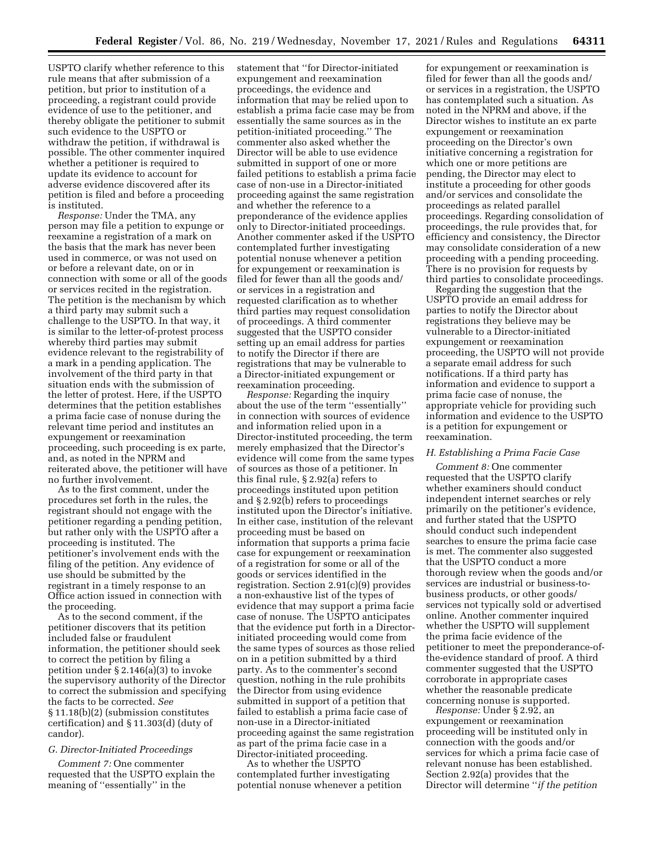USPTO clarify whether reference to this rule means that after submission of a petition, but prior to institution of a proceeding, a registrant could provide evidence of use to the petitioner, and thereby obligate the petitioner to submit such evidence to the USPTO or withdraw the petition, if withdrawal is possible. The other commenter inquired whether a petitioner is required to update its evidence to account for adverse evidence discovered after its petition is filed and before a proceeding is instituted.

*Response:* Under the TMA, any person may file a petition to expunge or reexamine a registration of a mark on the basis that the mark has never been used in commerce, or was not used on or before a relevant date, on or in connection with some or all of the goods or services recited in the registration. The petition is the mechanism by which a third party may submit such a challenge to the USPTO. In that way, it is similar to the letter-of-protest process whereby third parties may submit evidence relevant to the registrability of a mark in a pending application. The involvement of the third party in that situation ends with the submission of the letter of protest. Here, if the USPTO determines that the petition establishes a prima facie case of nonuse during the relevant time period and institutes an expungement or reexamination proceeding, such proceeding is ex parte, and, as noted in the NPRM and reiterated above, the petitioner will have no further involvement.

As to the first comment, under the procedures set forth in the rules, the registrant should not engage with the petitioner regarding a pending petition, but rather only with the USPTO after a proceeding is instituted. The petitioner's involvement ends with the filing of the petition. Any evidence of use should be submitted by the registrant in a timely response to an Office action issued in connection with the proceeding.

As to the second comment, if the petitioner discovers that its petition included false or fraudulent information, the petitioner should seek to correct the petition by filing a petition under § 2.146(a)(3) to invoke the supervisory authority of the Director to correct the submission and specifying the facts to be corrected. *See*  § 11.18(b)(2) (submission constitutes certification) and § 11.303(d) (duty of candor).

# *G. Director-Initiated Proceedings*

*Comment 7:* One commenter requested that the USPTO explain the meaning of ''essentially'' in the

statement that ''for Director-initiated expungement and reexamination proceedings, the evidence and information that may be relied upon to establish a prima facie case may be from essentially the same sources as in the petition-initiated proceeding.'' The commenter also asked whether the Director will be able to use evidence submitted in support of one or more failed petitions to establish a prima facie case of non-use in a Director-initiated proceeding against the same registration and whether the reference to a preponderance of the evidence applies only to Director-initiated proceedings. Another commenter asked if the USPTO contemplated further investigating potential nonuse whenever a petition for expungement or reexamination is filed for fewer than all the goods and/ or services in a registration and requested clarification as to whether third parties may request consolidation of proceedings. A third commenter suggested that the USPTO consider setting up an email address for parties to notify the Director if there are registrations that may be vulnerable to a Director-initiated expungement or reexamination proceeding.

*Response:* Regarding the inquiry about the use of the term ''essentially'' in connection with sources of evidence and information relied upon in a Director-instituted proceeding, the term merely emphasized that the Director's evidence will come from the same types of sources as those of a petitioner. In this final rule, § 2.92(a) refers to proceedings instituted upon petition and § 2.92(b) refers to proceedings instituted upon the Director's initiative. In either case, institution of the relevant proceeding must be based on information that supports a prima facie case for expungement or reexamination of a registration for some or all of the goods or services identified in the registration. Section 2.91(c)(9) provides a non-exhaustive list of the types of evidence that may support a prima facie case of nonuse. The USPTO anticipates that the evidence put forth in a Directorinitiated proceeding would come from the same types of sources as those relied on in a petition submitted by a third party. As to the commenter's second question, nothing in the rule prohibits the Director from using evidence submitted in support of a petition that failed to establish a prima facie case of non-use in a Director-initiated proceeding against the same registration as part of the prima facie case in a Director-initiated proceeding.

As to whether the USPTO contemplated further investigating potential nonuse whenever a petition

for expungement or reexamination is filed for fewer than all the goods and/ or services in a registration, the USPTO has contemplated such a situation. As noted in the NPRM and above, if the Director wishes to institute an ex parte expungement or reexamination proceeding on the Director's own initiative concerning a registration for which one or more petitions are pending, the Director may elect to institute a proceeding for other goods and/or services and consolidate the proceedings as related parallel proceedings. Regarding consolidation of proceedings, the rule provides that, for efficiency and consistency, the Director may consolidate consideration of a new proceeding with a pending proceeding. There is no provision for requests by third parties to consolidate proceedings.

Regarding the suggestion that the USPTO provide an email address for parties to notify the Director about registrations they believe may be vulnerable to a Director-initiated expungement or reexamination proceeding, the USPTO will not provide a separate email address for such notifications. If a third party has information and evidence to support a prima facie case of nonuse, the appropriate vehicle for providing such information and evidence to the USPTO is a petition for expungement or reexamination.

## *H. Establishing a Prima Facie Case*

*Comment 8:* One commenter requested that the USPTO clarify whether examiners should conduct independent internet searches or rely primarily on the petitioner's evidence, and further stated that the USPTO should conduct such independent searches to ensure the prima facie case is met. The commenter also suggested that the USPTO conduct a more thorough review when the goods and/or services are industrial or business-tobusiness products, or other goods/ services not typically sold or advertised online. Another commenter inquired whether the USPTO will supplement the prima facie evidence of the petitioner to meet the preponderance-ofthe-evidence standard of proof. A third commenter suggested that the USPTO corroborate in appropriate cases whether the reasonable predicate concerning nonuse is supported.

*Response:* Under § 2.92, an expungement or reexamination proceeding will be instituted only in connection with the goods and/or services for which a prima facie case of relevant nonuse has been established. Section 2.92(a) provides that the Director will determine ''*if the petition*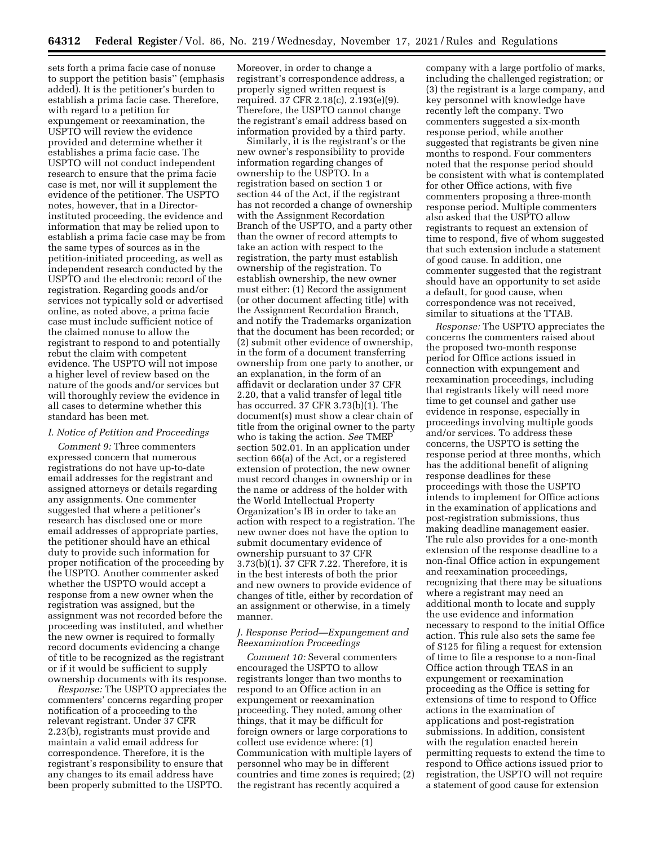sets forth a prima facie case of nonuse to support the petition basis'' (emphasis added). It is the petitioner's burden to establish a prima facie case. Therefore, with regard to a petition for expungement or reexamination, the USPTO will review the evidence provided and determine whether it establishes a prima facie case. The USPTO will not conduct independent research to ensure that the prima facie case is met, nor will it supplement the evidence of the petitioner. The USPTO notes, however, that in a Directorinstituted proceeding, the evidence and information that may be relied upon to establish a prima facie case may be from the same types of sources as in the petition-initiated proceeding, as well as independent research conducted by the USPTO and the electronic record of the registration. Regarding goods and/or services not typically sold or advertised online, as noted above, a prima facie case must include sufficient notice of the claimed nonuse to allow the registrant to respond to and potentially rebut the claim with competent evidence. The USPTO will not impose a higher level of review based on the nature of the goods and/or services but will thoroughly review the evidence in all cases to determine whether this standard has been met.

# *I. Notice of Petition and Proceedings*

*Comment 9:* Three commenters expressed concern that numerous registrations do not have up-to-date email addresses for the registrant and assigned attorneys or details regarding any assignments. One commenter suggested that where a petitioner's research has disclosed one or more email addresses of appropriate parties, the petitioner should have an ethical duty to provide such information for proper notification of the proceeding by the USPTO. Another commenter asked whether the USPTO would accept a response from a new owner when the registration was assigned, but the assignment was not recorded before the proceeding was instituted, and whether the new owner is required to formally record documents evidencing a change of title to be recognized as the registrant or if it would be sufficient to supply ownership documents with its response.

*Response:* The USPTO appreciates the commenters' concerns regarding proper notification of a proceeding to the relevant registrant. Under 37 CFR 2.23(b), registrants must provide and maintain a valid email address for correspondence. Therefore, it is the registrant's responsibility to ensure that any changes to its email address have been properly submitted to the USPTO.

Moreover, in order to change a registrant's correspondence address, a properly signed written request is required. 37 CFR 2.18(c), 2.193(e)(9). Therefore, the USPTO cannot change the registrant's email address based on information provided by a third party.

Similarly, it is the registrant's or the new owner's responsibility to provide information regarding changes of ownership to the USPTO. In a registration based on section 1 or section 44 of the Act, if the registrant has not recorded a change of ownership with the Assignment Recordation Branch of the USPTO, and a party other than the owner of record attempts to take an action with respect to the registration, the party must establish ownership of the registration. To establish ownership, the new owner must either: (1) Record the assignment (or other document affecting title) with the Assignment Recordation Branch, and notify the Trademarks organization that the document has been recorded; or (2) submit other evidence of ownership, in the form of a document transferring ownership from one party to another, or an explanation, in the form of an affidavit or declaration under 37 CFR 2.20, that a valid transfer of legal title has occurred. 37 CFR 3.73(b)(1). The document(s) must show a clear chain of title from the original owner to the party who is taking the action. *See* TMEP section 502.01. In an application under section 66(a) of the Act, or a registered extension of protection, the new owner must record changes in ownership or in the name or address of the holder with the World Intellectual Property Organization's IB in order to take an action with respect to a registration. The new owner does not have the option to submit documentary evidence of ownership pursuant to 37 CFR 3.73(b)(1). 37 CFR 7.22. Therefore, it is in the best interests of both the prior and new owners to provide evidence of changes of title, either by recordation of an assignment or otherwise, in a timely manner.

## *J. Response Period—Expungement and Reexamination Proceedings*

*Comment 10:* Several commenters encouraged the USPTO to allow registrants longer than two months to respond to an Office action in an expungement or reexamination proceeding. They noted, among other things, that it may be difficult for foreign owners or large corporations to collect use evidence where: (1) Communication with multiple layers of personnel who may be in different countries and time zones is required; (2) the registrant has recently acquired a

company with a large portfolio of marks, including the challenged registration; or (3) the registrant is a large company, and key personnel with knowledge have recently left the company. Two commenters suggested a six-month response period, while another suggested that registrants be given nine months to respond. Four commenters noted that the response period should be consistent with what is contemplated for other Office actions, with five commenters proposing a three-month response period. Multiple commenters also asked that the USPTO allow registrants to request an extension of time to respond, five of whom suggested that such extension include a statement of good cause. In addition, one commenter suggested that the registrant should have an opportunity to set aside a default, for good cause, when correspondence was not received, similar to situations at the TTAB.

*Response:* The USPTO appreciates the concerns the commenters raised about the proposed two-month response period for Office actions issued in connection with expungement and reexamination proceedings, including that registrants likely will need more time to get counsel and gather use evidence in response, especially in proceedings involving multiple goods and/or services. To address these concerns, the USPTO is setting the response period at three months, which has the additional benefit of aligning response deadlines for these proceedings with those the USPTO intends to implement for Office actions in the examination of applications and post-registration submissions, thus making deadline management easier. The rule also provides for a one-month extension of the response deadline to a non-final Office action in expungement and reexamination proceedings, recognizing that there may be situations where a registrant may need an additional month to locate and supply the use evidence and information necessary to respond to the initial Office action. This rule also sets the same fee of \$125 for filing a request for extension of time to file a response to a non-final Office action through TEAS in an expungement or reexamination proceeding as the Office is setting for extensions of time to respond to Office actions in the examination of applications and post-registration submissions. In addition, consistent with the regulation enacted herein permitting requests to extend the time to respond to Office actions issued prior to registration, the USPTO will not require a statement of good cause for extension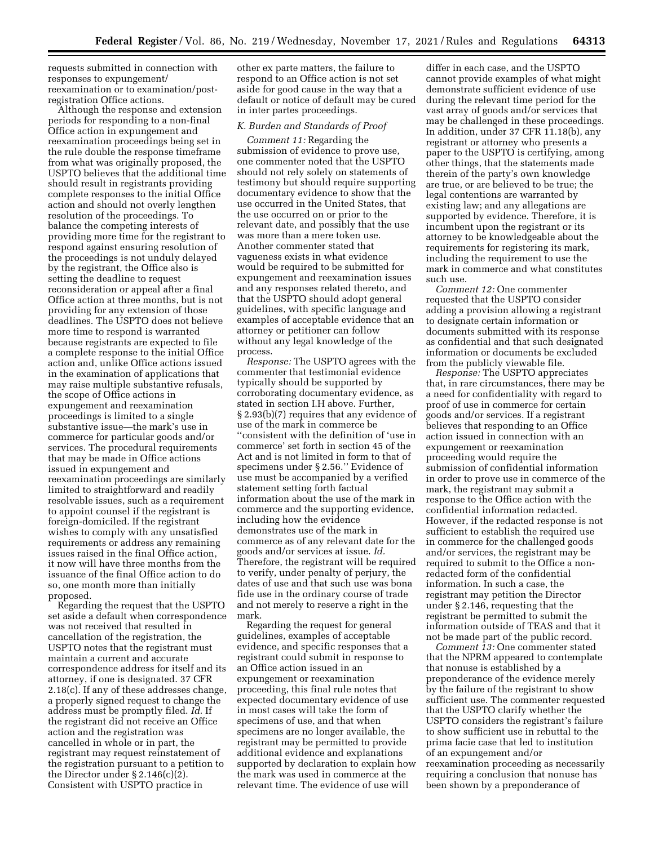requests submitted in connection with responses to expungement/ reexamination or to examination/postregistration Office actions.

Although the response and extension periods for responding to a non-final Office action in expungement and reexamination proceedings being set in the rule double the response timeframe from what was originally proposed, the USPTO believes that the additional time should result in registrants providing complete responses to the initial Office action and should not overly lengthen resolution of the proceedings. To balance the competing interests of providing more time for the registrant to respond against ensuring resolution of the proceedings is not unduly delayed by the registrant, the Office also is setting the deadline to request reconsideration or appeal after a final Office action at three months, but is not providing for any extension of those deadlines. The USPTO does not believe more time to respond is warranted because registrants are expected to file a complete response to the initial Office action and, unlike Office actions issued in the examination of applications that may raise multiple substantive refusals, the scope of Office actions in expungement and reexamination proceedings is limited to a single substantive issue—the mark's use in commerce for particular goods and/or services. The procedural requirements that may be made in Office actions issued in expungement and reexamination proceedings are similarly limited to straightforward and readily resolvable issues, such as a requirement to appoint counsel if the registrant is foreign-domiciled. If the registrant wishes to comply with any unsatisfied requirements or address any remaining issues raised in the final Office action, it now will have three months from the issuance of the final Office action to do so, one month more than initially proposed.

Regarding the request that the USPTO set aside a default when correspondence was not received that resulted in cancellation of the registration, the USPTO notes that the registrant must maintain a current and accurate correspondence address for itself and its attorney, if one is designated. 37 CFR 2.18(c). If any of these addresses change, a properly signed request to change the address must be promptly filed. *Id.* If the registrant did not receive an Office action and the registration was cancelled in whole or in part, the registrant may request reinstatement of the registration pursuant to a petition to the Director under  $\S 2.146(c)(2)$ . Consistent with USPTO practice in

other ex parte matters, the failure to respond to an Office action is not set aside for good cause in the way that a default or notice of default may be cured in inter partes proceedings.

# *K. Burden and Standards of Proof*

*Comment 11:* Regarding the submission of evidence to prove use, one commenter noted that the USPTO should not rely solely on statements of testimony but should require supporting documentary evidence to show that the use occurred in the United States, that the use occurred on or prior to the relevant date, and possibly that the use was more than a mere token use. Another commenter stated that vagueness exists in what evidence would be required to be submitted for expungement and reexamination issues and any responses related thereto, and that the USPTO should adopt general guidelines, with specific language and examples of acceptable evidence that an attorney or petitioner can follow without any legal knowledge of the process.

*Response:* The USPTO agrees with the commenter that testimonial evidence typically should be supported by corroborating documentary evidence, as stated in section I.H above. Further, § 2.93(b)(7) requires that any evidence of use of the mark in commerce be ''consistent with the definition of 'use in commerce' set forth in section 45 of the Act and is not limited in form to that of specimens under § 2.56.'' Evidence of use must be accompanied by a verified statement setting forth factual information about the use of the mark in commerce and the supporting evidence, including how the evidence demonstrates use of the mark in commerce as of any relevant date for the goods and/or services at issue. *Id.*  Therefore, the registrant will be required to verify, under penalty of perjury, the dates of use and that such use was bona fide use in the ordinary course of trade and not merely to reserve a right in the mark.

Regarding the request for general guidelines, examples of acceptable evidence, and specific responses that a registrant could submit in response to an Office action issued in an expungement or reexamination proceeding, this final rule notes that expected documentary evidence of use in most cases will take the form of specimens of use, and that when specimens are no longer available, the registrant may be permitted to provide additional evidence and explanations supported by declaration to explain how the mark was used in commerce at the relevant time. The evidence of use will

differ in each case, and the USPTO cannot provide examples of what might demonstrate sufficient evidence of use during the relevant time period for the vast array of goods and/or services that may be challenged in these proceedings. In addition, under 37 CFR 11.18(b), any registrant or attorney who presents a paper to the USPTO is certifying, among other things, that the statements made therein of the party's own knowledge are true, or are believed to be true; the legal contentions are warranted by existing law; and any allegations are supported by evidence. Therefore, it is incumbent upon the registrant or its attorney to be knowledgeable about the requirements for registering its mark, including the requirement to use the mark in commerce and what constitutes such use.

*Comment 12:* One commenter requested that the USPTO consider adding a provision allowing a registrant to designate certain information or documents submitted with its response as confidential and that such designated information or documents be excluded from the publicly viewable file.

*Response:* The USPTO appreciates that, in rare circumstances, there may be a need for confidentiality with regard to proof of use in commerce for certain goods and/or services. If a registrant believes that responding to an Office action issued in connection with an expungement or reexamination proceeding would require the submission of confidential information in order to prove use in commerce of the mark, the registrant may submit a response to the Office action with the confidential information redacted. However, if the redacted response is not sufficient to establish the required use in commerce for the challenged goods and/or services, the registrant may be required to submit to the Office a nonredacted form of the confidential information. In such a case, the registrant may petition the Director under § 2.146, requesting that the registrant be permitted to submit the information outside of TEAS and that it not be made part of the public record.

*Comment 13:* One commenter stated that the NPRM appeared to contemplate that nonuse is established by a preponderance of the evidence merely by the failure of the registrant to show sufficient use. The commenter requested that the USPTO clarify whether the USPTO considers the registrant's failure to show sufficient use in rebuttal to the prima facie case that led to institution of an expungement and/or reexamination proceeding as necessarily requiring a conclusion that nonuse has been shown by a preponderance of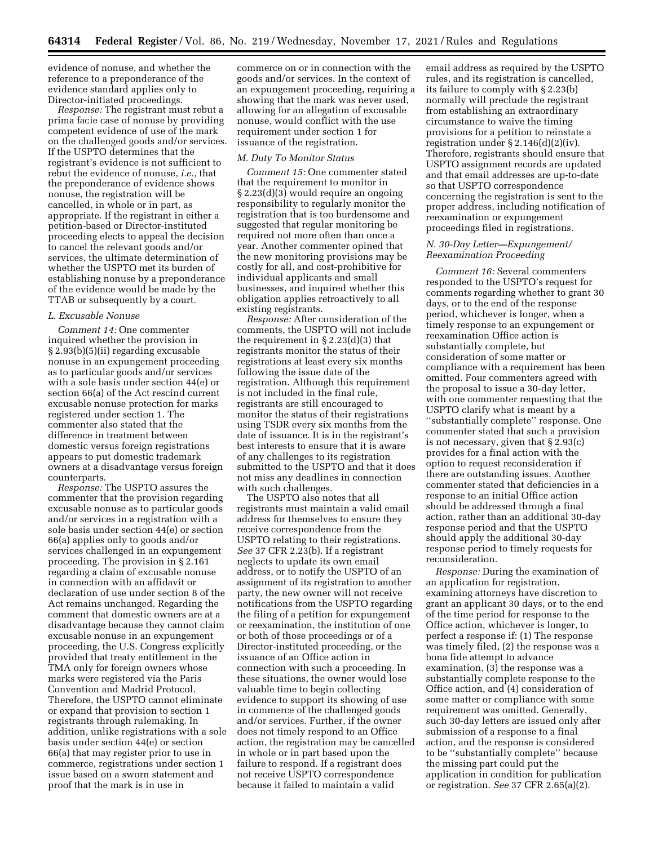evidence of nonuse, and whether the reference to a preponderance of the evidence standard applies only to Director-initiated proceedings.

*Response:* The registrant must rebut a prima facie case of nonuse by providing competent evidence of use of the mark on the challenged goods and/or services. If the USPTO determines that the registrant's evidence is not sufficient to rebut the evidence of nonuse, *i.e.,* that the preponderance of evidence shows nonuse, the registration will be cancelled, in whole or in part, as appropriate. If the registrant in either a petition-based or Director-instituted proceeding elects to appeal the decision to cancel the relevant goods and/or services, the ultimate determination of whether the USPTO met its burden of establishing nonuse by a preponderance of the evidence would be made by the TTAB or subsequently by a court.

# *L. Excusable Nonuse*

*Comment 14:* One commenter inquired whether the provision in § 2.93(b)(5)(ii) regarding excusable nonuse in an expungement proceeding as to particular goods and/or services with a sole basis under section 44(e) or section 66(a) of the Act rescind current excusable nonuse protection for marks registered under section 1. The commenter also stated that the difference in treatment between domestic versus foreign registrations appears to put domestic trademark owners at a disadvantage versus foreign counterparts.

*Response:* The USPTO assures the commenter that the provision regarding excusable nonuse as to particular goods and/or services in a registration with a sole basis under section 44(e) or section 66(a) applies only to goods and/or services challenged in an expungement proceeding. The provision in § 2.161 regarding a claim of excusable nonuse in connection with an affidavit or declaration of use under section 8 of the Act remains unchanged. Regarding the comment that domestic owners are at a disadvantage because they cannot claim excusable nonuse in an expungement proceeding, the U.S. Congress explicitly provided that treaty entitlement in the TMA only for foreign owners whose marks were registered via the Paris Convention and Madrid Protocol. Therefore, the USPTO cannot eliminate or expand that provision to section 1 registrants through rulemaking. In addition, unlike registrations with a sole basis under section 44(e) or section 66(a) that may register prior to use in commerce, registrations under section 1 issue based on a sworn statement and proof that the mark is in use in

commerce on or in connection with the goods and/or services. In the context of an expungement proceeding, requiring a showing that the mark was never used, allowing for an allegation of excusable nonuse, would conflict with the use requirement under section 1 for issuance of the registration.

## *M. Duty To Monitor Status*

*Comment 15:* One commenter stated that the requirement to monitor in § 2.23(d)(3) would require an ongoing responsibility to regularly monitor the registration that is too burdensome and suggested that regular monitoring be required not more often than once a year. Another commenter opined that the new monitoring provisions may be costly for all, and cost-prohibitive for individual applicants and small businesses, and inquired whether this obligation applies retroactively to all existing registrants.

*Response:* After consideration of the comments, the USPTO will not include the requirement in  $\S 2.23(d)(3)$  that registrants monitor the status of their registrations at least every six months following the issue date of the registration. Although this requirement is not included in the final rule, registrants are still encouraged to monitor the status of their registrations using TSDR every six months from the date of issuance. It is in the registrant's best interests to ensure that it is aware of any challenges to its registration submitted to the USPTO and that it does not miss any deadlines in connection with such challenges.

The USPTO also notes that all registrants must maintain a valid email address for themselves to ensure they receive correspondence from the USPTO relating to their registrations. *See* 37 CFR 2.23(b). If a registrant neglects to update its own email address, or to notify the USPTO of an assignment of its registration to another party, the new owner will not receive notifications from the USPTO regarding the filing of a petition for expungement or reexamination, the institution of one or both of those proceedings or of a Director-instituted proceeding, or the issuance of an Office action in connection with such a proceeding. In these situations, the owner would lose valuable time to begin collecting evidence to support its showing of use in commerce of the challenged goods and/or services. Further, if the owner does not timely respond to an Office action, the registration may be cancelled in whole or in part based upon the failure to respond. If a registrant does not receive USPTO correspondence because it failed to maintain a valid

email address as required by the USPTO rules, and its registration is cancelled, its failure to comply with § 2.23(b) normally will preclude the registrant from establishing an extraordinary circumstance to waive the timing provisions for a petition to reinstate a registration under  $\S 2.146(d)(2)(iv)$ . Therefore, registrants should ensure that USPTO assignment records are updated and that email addresses are up-to-date so that USPTO correspondence concerning the registration is sent to the proper address, including notification of reexamination or expungement proceedings filed in registrations.

# *N. 30-Day Letter—Expungement/ Reexamination Proceeding*

*Comment 16:* Several commenters responded to the USPTO's request for comments regarding whether to grant 30 days, or to the end of the response period, whichever is longer, when a timely response to an expungement or reexamination Office action is substantially complete, but consideration of some matter or compliance with a requirement has been omitted. Four commenters agreed with the proposal to issue a 30-day letter, with one commenter requesting that the USPTO clarify what is meant by a ''substantially complete'' response. One commenter stated that such a provision is not necessary, given that § 2.93(c) provides for a final action with the option to request reconsideration if there are outstanding issues. Another commenter stated that deficiencies in a response to an initial Office action should be addressed through a final action, rather than an additional 30-day response period and that the USPTO should apply the additional 30-day response period to timely requests for reconsideration.

*Response:* During the examination of an application for registration, examining attorneys have discretion to grant an applicant 30 days, or to the end of the time period for response to the Office action, whichever is longer, to perfect a response if: (1) The response was timely filed, (2) the response was a bona fide attempt to advance examination, (3) the response was a substantially complete response to the Office action, and (4) consideration of some matter or compliance with some requirement was omitted. Generally, such 30-day letters are issued only after submission of a response to a final action, and the response is considered to be ''substantially complete'' because the missing part could put the application in condition for publication or registration. *See* 37 CFR 2.65(a)(2).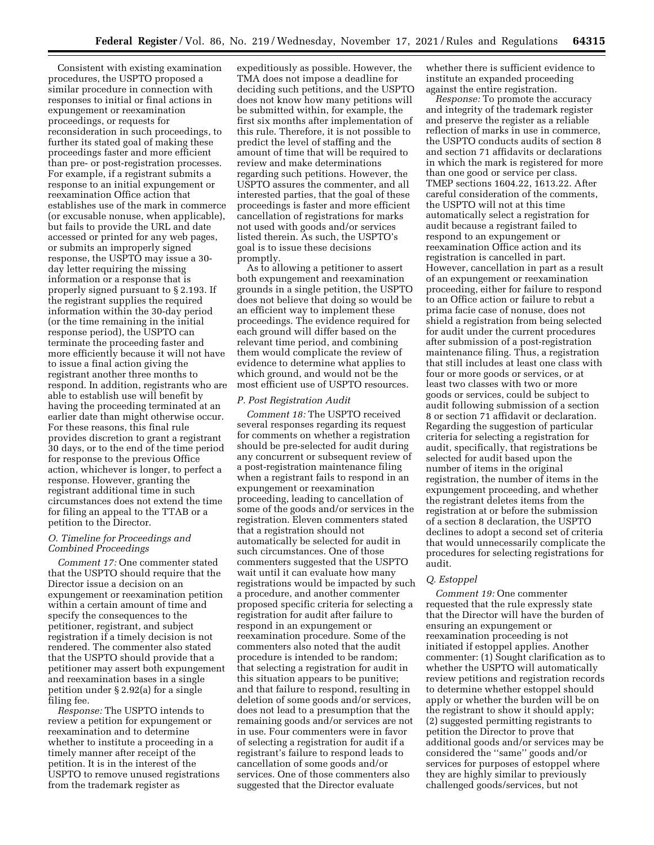Consistent with existing examination procedures, the USPTO proposed a similar procedure in connection with responses to initial or final actions in expungement or reexamination proceedings, or requests for reconsideration in such proceedings, to further its stated goal of making these proceedings faster and more efficient than pre- or post-registration processes. For example, if a registrant submits a response to an initial expungement or reexamination Office action that establishes use of the mark in commerce (or excusable nonuse, when applicable), but fails to provide the URL and date accessed or printed for any web pages, or submits an improperly signed response, the USPTO may issue a 30 day letter requiring the missing information or a response that is properly signed pursuant to § 2.193. If the registrant supplies the required information within the 30-day period (or the time remaining in the initial response period), the USPTO can terminate the proceeding faster and more efficiently because it will not have to issue a final action giving the registrant another three months to respond. In addition, registrants who are able to establish use will benefit by having the proceeding terminated at an earlier date than might otherwise occur. For these reasons, this final rule provides discretion to grant a registrant 30 days, or to the end of the time period for response to the previous Office action, whichever is longer, to perfect a response. However, granting the registrant additional time in such circumstances does not extend the time for filing an appeal to the TTAB or a petition to the Director.

# *O. Timeline for Proceedings and Combined Proceedings*

*Comment 17:* One commenter stated that the USPTO should require that the Director issue a decision on an expungement or reexamination petition within a certain amount of time and specify the consequences to the petitioner, registrant, and subject registration if a timely decision is not rendered. The commenter also stated that the USPTO should provide that a petitioner may assert both expungement and reexamination bases in a single petition under § 2.92(a) for a single filing fee.

*Response:* The USPTO intends to review a petition for expungement or reexamination and to determine whether to institute a proceeding in a timely manner after receipt of the petition. It is in the interest of the USPTO to remove unused registrations from the trademark register as

expeditiously as possible. However, the TMA does not impose a deadline for deciding such petitions, and the USPTO does not know how many petitions will be submitted within, for example, the first six months after implementation of this rule. Therefore, it is not possible to predict the level of staffing and the amount of time that will be required to review and make determinations regarding such petitions. However, the USPTO assures the commenter, and all interested parties, that the goal of these proceedings is faster and more efficient cancellation of registrations for marks not used with goods and/or services listed therein. As such, the USPTO's goal is to issue these decisions promptly.

As to allowing a petitioner to assert both expungement and reexamination grounds in a single petition, the USPTO does not believe that doing so would be an efficient way to implement these proceedings. The evidence required for each ground will differ based on the relevant time period, and combining them would complicate the review of evidence to determine what applies to which ground, and would not be the most efficient use of USPTO resources.

## *P. Post Registration Audit*

*Comment 18:* The USPTO received several responses regarding its request for comments on whether a registration should be pre-selected for audit during any concurrent or subsequent review of a post-registration maintenance filing when a registrant fails to respond in an expungement or reexamination proceeding, leading to cancellation of some of the goods and/or services in the registration. Eleven commenters stated that a registration should not automatically be selected for audit in such circumstances. One of those commenters suggested that the USPTO wait until it can evaluate how many registrations would be impacted by such a procedure, and another commenter proposed specific criteria for selecting a registration for audit after failure to respond in an expungement or reexamination procedure. Some of the commenters also noted that the audit procedure is intended to be random; that selecting a registration for audit in this situation appears to be punitive; and that failure to respond, resulting in deletion of some goods and/or services, does not lead to a presumption that the remaining goods and/or services are not in use. Four commenters were in favor of selecting a registration for audit if a registrant's failure to respond leads to cancellation of some goods and/or services. One of those commenters also suggested that the Director evaluate

whether there is sufficient evidence to institute an expanded proceeding against the entire registration.

*Response:* To promote the accuracy and integrity of the trademark register and preserve the register as a reliable reflection of marks in use in commerce, the USPTO conducts audits of section 8 and section 71 affidavits or declarations in which the mark is registered for more than one good or service per class. TMEP sections 1604.22, 1613.22. After careful consideration of the comments, the USPTO will not at this time automatically select a registration for audit because a registrant failed to respond to an expungement or reexamination Office action and its registration is cancelled in part. However, cancellation in part as a result of an expungement or reexamination proceeding, either for failure to respond to an Office action or failure to rebut a prima facie case of nonuse, does not shield a registration from being selected for audit under the current procedures after submission of a post-registration maintenance filing. Thus, a registration that still includes at least one class with four or more goods or services, or at least two classes with two or more goods or services, could be subject to audit following submission of a section 8 or section 71 affidavit or declaration. Regarding the suggestion of particular criteria for selecting a registration for audit, specifically, that registrations be selected for audit based upon the number of items in the original registration, the number of items in the expungement proceeding, and whether the registrant deletes items from the registration at or before the submission of a section 8 declaration, the USPTO declines to adopt a second set of criteria that would unnecessarily complicate the procedures for selecting registrations for audit.

# *Q. Estoppel*

*Comment 19:* One commenter requested that the rule expressly state that the Director will have the burden of ensuring an expungement or reexamination proceeding is not initiated if estoppel applies. Another commenter: (1) Sought clarification as to whether the USPTO will automatically review petitions and registration records to determine whether estoppel should apply or whether the burden will be on the registrant to show it should apply; (2) suggested permitting registrants to petition the Director to prove that additional goods and/or services may be considered the ''same'' goods and/or services for purposes of estoppel where they are highly similar to previously challenged goods/services, but not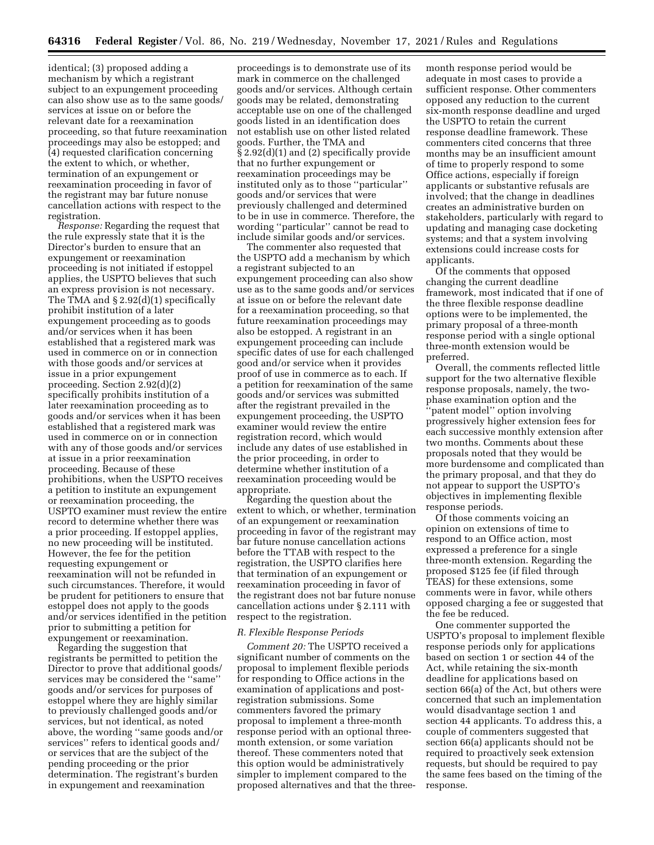identical; (3) proposed adding a mechanism by which a registrant subject to an expungement proceeding can also show use as to the same goods/ services at issue on or before the relevant date for a reexamination proceeding, so that future reexamination proceedings may also be estopped; and (4) requested clarification concerning the extent to which, or whether, termination of an expungement or reexamination proceeding in favor of the registrant may bar future nonuse cancellation actions with respect to the registration.

*Response:* Regarding the request that the rule expressly state that it is the Director's burden to ensure that an expungement or reexamination proceeding is not initiated if estoppel applies, the USPTO believes that such an express provision is not necessary. The TMA and § 2.92(d)(1) specifically prohibit institution of a later expungement proceeding as to goods and/or services when it has been established that a registered mark was used in commerce on or in connection with those goods and/or services at issue in a prior expungement proceeding. Section 2.92(d)(2) specifically prohibits institution of a later reexamination proceeding as to goods and/or services when it has been established that a registered mark was used in commerce on or in connection with any of those goods and/or services at issue in a prior reexamination proceeding. Because of these prohibitions, when the USPTO receives a petition to institute an expungement or reexamination proceeding, the USPTO examiner must review the entire record to determine whether there was a prior proceeding. If estoppel applies, no new proceeding will be instituted. However, the fee for the petition requesting expungement or reexamination will not be refunded in such circumstances. Therefore, it would be prudent for petitioners to ensure that estoppel does not apply to the goods and/or services identified in the petition prior to submitting a petition for expungement or reexamination.

Regarding the suggestion that registrants be permitted to petition the Director to prove that additional goods/ services may be considered the ''same'' goods and/or services for purposes of estoppel where they are highly similar to previously challenged goods and/or services, but not identical, as noted above, the wording ''same goods and/or services'' refers to identical goods and/ or services that are the subject of the pending proceeding or the prior determination. The registrant's burden in expungement and reexamination

proceedings is to demonstrate use of its mark in commerce on the challenged goods and/or services. Although certain goods may be related, demonstrating acceptable use on one of the challenged goods listed in an identification does not establish use on other listed related goods. Further, the TMA and § 2.92(d)(1) and (2) specifically provide that no further expungement or reexamination proceedings may be instituted only as to those ''particular'' goods and/or services that were previously challenged and determined to be in use in commerce. Therefore, the wording ''particular'' cannot be read to include similar goods and/or services.

The commenter also requested that the USPTO add a mechanism by which a registrant subjected to an expungement proceeding can also show use as to the same goods and/or services at issue on or before the relevant date for a reexamination proceeding, so that future reexamination proceedings may also be estopped. A registrant in an expungement proceeding can include specific dates of use for each challenged good and/or service when it provides proof of use in commerce as to each. If a petition for reexamination of the same goods and/or services was submitted after the registrant prevailed in the expungement proceeding, the USPTO examiner would review the entire registration record, which would include any dates of use established in the prior proceeding, in order to determine whether institution of a reexamination proceeding would be appropriate.

Regarding the question about the extent to which, or whether, termination of an expungement or reexamination proceeding in favor of the registrant may bar future nonuse cancellation actions before the TTAB with respect to the registration, the USPTO clarifies here that termination of an expungement or reexamination proceeding in favor of the registrant does not bar future nonuse cancellation actions under § 2.111 with respect to the registration.

## *R. Flexible Response Periods*

*Comment 20:* The USPTO received a significant number of comments on the proposal to implement flexible periods for responding to Office actions in the examination of applications and postregistration submissions. Some commenters favored the primary proposal to implement a three-month response period with an optional threemonth extension, or some variation thereof. These commenters noted that this option would be administratively simpler to implement compared to the proposed alternatives and that the three-

month response period would be adequate in most cases to provide a sufficient response. Other commenters opposed any reduction to the current six-month response deadline and urged the USPTO to retain the current response deadline framework. These commenters cited concerns that three months may be an insufficient amount of time to properly respond to some Office actions, especially if foreign applicants or substantive refusals are involved; that the change in deadlines creates an administrative burden on stakeholders, particularly with regard to updating and managing case docketing systems; and that a system involving extensions could increase costs for applicants.

Of the comments that opposed changing the current deadline framework, most indicated that if one of the three flexible response deadline options were to be implemented, the primary proposal of a three-month response period with a single optional three-month extension would be preferred.

Overall, the comments reflected little support for the two alternative flexible response proposals, namely, the twophase examination option and the 'patent model'' option involving progressively higher extension fees for each successive monthly extension after two months. Comments about these proposals noted that they would be more burdensome and complicated than the primary proposal, and that they do not appear to support the USPTO's objectives in implementing flexible response periods.

Of those comments voicing an opinion on extensions of time to respond to an Office action, most expressed a preference for a single three-month extension. Regarding the proposed \$125 fee (if filed through TEAS) for these extensions, some comments were in favor, while others opposed charging a fee or suggested that the fee be reduced.

One commenter supported the USPTO's proposal to implement flexible response periods only for applications based on section 1 or section 44 of the Act, while retaining the six-month deadline for applications based on section 66(a) of the Act, but others were concerned that such an implementation would disadvantage section 1 and section 44 applicants. To address this, a couple of commenters suggested that section 66(a) applicants should not be required to proactively seek extension requests, but should be required to pay the same fees based on the timing of the response.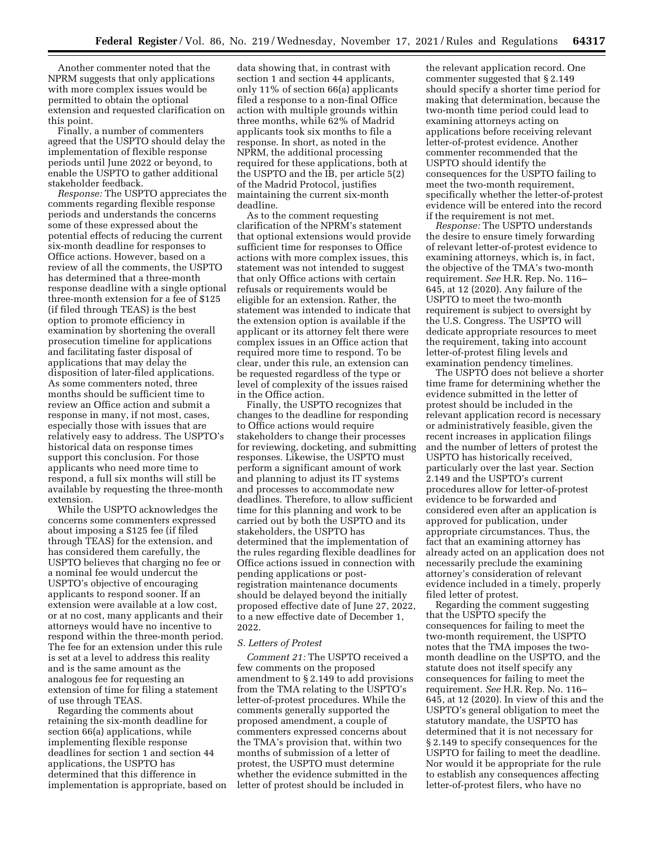Another commenter noted that the NPRM suggests that only applications with more complex issues would be permitted to obtain the optional extension and requested clarification on this point.

Finally, a number of commenters agreed that the USPTO should delay the implementation of flexible response periods until June 2022 or beyond, to enable the USPTO to gather additional stakeholder feedback.

*Response:* The USPTO appreciates the comments regarding flexible response periods and understands the concerns some of these expressed about the potential effects of reducing the current six-month deadline for responses to Office actions. However, based on a review of all the comments, the USPTO has determined that a three-month response deadline with a single optional three-month extension for a fee of \$125 (if filed through TEAS) is the best option to promote efficiency in examination by shortening the overall prosecution timeline for applications and facilitating faster disposal of applications that may delay the disposition of later-filed applications. As some commenters noted, three months should be sufficient time to review an Office action and submit a response in many, if not most, cases, especially those with issues that are relatively easy to address. The USPTO's historical data on response times support this conclusion. For those applicants who need more time to respond, a full six months will still be available by requesting the three-month extension.

While the USPTO acknowledges the concerns some commenters expressed about imposing a \$125 fee (if filed through TEAS) for the extension, and has considered them carefully, the USPTO believes that charging no fee or a nominal fee would undercut the USPTO's objective of encouraging applicants to respond sooner. If an extension were available at a low cost, or at no cost, many applicants and their attorneys would have no incentive to respond within the three-month period. The fee for an extension under this rule is set at a level to address this reality and is the same amount as the analogous fee for requesting an extension of time for filing a statement of use through TEAS.

Regarding the comments about retaining the six-month deadline for section 66(a) applications, while implementing flexible response deadlines for section 1 and section 44 applications, the USPTO has determined that this difference in implementation is appropriate, based on

data showing that, in contrast with section 1 and section 44 applicants, only 11% of section 66(a) applicants filed a response to a non-final Office action with multiple grounds within three months, while 62% of Madrid applicants took six months to file a response. In short, as noted in the NPRM, the additional processing required for these applications, both at the USPTO and the IB, per article 5(2) of the Madrid Protocol, justifies maintaining the current six-month deadline.

As to the comment requesting clarification of the NPRM's statement that optional extensions would provide sufficient time for responses to Office actions with more complex issues, this statement was not intended to suggest that only Office actions with certain refusals or requirements would be eligible for an extension. Rather, the statement was intended to indicate that the extension option is available if the applicant or its attorney felt there were complex issues in an Office action that required more time to respond. To be clear, under this rule, an extension can be requested regardless of the type or level of complexity of the issues raised in the Office action.

Finally, the USPTO recognizes that changes to the deadline for responding to Office actions would require stakeholders to change their processes for reviewing, docketing, and submitting responses. Likewise, the USPTO must perform a significant amount of work and planning to adjust its IT systems and processes to accommodate new deadlines. Therefore, to allow sufficient time for this planning and work to be carried out by both the USPTO and its stakeholders, the USPTO has determined that the implementation of the rules regarding flexible deadlines for Office actions issued in connection with pending applications or postregistration maintenance documents should be delayed beyond the initially proposed effective date of June 27, 2022, to a new effective date of December 1, 2022.

# *S. Letters of Protest*

*Comment 21:* The USPTO received a few comments on the proposed amendment to § 2.149 to add provisions from the TMA relating to the USPTO's letter-of-protest procedures. While the comments generally supported the proposed amendment, a couple of commenters expressed concerns about the TMA's provision that, within two months of submission of a letter of protest, the USPTO must determine whether the evidence submitted in the letter of protest should be included in

the relevant application record. One commenter suggested that § 2.149 should specify a shorter time period for making that determination, because the two-month time period could lead to examining attorneys acting on applications before receiving relevant letter-of-protest evidence. Another commenter recommended that the USPTO should identify the consequences for the USPTO failing to meet the two-month requirement, specifically whether the letter-of-protest evidence will be entered into the record if the requirement is not met.

*Response:* The USPTO understands the desire to ensure timely forwarding of relevant letter-of-protest evidence to examining attorneys, which is, in fact, the objective of the TMA's two-month requirement. *See* H.R. Rep. No. 116– 645, at 12 (2020). Any failure of the USPTO to meet the two-month requirement is subject to oversight by the U.S. Congress. The USPTO will dedicate appropriate resources to meet the requirement, taking into account letter-of-protest filing levels and examination pendency timelines.

The USPTO does not believe a shorter time frame for determining whether the evidence submitted in the letter of protest should be included in the relevant application record is necessary or administratively feasible, given the recent increases in application filings and the number of letters of protest the USPTO has historically received, particularly over the last year. Section 2.149 and the USPTO's current procedures allow for letter-of-protest evidence to be forwarded and considered even after an application is approved for publication, under appropriate circumstances. Thus, the fact that an examining attorney has already acted on an application does not necessarily preclude the examining attorney's consideration of relevant evidence included in a timely, properly filed letter of protest.

Regarding the comment suggesting that the USPTO specify the consequences for failing to meet the two-month requirement, the USPTO notes that the TMA imposes the twomonth deadline on the USPTO, and the statute does not itself specify any consequences for failing to meet the requirement. *See* H.R. Rep. No. 116– 645, at 12 (2020). In view of this and the USPTO's general obligation to meet the statutory mandate, the USPTO has determined that it is not necessary for § 2.149 to specify consequences for the USPTO for failing to meet the deadline. Nor would it be appropriate for the rule to establish any consequences affecting letter-of-protest filers, who have no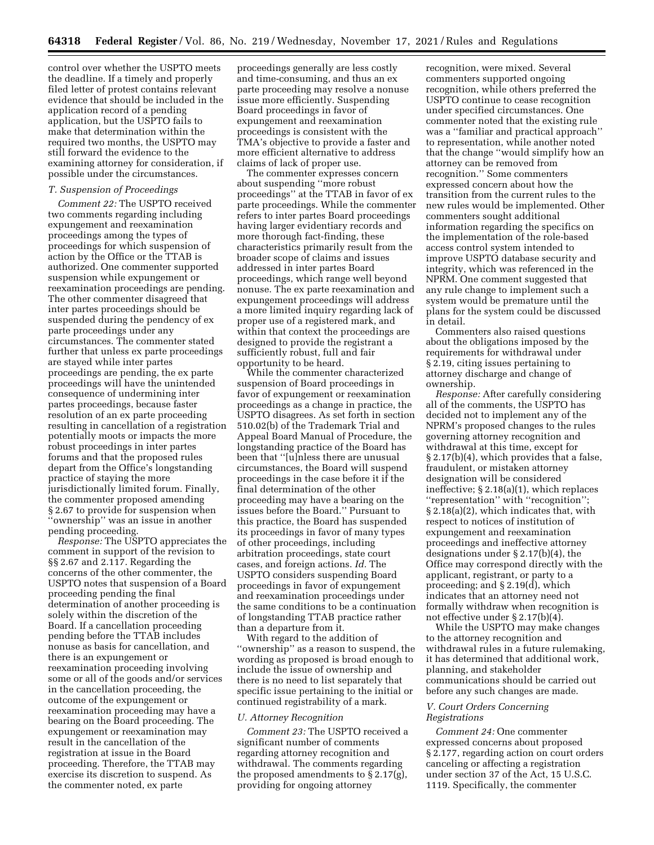control over whether the USPTO meets the deadline. If a timely and properly filed letter of protest contains relevant evidence that should be included in the application record of a pending application, but the USPTO fails to make that determination within the required two months, the USPTO may still forward the evidence to the examining attorney for consideration, if possible under the circumstances.

#### *T. Suspension of Proceedings*

*Comment 22:* The USPTO received two comments regarding including expungement and reexamination proceedings among the types of proceedings for which suspension of action by the Office or the TTAB is authorized. One commenter supported suspension while expungement or reexamination proceedings are pending. The other commenter disagreed that inter partes proceedings should be suspended during the pendency of ex parte proceedings under any circumstances. The commenter stated further that unless ex parte proceedings are stayed while inter partes proceedings are pending, the ex parte proceedings will have the unintended consequence of undermining inter partes proceedings, because faster resolution of an ex parte proceeding resulting in cancellation of a registration potentially moots or impacts the more robust proceedings in inter partes forums and that the proposed rules depart from the Office's longstanding practice of staying the more jurisdictionally limited forum. Finally, the commenter proposed amending § 2.67 to provide for suspension when ''ownership'' was an issue in another pending proceeding.

*Response:* The USPTO appreciates the comment in support of the revision to §§ 2.67 and 2.117. Regarding the concerns of the other commenter, the USPTO notes that suspension of a Board proceeding pending the final determination of another proceeding is solely within the discretion of the Board. If a cancellation proceeding pending before the TTAB includes nonuse as basis for cancellation, and there is an expungement or reexamination proceeding involving some or all of the goods and/or services in the cancellation proceeding, the outcome of the expungement or reexamination proceeding may have a bearing on the Board proceeding. The expungement or reexamination may result in the cancellation of the registration at issue in the Board proceeding. Therefore, the TTAB may exercise its discretion to suspend. As the commenter noted, ex parte

proceedings generally are less costly and time-consuming, and thus an ex parte proceeding may resolve a nonuse issue more efficiently. Suspending Board proceedings in favor of expungement and reexamination proceedings is consistent with the TMA's objective to provide a faster and more efficient alternative to address claims of lack of proper use.

The commenter expresses concern about suspending ''more robust proceedings'' at the TTAB in favor of ex parte proceedings. While the commenter refers to inter partes Board proceedings having larger evidentiary records and more thorough fact-finding, these characteristics primarily result from the broader scope of claims and issues addressed in inter partes Board proceedings, which range well beyond nonuse. The ex parte reexamination and expungement proceedings will address a more limited inquiry regarding lack of proper use of a registered mark, and within that context the proceedings are designed to provide the registrant a sufficiently robust, full and fair opportunity to be heard.

While the commenter characterized suspension of Board proceedings in favor of expungement or reexamination proceedings as a change in practice, the USPTO disagrees. As set forth in section 510.02(b) of the Trademark Trial and Appeal Board Manual of Procedure, the longstanding practice of the Board has been that ''[u]nless there are unusual circumstances, the Board will suspend proceedings in the case before it if the final determination of the other proceeding may have a bearing on the issues before the Board.'' Pursuant to this practice, the Board has suspended its proceedings in favor of many types of other proceedings, including arbitration proceedings, state court cases, and foreign actions. *Id.* The USPTO considers suspending Board proceedings in favor of expungement and reexamination proceedings under the same conditions to be a continuation of longstanding TTAB practice rather than a departure from it.

With regard to the addition of ''ownership'' as a reason to suspend, the wording as proposed is broad enough to include the issue of ownership and there is no need to list separately that specific issue pertaining to the initial or continued registrability of a mark.

#### *U. Attorney Recognition*

*Comment 23:* The USPTO received a significant number of comments regarding attorney recognition and withdrawal. The comments regarding the proposed amendments to § 2.17(g), providing for ongoing attorney

recognition, were mixed. Several commenters supported ongoing recognition, while others preferred the USPTO continue to cease recognition under specified circumstances. One commenter noted that the existing rule was a ''familiar and practical approach'' to representation, while another noted that the change ''would simplify how an attorney can be removed from recognition.'' Some commenters expressed concern about how the transition from the current rules to the new rules would be implemented. Other commenters sought additional information regarding the specifics on the implementation of the role-based access control system intended to improve USPTO database security and integrity, which was referenced in the NPRM. One comment suggested that any rule change to implement such a system would be premature until the plans for the system could be discussed in detail.

Commenters also raised questions about the obligations imposed by the requirements for withdrawal under § 2.19, citing issues pertaining to attorney discharge and change of ownership.

*Response:* After carefully considering all of the comments, the USPTO has decided not to implement any of the NPRM's proposed changes to the rules governing attorney recognition and withdrawal at this time, except for § 2.17(b)(4), which provides that a false, fraudulent, or mistaken attorney designation will be considered ineffective; § 2.18(a)(1), which replaces ''representation'' with ''recognition''; § 2.18(a)(2), which indicates that, with respect to notices of institution of expungement and reexamination proceedings and ineffective attorney designations under § 2.17(b)(4), the Office may correspond directly with the applicant, registrant, or party to a proceeding; and § 2.19(d), which indicates that an attorney need not formally withdraw when recognition is not effective under § 2.17(b)(4).

While the USPTO may make changes to the attorney recognition and withdrawal rules in a future rulemaking, it has determined that additional work, planning, and stakeholder communications should be carried out before any such changes are made.

## *V. Court Orders Concerning Registrations*

*Comment 24:* One commenter expressed concerns about proposed § 2.177, regarding action on court orders canceling or affecting a registration under section 37 of the Act, 15 U.S.C. 1119. Specifically, the commenter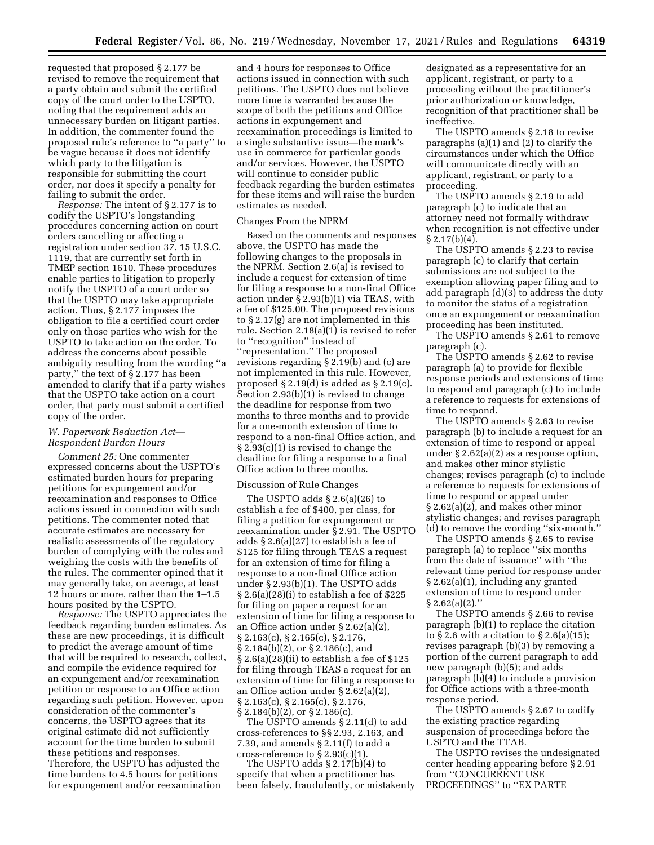requested that proposed § 2.177 be revised to remove the requirement that a party obtain and submit the certified copy of the court order to the USPTO, noting that the requirement adds an unnecessary burden on litigant parties. In addition, the commenter found the proposed rule's reference to ''a party'' to be vague because it does not identify which party to the litigation is responsible for submitting the court order, nor does it specify a penalty for failing to submit the order.

*Response:* The intent of § 2.177 is to codify the USPTO's longstanding procedures concerning action on court orders cancelling or affecting a registration under section 37, 15 U.S.C. 1119, that are currently set forth in TMEP section 1610. These procedures enable parties to litigation to properly notify the USPTO of a court order so that the USPTO may take appropriate action. Thus, § 2.177 imposes the obligation to file a certified court order only on those parties who wish for the USPTO to take action on the order. To address the concerns about possible ambiguity resulting from the wording ' party,'' the text of § 2.177 has been amended to clarify that if a party wishes that the USPTO take action on a court order, that party must submit a certified copy of the order.

# *W. Paperwork Reduction Act— Respondent Burden Hours*

*Comment 25:* One commenter expressed concerns about the USPTO's estimated burden hours for preparing petitions for expungement and/or reexamination and responses to Office actions issued in connection with such petitions. The commenter noted that accurate estimates are necessary for realistic assessments of the regulatory burden of complying with the rules and weighing the costs with the benefits of the rules. The commenter opined that it may generally take, on average, at least 12 hours or more, rather than the 1–1.5 hours posited by the USPTO.

*Response:* The USPTO appreciates the feedback regarding burden estimates. As these are new proceedings, it is difficult to predict the average amount of time that will be required to research, collect, and compile the evidence required for an expungement and/or reexamination petition or response to an Office action regarding such petition. However, upon consideration of the commenter's concerns, the USPTO agrees that its original estimate did not sufficiently account for the time burden to submit these petitions and responses. Therefore, the USPTO has adjusted the time burdens to 4.5 hours for petitions for expungement and/or reexamination

and 4 hours for responses to Office actions issued in connection with such petitions. The USPTO does not believe more time is warranted because the scope of both the petitions and Office actions in expungement and reexamination proceedings is limited to a single substantive issue—the mark's use in commerce for particular goods and/or services. However, the USPTO will continue to consider public feedback regarding the burden estimates for these items and will raise the burden estimates as needed.

## Changes From the NPRM

Based on the comments and responses above, the USPTO has made the following changes to the proposals in the NPRM. Section 2.6(a) is revised to include a request for extension of time for filing a response to a non-final Office action under § 2.93(b)(1) via TEAS, with a fee of \$125.00. The proposed revisions to § 2.17(g) are not implemented in this rule. Section 2.18(a)(1) is revised to refer to ''recognition'' instead of ''representation.'' The proposed revisions regarding § 2.19(b) and (c) are not implemented in this rule. However, proposed  $\S 2.19(d)$  is added as  $\S 2.19(c)$ . Section 2.93(b)(1) is revised to change the deadline for response from two months to three months and to provide for a one-month extension of time to respond to a non-final Office action, and § 2.93(c)(1) is revised to change the deadline for filing a response to a final Office action to three months.

# Discussion of Rule Changes

The USPTO adds § 2.6(a)(26) to establish a fee of \$400, per class, for filing a petition for expungement or reexamination under § 2.91. The USPTO adds § 2.6(a)(27) to establish a fee of \$125 for filing through TEAS a request for an extension of time for filing a response to a non-final Office action under § 2.93(b)(1). The USPTO adds  $\S 2.6(a)(28)(i)$  to establish a fee of \$225 for filing on paper a request for an extension of time for filing a response to an Office action under § 2.62(a)(2), § 2.163(c), § 2.165(c), § 2.176, § 2.184(b)(2), or § 2.186(c), and  $\S 2.6(a)(28)(ii)$  to establish a fee of \$125 for filing through TEAS a request for an extension of time for filing a response to an Office action under § 2.62(a)(2), § 2.163(c), § 2.165(c), § 2.176, § 2.184(b)(2), or § 2.186(c).

The USPTO amends § 2.11(d) to add cross-references to §§ 2.93, 2.163, and 7.39, and amends § 2.11(f) to add a cross-reference to § 2.93(c)(1).

The USPTO adds § 2.17(b)(4) to specify that when a practitioner has been falsely, fraudulently, or mistakenly

designated as a representative for an applicant, registrant, or party to a proceeding without the practitioner's prior authorization or knowledge, recognition of that practitioner shall be ineffective.

The USPTO amends § 2.18 to revise paragraphs (a)(1) and (2) to clarify the circumstances under which the Office will communicate directly with an applicant, registrant, or party to a proceeding.

The USPTO amends § 2.19 to add paragraph (c) to indicate that an attorney need not formally withdraw when recognition is not effective under  $§ 2.17(b)(4).$ 

The USPTO amends § 2.23 to revise paragraph (c) to clarify that certain submissions are not subject to the exemption allowing paper filing and to add paragraph (d)(3) to address the duty to monitor the status of a registration once an expungement or reexamination proceeding has been instituted.

The USPTO amends § 2.61 to remove paragraph (c).

The USPTO amends § 2.62 to revise paragraph (a) to provide for flexible response periods and extensions of time to respond and paragraph (c) to include a reference to requests for extensions of time to respond.

The USPTO amends § 2.63 to revise paragraph (b) to include a request for an extension of time to respond or appeal under § 2.62(a)(2) as a response option, and makes other minor stylistic changes; revises paragraph (c) to include a reference to requests for extensions of time to respond or appeal under § 2.62(a)(2), and makes other minor stylistic changes; and revises paragraph (d) to remove the wording ''six-month.''

The USPTO amends § 2.65 to revise paragraph (a) to replace ''six months from the date of issuance'' with ''the relevant time period for response under § 2.62(a)(1), including any granted extension of time to respond under  $§ 2.62(a)(2).$ 

The USPTO amends § 2.66 to revise paragraph (b)(1) to replace the citation to  $\S 2.6$  with a citation to  $\S 2.6(a)(15)$ ; revises paragraph (b)(3) by removing a portion of the current paragraph to add new paragraph (b)(5); and adds paragraph (b)(4) to include a provision for Office actions with a three-month response period.

The USPTO amends § 2.67 to codify the existing practice regarding suspension of proceedings before the USPTO and the TTAB.

The USPTO revises the undesignated center heading appearing before § 2.91 from ''CONCURRENT USE PROCEEDINGS'' to ''EX PARTE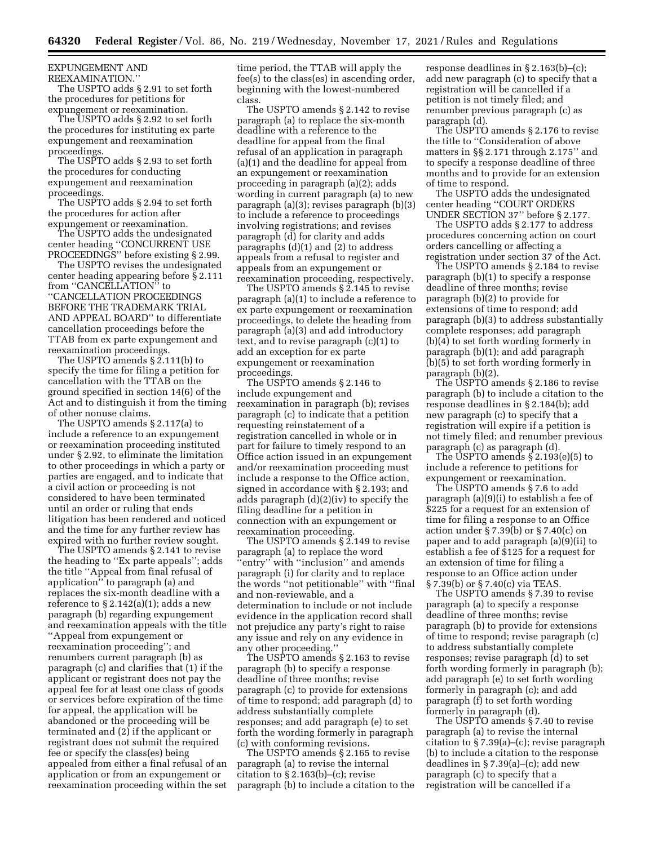EXPUNGEMENT AND

REEXAMINATION.''

The USPTO adds § 2.91 to set forth the procedures for petitions for expungement or reexamination.

The USPTO adds § 2.92 to set forth the procedures for instituting ex parte expungement and reexamination proceedings.

The USPTO adds § 2.93 to set forth the procedures for conducting expungement and reexamination proceedings.

The USPTO adds § 2.94 to set forth the procedures for action after expungement or reexamination.

The USPTO adds the undesignated center heading ''CONCURRENT USE PROCEEDINGS" before existing § 2.99.

The USPTO revises the undesignated center heading appearing before § 2.111 from ''CANCELLATION'' to ''CANCELLATION PROCEEDINGS BEFORE THE TRADEMARK TRIAL AND APPEAL BOARD'' to differentiate cancellation proceedings before the TTAB from ex parte expungement and reexamination proceedings.

The USPTO amends § 2.111(b) to specify the time for filing a petition for cancellation with the TTAB on the ground specified in section 14(6) of the Act and to distinguish it from the timing of other nonuse claims.

The USPTO amends § 2.117(a) to include a reference to an expungement or reexamination proceeding instituted under § 2.92, to eliminate the limitation to other proceedings in which a party or parties are engaged, and to indicate that a civil action or proceeding is not considered to have been terminated until an order or ruling that ends litigation has been rendered and noticed and the time for any further review has expired with no further review sought.

The USPTO amends § 2.141 to revise the heading to ''Ex parte appeals''; adds the title ''Appeal from final refusal of application'' to paragraph (a) and replaces the six-month deadline with a reference to § 2.142(a)(1); adds a new paragraph (b) regarding expungement and reexamination appeals with the title ''Appeal from expungement or reexamination proceeding''; and renumbers current paragraph (b) as paragraph (c) and clarifies that (1) if the applicant or registrant does not pay the appeal fee for at least one class of goods or services before expiration of the time for appeal, the application will be abandoned or the proceeding will be terminated and (2) if the applicant or registrant does not submit the required fee or specify the class(es) being appealed from either a final refusal of an application or from an expungement or reexamination proceeding within the set

time period, the TTAB will apply the fee(s) to the class(es) in ascending order, beginning with the lowest-numbered class.

The USPTO amends § 2.142 to revise paragraph (a) to replace the six-month deadline with a reference to the deadline for appeal from the final refusal of an application in paragraph (a)(1) and the deadline for appeal from an expungement or reexamination proceeding in paragraph (a)(2); adds wording in current paragraph (a) to new paragraph (a)(3); revises paragraph (b)(3) to include a reference to proceedings involving registrations; and revises paragraph (d) for clarity and adds paragraphs (d)(1) and (2) to address appeals from a refusal to register and appeals from an expungement or reexamination proceeding, respectively.

The USPTO amends § 2.145 to revise paragraph (a)(1) to include a reference to ex parte expungement or reexamination proceedings, to delete the heading from paragraph (a)(3) and add introductory text, and to revise paragraph (c)(1) to add an exception for ex parte expungement or reexamination proceedings.

The USPTO amends § 2.146 to include expungement and reexamination in paragraph (b); revises paragraph (c) to indicate that a petition requesting reinstatement of a registration cancelled in whole or in part for failure to timely respond to an Office action issued in an expungement and/or reexamination proceeding must include a response to the Office action, signed in accordance with § 2.193; and adds paragraph (d)(2)(iv) to specify the filing deadline for a petition in connection with an expungement or reexamination proceeding.

The USPTO amends § 2.149 to revise paragraph (a) to replace the word 'entry'' with "inclusion" and amends paragraph (i) for clarity and to replace the words ''not petitionable'' with ''final and non-reviewable, and a determination to include or not include evidence in the application record shall not prejudice any party's right to raise any issue and rely on any evidence in any other proceeding.''

The USPTO amends § 2.163 to revise paragraph (b) to specify a response deadline of three months; revise paragraph (c) to provide for extensions of time to respond; add paragraph (d) to address substantially complete responses; and add paragraph (e) to set forth the wording formerly in paragraph (c) with conforming revisions.

The USPTO amends § 2.165 to revise paragraph (a) to revise the internal citation to  $\S 2.163(b)$ –(c); revise paragraph (b) to include a citation to the response deadlines in § 2.163(b)–(c); add new paragraph (c) to specify that a registration will be cancelled if a petition is not timely filed; and renumber previous paragraph (c) as paragraph (d).

The USPTO amends § 2.176 to revise the title to ''Consideration of above matters in §§ 2.171 through 2.175'' and to specify a response deadline of three months and to provide for an extension of time to respond.

The USPTO adds the undesignated center heading ''COURT ORDERS UNDER SECTION 37'' before § 2.177.

The USPTO adds § 2.177 to address procedures concerning action on court orders cancelling or affecting a registration under section 37 of the Act.

The USPTO amends § 2.184 to revise paragraph (b)(1) to specify a response deadline of three months; revise paragraph (b)(2) to provide for extensions of time to respond; add paragraph (b)(3) to address substantially complete responses; add paragraph (b)(4) to set forth wording formerly in paragraph (b)(1); and add paragraph (b)(5) to set forth wording formerly in paragraph (b)(2).

The USPTO amends § 2.186 to revise paragraph (b) to include a citation to the response deadlines in § 2.184(b); add new paragraph (c) to specify that a registration will expire if a petition is not timely filed; and renumber previous paragraph (c) as paragraph (d).

The USPTO amends § 2.193(e)(5) to include a reference to petitions for expungement or reexamination.

The USPTO amends § 7.6 to add paragraph (a)(9)(i) to establish a fee of \$225 for a request for an extension of time for filing a response to an Office action under  $\S 7.39(b)$  or  $\S 7.40(c)$  on paper and to add paragraph (a)(9)(ii) to establish a fee of \$125 for a request for an extension of time for filing a response to an Office action under § 7.39(b) or § 7.40(c) via TEAS.

The USPTO amends § 7.39 to revise paragraph (a) to specify a response deadline of three months; revise paragraph (b) to provide for extensions of time to respond; revise paragraph (c) to address substantially complete responses; revise paragraph (d) to set forth wording formerly in paragraph (b); add paragraph (e) to set forth wording formerly in paragraph (c); and add paragraph (f) to set forth wording formerly in paragraph (d).

The USPTO amends § 7.40 to revise paragraph (a) to revise the internal citation to § 7.39(a)–(c); revise paragraph (b) to include a citation to the response deadlines in § 7.39(a)–(c); add new paragraph (c) to specify that a registration will be cancelled if a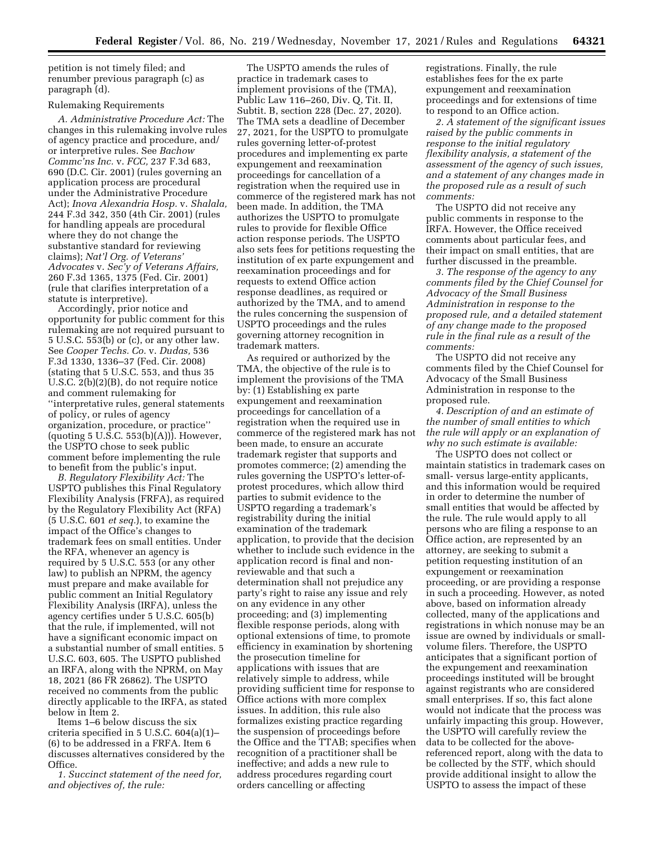petition is not timely filed; and renumber previous paragraph (c) as paragraph (d).

# Rulemaking Requirements

*A. Administrative Procedure Act:* The changes in this rulemaking involve rules of agency practice and procedure, and/ or interpretive rules. See *Bachow Commc'ns Inc.* v. *FCC,* 237 F.3d 683, 690 (D.C. Cir. 2001) (rules governing an application process are procedural under the Administrative Procedure Act); *Inova Alexandria Hosp.* v. *Shalala,*  244 F.3d 342, 350 (4th Cir. 2001) (rules for handling appeals are procedural where they do not change the substantive standard for reviewing claims); *Nat'l Org. of Veterans' Advocates* v. *Sec'y of Veterans Affairs,*  260 F.3d 1365, 1375 (Fed. Cir. 2001) (rule that clarifies interpretation of a statute is interpretive).

Accordingly, prior notice and opportunity for public comment for this rulemaking are not required pursuant to 5 U.S.C. 553(b) or (c), or any other law. See *Cooper Techs. Co.* v. *Dudas,* 536 F.3d 1330, 1336–37 (Fed. Cir. 2008) (stating that 5 U.S.C. 553, and thus 35 U.S.C. 2(b)(2)(B), do not require notice and comment rulemaking for ''interpretative rules, general statements of policy, or rules of agency organization, procedure, or practice'' (quoting 5 U.S.C.  $553(b)(A)$ )). However, the USPTO chose to seek public comment before implementing the rule to benefit from the public's input.

*B. Regulatory Flexibility Act:* The USPTO publishes this Final Regulatory Flexibility Analysis (FRFA), as required by the Regulatory Flexibility Act (RFA) (5 U.S.C. 601 *et seq.*), to examine the impact of the Office's changes to trademark fees on small entities. Under the RFA, whenever an agency is required by 5 U.S.C. 553 (or any other law) to publish an NPRM, the agency must prepare and make available for public comment an Initial Regulatory Flexibility Analysis (IRFA), unless the agency certifies under 5 U.S.C. 605(b) that the rule, if implemented, will not have a significant economic impact on a substantial number of small entities. 5 U.S.C. 603, 605. The USPTO published an IRFA, along with the NPRM, on May 18, 2021 (86 FR 26862). The USPTO received no comments from the public directly applicable to the IRFA, as stated below in Item 2.

Items 1–6 below discuss the six criteria specified in 5 U.S.C. 604(a)(1)– (6) to be addressed in a FRFA. Item 6 discusses alternatives considered by the Office.

*1. Succinct statement of the need for, and objectives of, the rule:* 

The USPTO amends the rules of practice in trademark cases to implement provisions of the (TMA), Public Law 116–260, Div. Q, Tit. II, Subtit. B, section 228 (Dec. 27, 2020). The TMA sets a deadline of December 27, 2021, for the USPTO to promulgate rules governing letter-of-protest procedures and implementing ex parte expungement and reexamination proceedings for cancellation of a registration when the required use in commerce of the registered mark has not been made. In addition, the TMA authorizes the USPTO to promulgate rules to provide for flexible Office action response periods. The USPTO also sets fees for petitions requesting the institution of ex parte expungement and reexamination proceedings and for requests to extend Office action response deadlines, as required or authorized by the TMA, and to amend the rules concerning the suspension of USPTO proceedings and the rules governing attorney recognition in trademark matters.

As required or authorized by the TMA, the objective of the rule is to implement the provisions of the TMA by: (1) Establishing ex parte expungement and reexamination proceedings for cancellation of a registration when the required use in commerce of the registered mark has not been made, to ensure an accurate trademark register that supports and promotes commerce; (2) amending the rules governing the USPTO's letter-ofprotest procedures, which allow third parties to submit evidence to the USPTO regarding a trademark's registrability during the initial examination of the trademark application, to provide that the decision whether to include such evidence in the application record is final and nonreviewable and that such a determination shall not prejudice any party's right to raise any issue and rely on any evidence in any other proceeding; and (3) implementing flexible response periods, along with optional extensions of time, to promote efficiency in examination by shortening the prosecution timeline for applications with issues that are relatively simple to address, while providing sufficient time for response to Office actions with more complex issues. In addition, this rule also formalizes existing practice regarding the suspension of proceedings before the Office and the TTAB; specifies when recognition of a practitioner shall be ineffective; and adds a new rule to address procedures regarding court orders cancelling or affecting

registrations. Finally, the rule establishes fees for the ex parte expungement and reexamination proceedings and for extensions of time to respond to an Office action.

*2. A statement of the significant issues raised by the public comments in response to the initial regulatory flexibility analysis, a statement of the assessment of the agency of such issues, and a statement of any changes made in the proposed rule as a result of such comments:* 

The USPTO did not receive any public comments in response to the IRFA. However, the Office received comments about particular fees, and their impact on small entities, that are further discussed in the preamble.

*3. The response of the agency to any comments filed by the Chief Counsel for Advocacy of the Small Business Administration in response to the proposed rule, and a detailed statement of any change made to the proposed rule in the final rule as a result of the comments:* 

The USPTO did not receive any comments filed by the Chief Counsel for Advocacy of the Small Business Administration in response to the proposed rule.

*4. Description of and an estimate of the number of small entities to which the rule will apply or an explanation of why no such estimate is available:* 

The USPTO does not collect or maintain statistics in trademark cases on small- versus large-entity applicants, and this information would be required in order to determine the number of small entities that would be affected by the rule. The rule would apply to all persons who are filing a response to an Office action, are represented by an attorney, are seeking to submit a petition requesting institution of an expungement or reexamination proceeding, or are providing a response in such a proceeding. However, as noted above, based on information already collected, many of the applications and registrations in which nonuse may be an issue are owned by individuals or smallvolume filers. Therefore, the USPTO anticipates that a significant portion of the expungement and reexamination proceedings instituted will be brought against registrants who are considered small enterprises. If so, this fact alone would not indicate that the process was unfairly impacting this group. However, the USPTO will carefully review the data to be collected for the abovereferenced report, along with the data to be collected by the STF, which should provide additional insight to allow the USPTO to assess the impact of these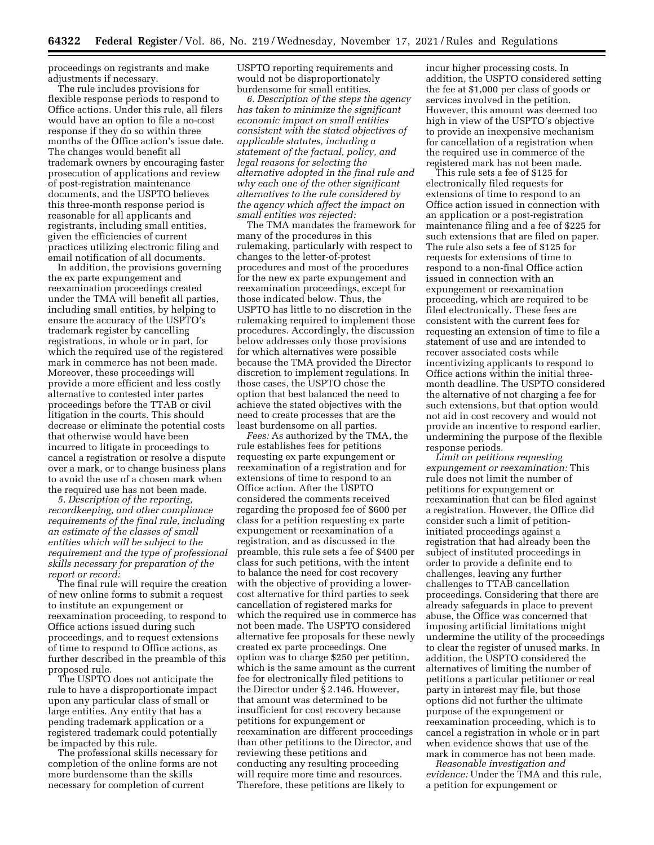proceedings on registrants and make adjustments if necessary.

The rule includes provisions for flexible response periods to respond to Office actions. Under this rule, all filers would have an option to file a no-cost response if they do so within three months of the Office action's issue date. The changes would benefit all trademark owners by encouraging faster prosecution of applications and review of post-registration maintenance documents, and the USPTO believes this three-month response period is reasonable for all applicants and registrants, including small entities, given the efficiencies of current practices utilizing electronic filing and email notification of all documents.

In addition, the provisions governing the ex parte expungement and reexamination proceedings created under the TMA will benefit all parties, including small entities, by helping to ensure the accuracy of the USPTO's trademark register by cancelling registrations, in whole or in part, for which the required use of the registered mark in commerce has not been made. Moreover, these proceedings will provide a more efficient and less costly alternative to contested inter partes proceedings before the TTAB or civil litigation in the courts. This should decrease or eliminate the potential costs that otherwise would have been incurred to litigate in proceedings to cancel a registration or resolve a dispute over a mark, or to change business plans to avoid the use of a chosen mark when the required use has not been made.

*5. Description of the reporting, recordkeeping, and other compliance requirements of the final rule, including an estimate of the classes of small entities which will be subject to the requirement and the type of professional skills necessary for preparation of the report or record:* 

The final rule will require the creation of new online forms to submit a request to institute an expungement or reexamination proceeding, to respond to Office actions issued during such proceedings, and to request extensions of time to respond to Office actions, as further described in the preamble of this proposed rule.

The USPTO does not anticipate the rule to have a disproportionate impact upon any particular class of small or large entities. Any entity that has a pending trademark application or a registered trademark could potentially be impacted by this rule.

The professional skills necessary for completion of the online forms are not more burdensome than the skills necessary for completion of current

USPTO reporting requirements and would not be disproportionately burdensome for small entities.

*6. Description of the steps the agency has taken to minimize the significant economic impact on small entities consistent with the stated objectives of applicable statutes, including a statement of the factual, policy, and legal reasons for selecting the alternative adopted in the final rule and why each one of the other significant alternatives to the rule considered by the agency which affect the impact on small entities was rejected:* 

The TMA mandates the framework for many of the procedures in this rulemaking, particularly with respect to changes to the letter-of-protest procedures and most of the procedures for the new ex parte expungement and reexamination proceedings, except for those indicated below. Thus, the USPTO has little to no discretion in the rulemaking required to implement those procedures. Accordingly, the discussion below addresses only those provisions for which alternatives were possible because the TMA provided the Director discretion to implement regulations. In those cases, the USPTO chose the option that best balanced the need to achieve the stated objectives with the need to create processes that are the least burdensome on all parties.

*Fees:* As authorized by the TMA, the rule establishes fees for petitions requesting ex parte expungement or reexamination of a registration and for extensions of time to respond to an Office action. After the USPTO considered the comments received regarding the proposed fee of \$600 per class for a petition requesting ex parte expungement or reexamination of a registration, and as discussed in the preamble, this rule sets a fee of \$400 per class for such petitions, with the intent to balance the need for cost recovery with the objective of providing a lowercost alternative for third parties to seek cancellation of registered marks for which the required use in commerce has not been made. The USPTO considered alternative fee proposals for these newly created ex parte proceedings. One option was to charge \$250 per petition, which is the same amount as the current fee for electronically filed petitions to the Director under § 2.146. However, that amount was determined to be insufficient for cost recovery because petitions for expungement or reexamination are different proceedings than other petitions to the Director, and reviewing these petitions and conducting any resulting proceeding will require more time and resources. Therefore, these petitions are likely to

incur higher processing costs. In addition, the USPTO considered setting the fee at \$1,000 per class of goods or services involved in the petition. However, this amount was deemed too high in view of the USPTO's objective to provide an inexpensive mechanism for cancellation of a registration when the required use in commerce of the registered mark has not been made.

This rule sets a fee of \$125 for electronically filed requests for extensions of time to respond to an Office action issued in connection with an application or a post-registration maintenance filing and a fee of \$225 for such extensions that are filed on paper. The rule also sets a fee of \$125 for requests for extensions of time to respond to a non-final Office action issued in connection with an expungement or reexamination proceeding, which are required to be filed electronically. These fees are consistent with the current fees for requesting an extension of time to file a statement of use and are intended to recover associated costs while incentivizing applicants to respond to Office actions within the initial threemonth deadline. The USPTO considered the alternative of not charging a fee for such extensions, but that option would not aid in cost recovery and would not provide an incentive to respond earlier, undermining the purpose of the flexible response periods.

*Limit on petitions requesting expungement or reexamination:* This rule does not limit the number of petitions for expungement or reexamination that can be filed against a registration. However, the Office did consider such a limit of petitioninitiated proceedings against a registration that had already been the subject of instituted proceedings in order to provide a definite end to challenges, leaving any further challenges to TTAB cancellation proceedings. Considering that there are already safeguards in place to prevent abuse, the Office was concerned that imposing artificial limitations might undermine the utility of the proceedings to clear the register of unused marks. In addition, the USPTO considered the alternatives of limiting the number of petitions a particular petitioner or real party in interest may file, but those options did not further the ultimate purpose of the expungement or reexamination proceeding, which is to cancel a registration in whole or in part when evidence shows that use of the mark in commerce has not been made.

*Reasonable investigation and evidence:* Under the TMA and this rule, a petition for expungement or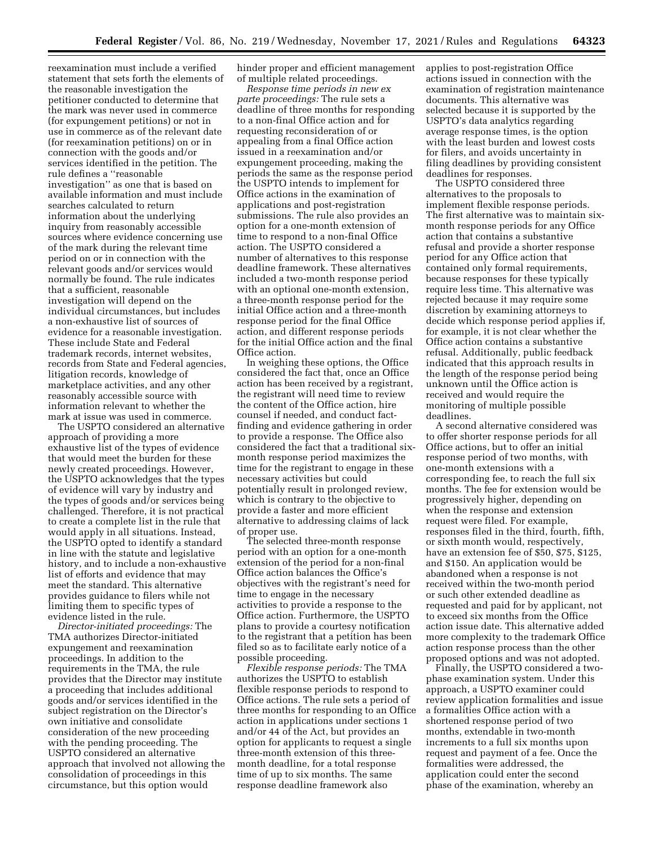reexamination must include a verified statement that sets forth the elements of the reasonable investigation the petitioner conducted to determine that the mark was never used in commerce (for expungement petitions) or not in use in commerce as of the relevant date (for reexamination petitions) on or in connection with the goods and/or services identified in the petition. The rule defines a ''reasonable investigation'' as one that is based on available information and must include searches calculated to return information about the underlying inquiry from reasonably accessible sources where evidence concerning use of the mark during the relevant time period on or in connection with the relevant goods and/or services would normally be found. The rule indicates that a sufficient, reasonable investigation will depend on the individual circumstances, but includes a non-exhaustive list of sources of evidence for a reasonable investigation. These include State and Federal trademark records, internet websites, records from State and Federal agencies, litigation records, knowledge of marketplace activities, and any other reasonably accessible source with information relevant to whether the mark at issue was used in commerce.

The USPTO considered an alternative approach of providing a more exhaustive list of the types of evidence that would meet the burden for these newly created proceedings. However, the USPTO acknowledges that the types of evidence will vary by industry and the types of goods and/or services being challenged. Therefore, it is not practical to create a complete list in the rule that would apply in all situations. Instead, the USPTO opted to identify a standard in line with the statute and legislative history, and to include a non-exhaustive list of efforts and evidence that may meet the standard. This alternative provides guidance to filers while not limiting them to specific types of evidence listed in the rule.

*Director-initiated proceedings:* The TMA authorizes Director-initiated expungement and reexamination proceedings. In addition to the requirements in the TMA, the rule provides that the Director may institute a proceeding that includes additional goods and/or services identified in the subject registration on the Director's own initiative and consolidate consideration of the new proceeding with the pending proceeding. The USPTO considered an alternative approach that involved not allowing the consolidation of proceedings in this circumstance, but this option would

hinder proper and efficient management of multiple related proceedings.

*Response time periods in new ex parte proceedings:* The rule sets a deadline of three months for responding to a non-final Office action and for requesting reconsideration of or appealing from a final Office action issued in a reexamination and/or expungement proceeding, making the periods the same as the response period the USPTO intends to implement for Office actions in the examination of applications and post-registration submissions. The rule also provides an option for a one-month extension of time to respond to a non-final Office action. The USPTO considered a number of alternatives to this response deadline framework. These alternatives included a two-month response period with an optional one-month extension, a three-month response period for the initial Office action and a three-month response period for the final Office action, and different response periods for the initial Office action and the final Office action.

In weighing these options, the Office considered the fact that, once an Office action has been received by a registrant, the registrant will need time to review the content of the Office action, hire counsel if needed, and conduct factfinding and evidence gathering in order to provide a response. The Office also considered the fact that a traditional sixmonth response period maximizes the time for the registrant to engage in these necessary activities but could potentially result in prolonged review, which is contrary to the objective to provide a faster and more efficient alternative to addressing claims of lack of proper use.

The selected three-month response period with an option for a one-month extension of the period for a non-final Office action balances the Office's objectives with the registrant's need for time to engage in the necessary activities to provide a response to the Office action. Furthermore, the USPTO plans to provide a courtesy notification to the registrant that a petition has been filed so as to facilitate early notice of a possible proceeding.

*Flexible response periods:* The TMA authorizes the USPTO to establish flexible response periods to respond to Office actions. The rule sets a period of three months for responding to an Office action in applications under sections 1 and/or 44 of the Act, but provides an option for applicants to request a single three-month extension of this threemonth deadline, for a total response time of up to six months. The same response deadline framework also

applies to post-registration Office actions issued in connection with the examination of registration maintenance documents. This alternative was selected because it is supported by the USPTO's data analytics regarding average response times, is the option with the least burden and lowest costs for filers, and avoids uncertainty in filing deadlines by providing consistent deadlines for responses.

The USPTO considered three alternatives to the proposals to implement flexible response periods. The first alternative was to maintain sixmonth response periods for any Office action that contains a substantive refusal and provide a shorter response period for any Office action that contained only formal requirements, because responses for these typically require less time. This alternative was rejected because it may require some discretion by examining attorneys to decide which response period applies if, for example, it is not clear whether the Office action contains a substantive refusal. Additionally, public feedback indicated that this approach results in the length of the response period being unknown until the Office action is received and would require the monitoring of multiple possible deadlines.

A second alternative considered was to offer shorter response periods for all Office actions, but to offer an initial response period of two months, with one-month extensions with a corresponding fee, to reach the full six months. The fee for extension would be progressively higher, depending on when the response and extension request were filed. For example, responses filed in the third, fourth, fifth, or sixth month would, respectively, have an extension fee of \$50, \$75, \$125, and \$150. An application would be abandoned when a response is not received within the two-month period or such other extended deadline as requested and paid for by applicant, not to exceed six months from the Office action issue date. This alternative added more complexity to the trademark Office action response process than the other proposed options and was not adopted.

Finally, the USPTO considered a twophase examination system. Under this approach, a USPTO examiner could review application formalities and issue a formalities Office action with a shortened response period of two months, extendable in two-month increments to a full six months upon request and payment of a fee. Once the formalities were addressed, the application could enter the second phase of the examination, whereby an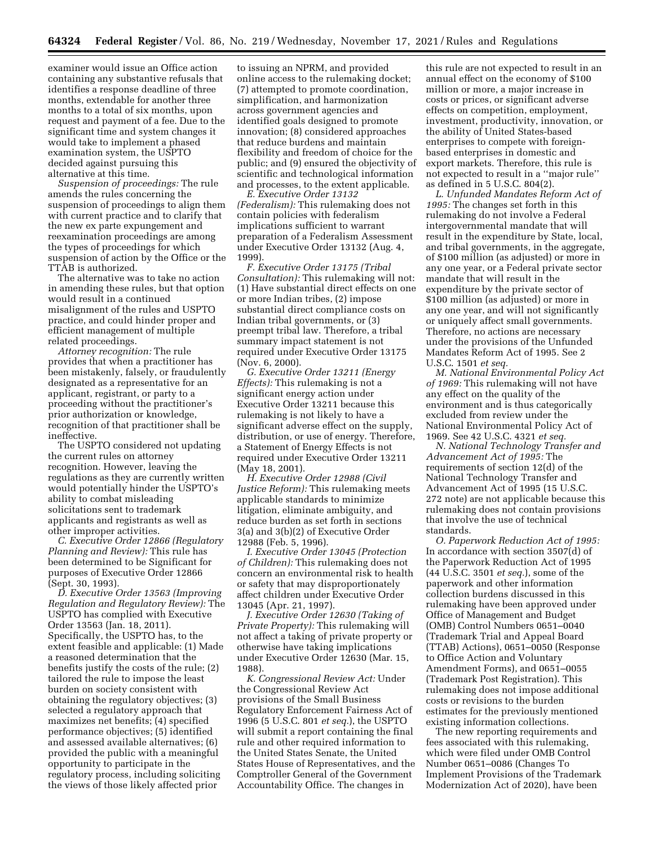examiner would issue an Office action containing any substantive refusals that identifies a response deadline of three months, extendable for another three months to a total of six months, upon request and payment of a fee. Due to the significant time and system changes it would take to implement a phased examination system, the USPTO decided against pursuing this alternative at this time.

*Suspension of proceedings:* The rule amends the rules concerning the suspension of proceedings to align them with current practice and to clarify that the new ex parte expungement and reexamination proceedings are among the types of proceedings for which suspension of action by the Office or the TTAB is authorized.

The alternative was to take no action in amending these rules, but that option would result in a continued misalignment of the rules and USPTO practice, and could hinder proper and efficient management of multiple related proceedings.

*Attorney recognition:* The rule provides that when a practitioner has been mistakenly, falsely, or fraudulently designated as a representative for an applicant, registrant, or party to a proceeding without the practitioner's prior authorization or knowledge, recognition of that practitioner shall be ineffective.

The USPTO considered not updating the current rules on attorney recognition. However, leaving the regulations as they are currently written would potentially hinder the USPTO's ability to combat misleading solicitations sent to trademark applicants and registrants as well as other improper activities.

*C. Executive Order 12866 (Regulatory Planning and Review):* This rule has been determined to be Significant for purposes of Executive Order 12866 (Sept. 30, 1993).

*D. Executive Order 13563 (Improving Regulation and Regulatory Review):* The USPTO has complied with Executive Order 13563 (Jan. 18, 2011). Specifically, the USPTO has, to the extent feasible and applicable: (1) Made a reasoned determination that the benefits justify the costs of the rule; (2) tailored the rule to impose the least burden on society consistent with obtaining the regulatory objectives; (3) selected a regulatory approach that maximizes net benefits; (4) specified performance objectives; (5) identified and assessed available alternatives; (6) provided the public with a meaningful opportunity to participate in the regulatory process, including soliciting the views of those likely affected prior

to issuing an NPRM, and provided online access to the rulemaking docket; (7) attempted to promote coordination, simplification, and harmonization across government agencies and identified goals designed to promote innovation; (8) considered approaches that reduce burdens and maintain flexibility and freedom of choice for the public; and (9) ensured the objectivity of scientific and technological information and processes, to the extent applicable.

*E. Executive Order 13132 (Federalism):* This rulemaking does not contain policies with federalism implications sufficient to warrant preparation of a Federalism Assessment under Executive Order 13132 (Aug. 4, 1999).

*F. Executive Order 13175 (Tribal Consultation):* This rulemaking will not: (1) Have substantial direct effects on one or more Indian tribes, (2) impose substantial direct compliance costs on Indian tribal governments, or (3) preempt tribal law. Therefore, a tribal summary impact statement is not required under Executive Order 13175 (Nov. 6, 2000).

*G. Executive Order 13211 (Energy Effects):* This rulemaking is not a significant energy action under Executive Order 13211 because this rulemaking is not likely to have a significant adverse effect on the supply, distribution, or use of energy. Therefore, a Statement of Energy Effects is not required under Executive Order 13211 (May 18, 2001).

*H. Executive Order 12988 (Civil Justice Reform):* This rulemaking meets applicable standards to minimize litigation, eliminate ambiguity, and reduce burden as set forth in sections 3(a) and 3(b)(2) of Executive Order 12988 (Feb. 5, 1996).

*I. Executive Order 13045 (Protection of Children):* This rulemaking does not concern an environmental risk to health or safety that may disproportionately affect children under Executive Order 13045 (Apr. 21, 1997).

*J. Executive Order 12630 (Taking of Private Property):* This rulemaking will not affect a taking of private property or otherwise have taking implications under Executive Order 12630 (Mar. 15, 1988).

*K. Congressional Review Act:* Under the Congressional Review Act provisions of the Small Business Regulatory Enforcement Fairness Act of 1996 (5 U.S.C. 801 *et seq.*), the USPTO will submit a report containing the final rule and other required information to the United States Senate, the United States House of Representatives, and the Comptroller General of the Government Accountability Office. The changes in

this rule are not expected to result in an annual effect on the economy of \$100 million or more, a major increase in costs or prices, or significant adverse effects on competition, employment, investment, productivity, innovation, or the ability of United States-based enterprises to compete with foreignbased enterprises in domestic and export markets. Therefore, this rule is not expected to result in a ''major rule'' as defined in 5 U.S.C. 804(2).

*L. Unfunded Mandates Reform Act of 1995:* The changes set forth in this rulemaking do not involve a Federal intergovernmental mandate that will result in the expenditure by State, local, and tribal governments, in the aggregate, of \$100 million (as adjusted) or more in any one year, or a Federal private sector mandate that will result in the expenditure by the private sector of \$100 million (as adjusted) or more in any one year, and will not significantly or uniquely affect small governments. Therefore, no actions are necessary under the provisions of the Unfunded Mandates Reform Act of 1995. See 2 U.S.C. 1501 *et seq.* 

*M. National Environmental Policy Act of 1969:* This rulemaking will not have any effect on the quality of the environment and is thus categorically excluded from review under the National Environmental Policy Act of 1969. See 42 U.S.C. 4321 *et seq.* 

*N. National Technology Transfer and Advancement Act of 1995:* The requirements of section 12(d) of the National Technology Transfer and Advancement Act of 1995 (15 U.S.C. 272 note) are not applicable because this rulemaking does not contain provisions that involve the use of technical standards.

*O. Paperwork Reduction Act of 1995:*  In accordance with section 3507(d) of the Paperwork Reduction Act of 1995 (44 U.S.C. 3501 *et seq.*), some of the paperwork and other information collection burdens discussed in this rulemaking have been approved under Office of Management and Budget (OMB) Control Numbers 0651–0040 (Trademark Trial and Appeal Board (TTAB) Actions), 0651–0050 (Response to Office Action and Voluntary Amendment Forms), and 0651–0055 (Trademark Post Registration). This rulemaking does not impose additional costs or revisions to the burden estimates for the previously mentioned existing information collections.

The new reporting requirements and fees associated with this rulemaking, which were filed under OMB Control Number 0651–0086 (Changes To Implement Provisions of the Trademark Modernization Act of 2020), have been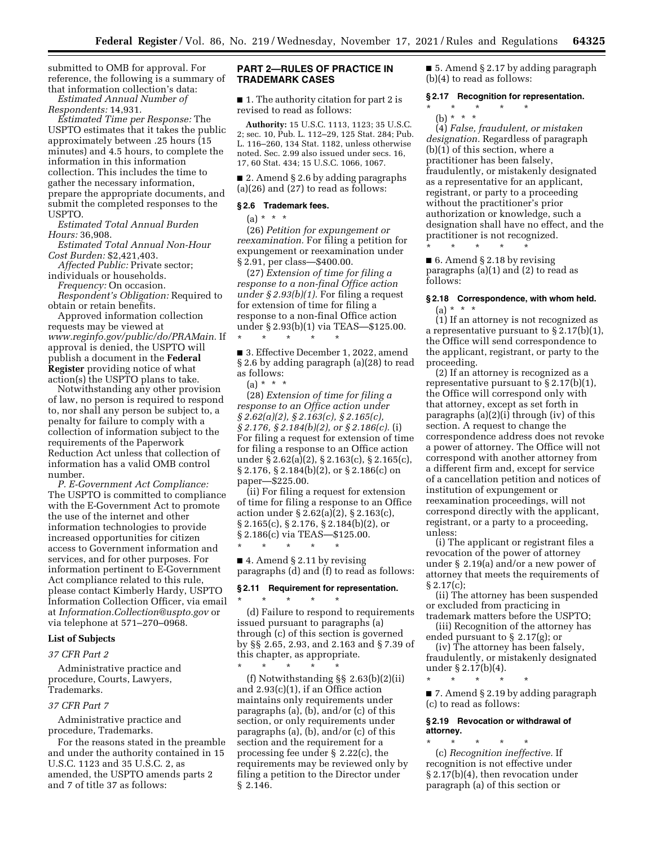submitted to OMB for approval. For reference, the following is a summary of that information collection's data:

*Estimated Annual Number of Respondents:* 14,931.

*Estimated Time per Response:* The USPTO estimates that it takes the public approximately between .25 hours (15 minutes) and 4.5 hours, to complete the information in this information collection. This includes the time to gather the necessary information, prepare the appropriate documents, and submit the completed responses to the USPTO.

*Estimated Total Annual Burden Hours:* 36,908.

*Estimated Total Annual Non-Hour Cost Burden:* \$2,421,403.

*Affected Public:* Private sector; individuals or households.

*Frequency:* On occasion.

*Respondent's Obligation:* Required to obtain or retain benefits.

Approved information collection requests may be viewed at *www.reginfo.gov/public/do/PRAMain.* If approval is denied, the USPTO will publish a document in the **Federal Register** providing notice of what action(s) the USPTO plans to take.

Notwithstanding any other provision of law, no person is required to respond to, nor shall any person be subject to, a penalty for failure to comply with a collection of information subject to the requirements of the Paperwork Reduction Act unless that collection of information has a valid OMB control number.

*P. E-Government Act Compliance:*  The USPTO is committed to compliance with the E-Government Act to promote the use of the internet and other information technologies to provide increased opportunities for citizen access to Government information and services, and for other purposes. For information pertinent to E-Government Act compliance related to this rule, please contact Kimberly Hardy, USPTO Information Collection Officer, via email at *Information.Collection@uspto.gov* or via telephone at 571–270–0968.

# **List of Subjects**

#### *37 CFR Part 2*

Administrative practice and procedure, Courts, Lawyers, Trademarks.

# *37 CFR Part 7*

Administrative practice and procedure, Trademarks.

For the reasons stated in the preamble and under the authority contained in 15 U.S.C. 1123 and 35 U.S.C. 2, as amended, the USPTO amends parts 2 and 7 of title 37 as follows:

# **PART 2—RULES OF PRACTICE IN TRADEMARK CASES**

■ 1. The authority citation for part 2 is revised to read as follows:

**Authority:** 15 U.S.C. 1113, 1123; 35 U.S.C. 2; sec. 10, Pub. L. 112–29, 125 Stat. 284; Pub. L. 116–260, 134 Stat. 1182, unless otherwise noted. Sec. 2.99 also issued under secs. 16, 17, 60 Stat. 434; 15 U.S.C. 1066, 1067.

■ 2. Amend § 2.6 by adding paragraphs (a)(26) and (27) to read as follows:

## **§ 2.6 Trademark fees.**

(a) \* \* \*

(26) *Petition for expungement or reexamination.* For filing a petition for expungement or reexamination under § 2.91, per class—\$400.00.

(27) *Extension of time for filing a response to a non-final Office action under § 2.93(b)(1).* For filing a request for extension of time for filing a response to a non-final Office action under § 2.93(b)(1) via TEAS—\$125.00. \* \* \* \* \*

■ 3. Effective December 1, 2022, amend § 2.6 by adding paragraph (a)(28) to read as follows:

(a) \* \* \*

(28) *Extension of time for filing a response to an Office action under § 2.62(a)(2), § 2.163(c), § 2.165(c), § 2.176, § 2.184(b)(2), or § 2.186(c).* (i) For filing a request for extension of time for filing a response to an Office action under § 2.62(a)(2), § 2.163(c), § 2.165(c), § 2.176, § 2.184(b)(2), or § 2.186(c) on paper—\$225.00.

(ii) For filing a request for extension of time for filing a response to an Office action under § 2.62(a)(2), § 2.163(c), § 2.165(c), § 2.176, § 2.184(b)(2), or § 2.186(c) via TEAS—\$125.00. \* \* \* \* \*

■ 4. Amend § 2.11 by revising paragraphs (d) and (f) to read as follows:

# **§ 2.11 Requirement for representation.**

\* \* \* \* \*

(d) Failure to respond to requirements issued pursuant to paragraphs (a) through (c) of this section is governed by §§ 2.65, 2.93, and 2.163 and § 7.39 of this chapter, as appropriate.

\* \* \* \* \* (f) Notwithstanding §§ 2.63(b)(2)(ii) and 2.93(c)(1), if an Office action maintains only requirements under paragraphs (a), (b), and/or (c) of this section, or only requirements under paragraphs (a), (b), and/or (c) of this section and the requirement for a processing fee under § 2.22(c), the requirements may be reviewed only by filing a petition to the Director under § 2.146.

■ 5. Amend § 2.17 by adding paragraph (b)(4) to read as follows:

## **§ 2.17 Recognition for representation.**

- \* \* \* \* \*
- (b) \* \* \* (4) *False, fraudulent, or mistaken designation.* Regardless of paragraph (b)(1) of this section, where a practitioner has been falsely, fraudulently, or mistakenly designated as a representative for an applicant, registrant, or party to a proceeding without the practitioner's prior authorization or knowledge, such a designation shall have no effect, and the

\* \* \* \* \* ■ 6. Amend § 2.18 by revising paragraphs (a)(1) and (2) to read as follows:

practitioner is not recognized.

## **§ 2.18 Correspondence, with whom held.**   $(a) * * * *$

(1) If an attorney is not recognized as a representative pursuant to  $\S 2.17(b)(1)$ , the Office will send correspondence to the applicant, registrant, or party to the proceeding.

(2) If an attorney is recognized as a representative pursuant to  $\S 2.17(b)(1)$ , the Office will correspond only with that attorney, except as set forth in paragraphs (a)(2)(i) through (iv) of this section. A request to change the correspondence address does not revoke a power of attorney. The Office will not correspond with another attorney from a different firm and, except for service of a cancellation petition and notices of institution of expungement or reexamination proceedings, will not correspond directly with the applicant, registrant, or a party to a proceeding, unless:

(i) The applicant or registrant files a revocation of the power of attorney under § 2.19(a) and/or a new power of attorney that meets the requirements of § 2.17(c);

(ii) The attorney has been suspended or excluded from practicing in trademark matters before the USPTO;

(iii) Recognition of the attorney has ended pursuant to § 2.17(g); or

(iv) The attorney has been falsely, fraudulently, or mistakenly designated under § 2.17(b)(4).

\* \* \* \* \*

■ 7. Amend § 2.19 by adding paragraph (c) to read as follows:

## **§ 2.19 Revocation or withdrawal of attorney.**

\* \* \* \* \* (c) *Recognition ineffective.* If recognition is not effective under § 2.17(b)(4), then revocation under paragraph (a) of this section or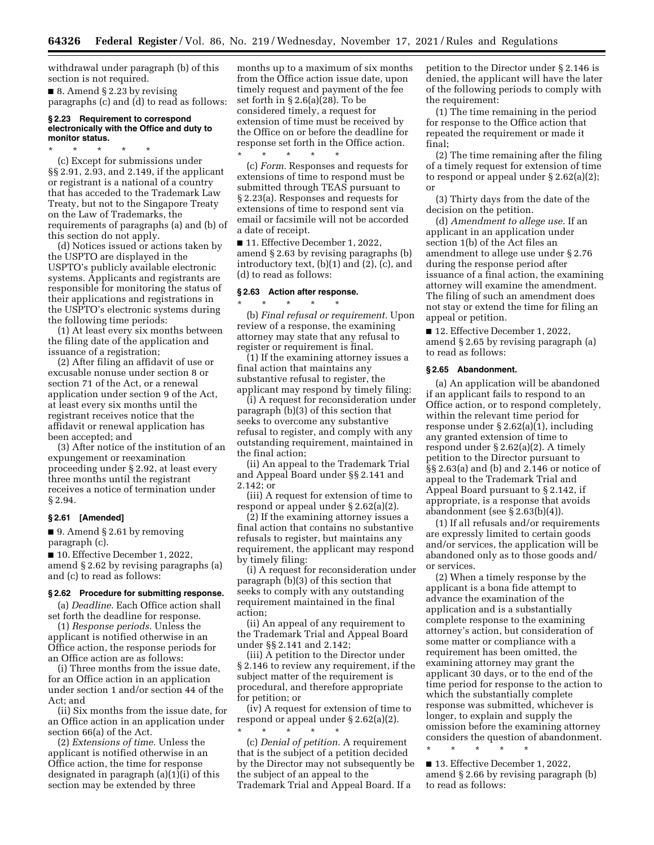withdrawal under paragraph (b) of this section is not required.

■ 8. Amend § 2.23 by revising paragraphs (c) and (d) to read as follows:

#### **§ 2.23 Requirement to correspond electronically with the Office and duty to monitor status.**

\* \* \* \* \* (c) Except for submissions under §§ 2.91, 2.93, and 2.149, if the applicant or registrant is a national of a country that has acceded to the Trademark Law Treaty, but not to the Singapore Treaty on the Law of Trademarks, the requirements of paragraphs (a) and (b) of this section do not apply.

(d) Notices issued or actions taken by the USPTO are displayed in the USPTO's publicly available electronic systems. Applicants and registrants are responsible for monitoring the status of their applications and registrations in the USPTO's electronic systems during the following time periods:

(1) At least every six months between the filing date of the application and issuance of a registration;

(2) After filing an affidavit of use or excusable nonuse under section 8 or section 71 of the Act, or a renewal application under section 9 of the Act, at least every six months until the registrant receives notice that the affidavit or renewal application has been accepted; and

(3) After notice of the institution of an expungement or reexamination proceeding under § 2.92, at least every three months until the registrant receives a notice of termination under § 2.94.

#### **§ 2.61 [Amended]**

■ 9. Amend § 2.61 by removing paragraph (c).

■ 10. Effective December 1, 2022, amend § 2.62 by revising paragraphs (a) and (c) to read as follows:

#### **§ 2.62 Procedure for submitting response.**

(a) *Deadline.* Each Office action shall set forth the deadline for response.

(1) *Response periods.* Unless the applicant is notified otherwise in an Office action, the response periods for an Office action are as follows:

(i) Three months from the issue date, for an Office action in an application under section 1 and/or section 44 of the Act; and

(ii) Six months from the issue date, for an Office action in an application under section 66(a) of the Act.

(2) *Extensions of time.* Unless the applicant is notified otherwise in an Office action, the time for response designated in paragraph (a)(1)(i) of this section may be extended by three

months up to a maximum of six months from the Office action issue date, upon timely request and payment of the fee set forth in § 2.6(a)(28). To be considered timely, a request for extension of time must be received by the Office on or before the deadline for response set forth in the Office action.

\* \* \* \* \* (c) *Form.* Responses and requests for extensions of time to respond must be submitted through TEAS pursuant to § 2.23(a). Responses and requests for extensions of time to respond sent via email or facsimile will not be accorded a date of receipt.

■ 11. Effective December 1, 2022, amend § 2.63 by revising paragraphs (b) introductory text, (b)(1) and (2), (c), and (d) to read as follows:

## **§ 2.63 Action after response.**

\* \* \* \* \*

(b) *Final refusal or requirement.* Upon review of a response, the examining attorney may state that any refusal to register or requirement is final.

(1) If the examining attorney issues a final action that maintains any substantive refusal to register, the applicant may respond by timely filing:

(i) A request for reconsideration under paragraph (b)(3) of this section that seeks to overcome any substantive refusal to register, and comply with any outstanding requirement, maintained in the final action;

(ii) An appeal to the Trademark Trial and Appeal Board under §§ 2.141 and 2.142; or

(iii) A request for extension of time to respond or appeal under § 2.62(a)(2).

(2) If the examining attorney issues a final action that contains no substantive refusals to register, but maintains any requirement, the applicant may respond by timely filing:

(i) A request for reconsideration under paragraph (b)(3) of this section that seeks to comply with any outstanding requirement maintained in the final action;

(ii) An appeal of any requirement to the Trademark Trial and Appeal Board under §§ 2.141 and 2.142;

(iii) A petition to the Director under § 2.146 to review any requirement, if the subject matter of the requirement is procedural, and therefore appropriate for petition; or

(iv) A request for extension of time to respond or appeal under § 2.62(a)(2). \* \* \* \* \*

(c) *Denial of petition.* A requirement that is the subject of a petition decided by the Director may not subsequently be the subject of an appeal to the Trademark Trial and Appeal Board. If a

petition to the Director under § 2.146 is denied, the applicant will have the later of the following periods to comply with the requirement:

(1) The time remaining in the period for response to the Office action that repeated the requirement or made it final;

(2) The time remaining after the filing of a timely request for extension of time to respond or appeal under § 2.62(a)(2); or

(3) Thirty days from the date of the decision on the petition.

(d) *Amendment to allege use.* If an applicant in an application under section 1(b) of the Act files an amendment to allege use under § 2.76 during the response period after issuance of a final action, the examining attorney will examine the amendment. The filing of such an amendment does not stay or extend the time for filing an appeal or petition.

■ 12. Effective December 1, 2022, amend § 2.65 by revising paragraph (a) to read as follows:

# **§ 2.65 Abandonment.**

(a) An application will be abandoned if an applicant fails to respond to an Office action, or to respond completely, within the relevant time period for response under § 2.62(a)(1), including any granted extension of time to respond under § 2.62(a)(2). A timely petition to the Director pursuant to §§ 2.63(a) and (b) and 2.146 or notice of appeal to the Trademark Trial and Appeal Board pursuant to § 2.142, if appropriate, is a response that avoids abandonment (see § 2.63(b)(4)).

(1) If all refusals and/or requirements are expressly limited to certain goods and/or services, the application will be abandoned only as to those goods and/ or services.

(2) When a timely response by the applicant is a bona fide attempt to advance the examination of the application and is a substantially complete response to the examining attorney's action, but consideration of some matter or compliance with a requirement has been omitted, the examining attorney may grant the applicant 30 days, or to the end of the time period for response to the action to which the substantially complete response was submitted, whichever is longer, to explain and supply the omission before the examining attorney considers the question of abandonment. \* \* \* \* \*

■ 13. Effective December 1, 2022, amend § 2.66 by revising paragraph (b) to read as follows: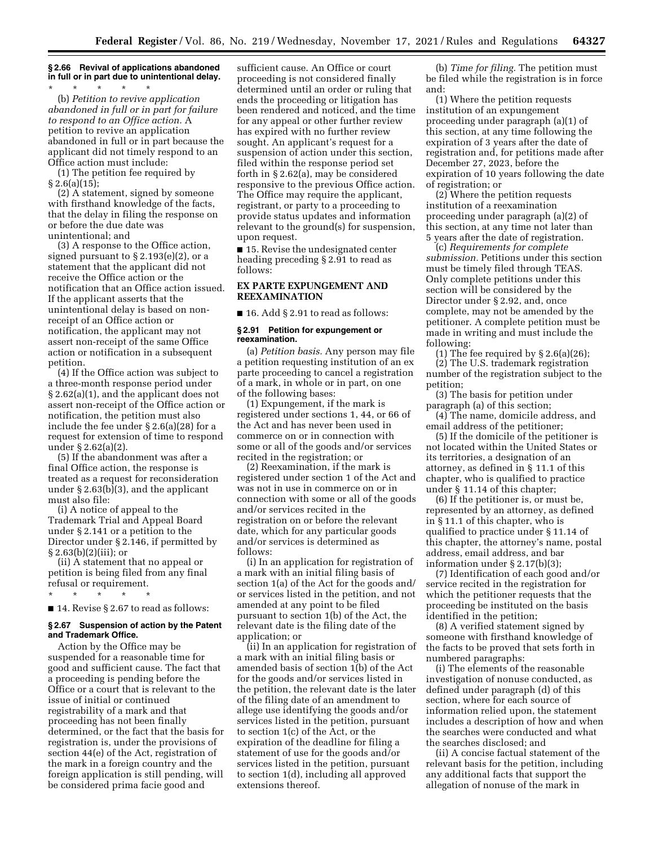# **§ 2.66 Revival of applications abandoned in full or in part due to unintentional delay.**

\* \* \* \* \* (b) *Petition to revive application abandoned in full or in part for failure to respond to an Office action.* A petition to revive an application abandoned in full or in part because the applicant did not timely respond to an Office action must include:

(1) The petition fee required by  $§ 2.6(a)(15);$ 

(2) A statement, signed by someone with firsthand knowledge of the facts, that the delay in filing the response on or before the due date was unintentional; and

(3) A response to the Office action, signed pursuant to  $\S 2.193(e)(2)$ , or a statement that the applicant did not receive the Office action or the notification that an Office action issued. If the applicant asserts that the unintentional delay is based on nonreceipt of an Office action or notification, the applicant may not assert non-receipt of the same Office action or notification in a subsequent petition.

(4) If the Office action was subject to a three-month response period under § 2.62(a)(1), and the applicant does not assert non-receipt of the Office action or notification, the petition must also include the fee under § 2.6(a)(28) for a request for extension of time to respond under § 2.62(a)(2).

(5) If the abandonment was after a final Office action, the response is treated as a request for reconsideration under § 2.63(b)(3), and the applicant must also file:

(i) A notice of appeal to the Trademark Trial and Appeal Board under § 2.141 or a petition to the Director under § 2.146, if permitted by § 2.63(b)(2)(iii); or

(ii) A statement that no appeal or petition is being filed from any final refusal or requirement.

\* \* \* \* \*

■ 14. Revise § 2.67 to read as follows:

# **§ 2.67 Suspension of action by the Patent and Trademark Office.**

Action by the Office may be suspended for a reasonable time for good and sufficient cause. The fact that a proceeding is pending before the Office or a court that is relevant to the issue of initial or continued registrability of a mark and that proceeding has not been finally determined, or the fact that the basis for registration is, under the provisions of section 44(e) of the Act, registration of the mark in a foreign country and the foreign application is still pending, will be considered prima facie good and

sufficient cause. An Office or court proceeding is not considered finally determined until an order or ruling that ends the proceeding or litigation has been rendered and noticed, and the time for any appeal or other further review has expired with no further review sought. An applicant's request for a suspension of action under this section, filed within the response period set forth in § 2.62(a), may be considered responsive to the previous Office action. The Office may require the applicant, registrant, or party to a proceeding to provide status updates and information relevant to the ground(s) for suspension, upon request.

■ 15. Revise the undesignated center heading preceding § 2.91 to read as follows:

# **EX PARTE EXPUNGEMENT AND REEXAMINATION**

 $\blacksquare$  16. Add § 2.91 to read as follows:

## **§ 2.91 Petition for expungement or reexamination.**

(a) *Petition basis.* Any person may file a petition requesting institution of an ex parte proceeding to cancel a registration of a mark, in whole or in part, on one of the following bases:

(1) Expungement, if the mark is registered under sections 1, 44, or 66 of the Act and has never been used in commerce on or in connection with some or all of the goods and/or services recited in the registration; or

(2) Reexamination, if the mark is registered under section 1 of the Act and was not in use in commerce on or in connection with some or all of the goods and/or services recited in the registration on or before the relevant date, which for any particular goods and/or services is determined as follows:

(i) In an application for registration of a mark with an initial filing basis of section 1(a) of the Act for the goods and/ or services listed in the petition, and not amended at any point to be filed pursuant to section 1(b) of the Act, the relevant date is the filing date of the application; or

(ii) In an application for registration of a mark with an initial filing basis or amended basis of section 1(b) of the Act for the goods and/or services listed in the petition, the relevant date is the later of the filing date of an amendment to allege use identifying the goods and/or services listed in the petition, pursuant to section 1(c) of the Act, or the expiration of the deadline for filing a statement of use for the goods and/or services listed in the petition, pursuant to section 1(d), including all approved extensions thereof.

(b) *Time for filing.* The petition must be filed while the registration is in force and:

(1) Where the petition requests institution of an expungement proceeding under paragraph (a)(1) of this section, at any time following the expiration of 3 years after the date of registration and, for petitions made after December 27, 2023, before the expiration of 10 years following the date of registration; or

(2) Where the petition requests institution of a reexamination proceeding under paragraph (a)(2) of this section, at any time not later than 5 years after the date of registration.

(c) *Requirements for complete submission.* Petitions under this section must be timely filed through TEAS. Only complete petitions under this section will be considered by the Director under § 2.92, and, once complete, may not be amended by the petitioner. A complete petition must be made in writing and must include the following:

(1) The fee required by  $\S 2.6(a)(26)$ ; (2) The U.S. trademark registration number of the registration subject to the petition;

(3) The basis for petition under paragraph (a) of this section;

(4) The name, domicile address, and email address of the petitioner;

(5) If the domicile of the petitioner is not located within the United States or its territories, a designation of an attorney, as defined in § 11.1 of this chapter, who is qualified to practice under § 11.14 of this chapter;

(6) If the petitioner is, or must be, represented by an attorney, as defined in § 11.1 of this chapter, who is qualified to practice under § 11.14 of this chapter, the attorney's name, postal address, email address, and bar information under § 2.17(b)(3);

(7) Identification of each good and/or service recited in the registration for which the petitioner requests that the proceeding be instituted on the basis identified in the petition;

(8) A verified statement signed by someone with firsthand knowledge of the facts to be proved that sets forth in numbered paragraphs:

(i) The elements of the reasonable investigation of nonuse conducted, as defined under paragraph (d) of this section, where for each source of information relied upon, the statement includes a description of how and when the searches were conducted and what the searches disclosed; and

(ii) A concise factual statement of the relevant basis for the petition, including any additional facts that support the allegation of nonuse of the mark in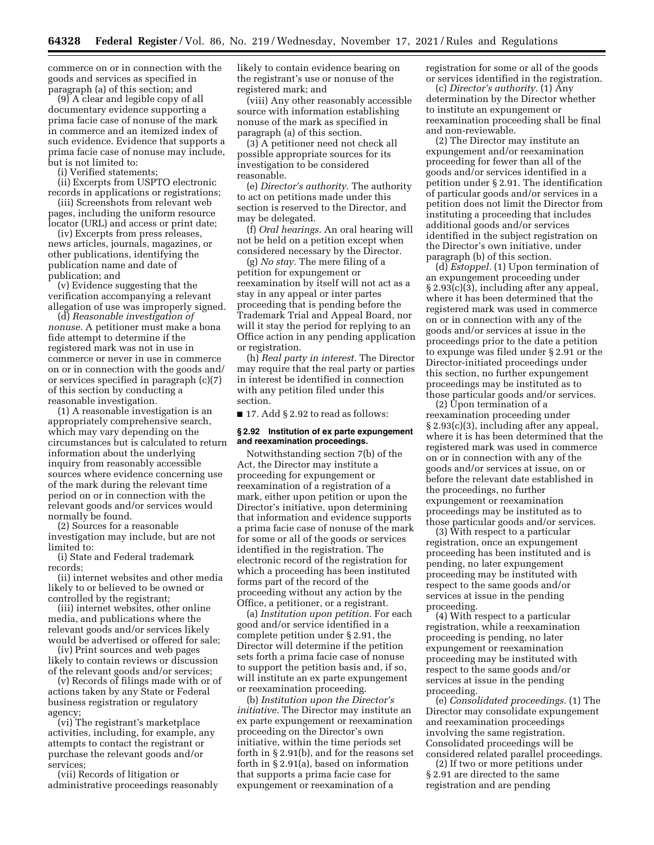commerce on or in connection with the goods and services as specified in paragraph (a) of this section; and

(9) A clear and legible copy of all documentary evidence supporting a prima facie case of nonuse of the mark in commerce and an itemized index of such evidence. Evidence that supports a prima facie case of nonuse may include, but is not limited to:

(i) Verified statements;

(ii) Excerpts from USPTO electronic records in applications or registrations;

(iii) Screenshots from relevant web pages, including the uniform resource locator (URL) and access or print date;

(iv) Excerpts from press releases, news articles, journals, magazines, or other publications, identifying the publication name and date of publication; and

(v) Evidence suggesting that the verification accompanying a relevant allegation of use was improperly signed.

(d) *Reasonable investigation of nonuse.* A petitioner must make a bona fide attempt to determine if the registered mark was not in use in commerce or never in use in commerce on or in connection with the goods and/ or services specified in paragraph (c)(7) of this section by conducting a reasonable investigation.

(1) A reasonable investigation is an appropriately comprehensive search, which may vary depending on the circumstances but is calculated to return information about the underlying inquiry from reasonably accessible sources where evidence concerning use of the mark during the relevant time period on or in connection with the relevant goods and/or services would normally be found.

(2) Sources for a reasonable investigation may include, but are not limited to:

(i) State and Federal trademark records;

(ii) internet websites and other media likely to or believed to be owned or controlled by the registrant;

(iii) internet websites, other online media, and publications where the relevant goods and/or services likely would be advertised or offered for sale;

(iv) Print sources and web pages likely to contain reviews or discussion of the relevant goods and/or services;

(v) Records of filings made with or of actions taken by any State or Federal business registration or regulatory agency;

(vi) The registrant's marketplace activities, including, for example, any attempts to contact the registrant or purchase the relevant goods and/or services;

(vii) Records of litigation or administrative proceedings reasonably likely to contain evidence bearing on the registrant's use or nonuse of the registered mark; and

(viii) Any other reasonably accessible source with information establishing nonuse of the mark as specified in paragraph (a) of this section.

(3) A petitioner need not check all possible appropriate sources for its investigation to be considered reasonable.

(e) *Director's authority.* The authority to act on petitions made under this section is reserved to the Director, and may be delegated.

(f) *Oral hearings.* An oral hearing will not be held on a petition except when considered necessary by the Director.

(g) *No stay.* The mere filing of a petition for expungement or reexamination by itself will not act as a stay in any appeal or inter partes proceeding that is pending before the Trademark Trial and Appeal Board, nor will it stay the period for replying to an Office action in any pending application or registration.

(h) *Real party in interest.* The Director may require that the real party or parties in interest be identified in connection with any petition filed under this section.

■ 17. Add § 2.92 to read as follows:

# **§ 2.92 Institution of ex parte expungement and reexamination proceedings.**

Notwithstanding section 7(b) of the Act, the Director may institute a proceeding for expungement or reexamination of a registration of a mark, either upon petition or upon the Director's initiative, upon determining that information and evidence supports a prima facie case of nonuse of the mark for some or all of the goods or services identified in the registration. The electronic record of the registration for which a proceeding has been instituted forms part of the record of the proceeding without any action by the Office, a petitioner, or a registrant.

(a) *Institution upon petition.* For each good and/or service identified in a complete petition under § 2.91, the Director will determine if the petition sets forth a prima facie case of nonuse to support the petition basis and, if so, will institute an ex parte expungement or reexamination proceeding.

(b) *Institution upon the Director's initiative.* The Director may institute an ex parte expungement or reexamination proceeding on the Director's own initiative, within the time periods set forth in § 2.91(b), and for the reasons set forth in § 2.91(a), based on information that supports a prima facie case for expungement or reexamination of a

registration for some or all of the goods or services identified in the registration.

(c) *Director's authority.* (1) Any determination by the Director whether to institute an expungement or reexamination proceeding shall be final and non-reviewable.

(2) The Director may institute an expungement and/or reexamination proceeding for fewer than all of the goods and/or services identified in a petition under § 2.91. The identification of particular goods and/or services in a petition does not limit the Director from instituting a proceeding that includes additional goods and/or services identified in the subject registration on the Director's own initiative, under paragraph (b) of this section.

(d) *Estoppel.* (1) Upon termination of an expungement proceeding under § 2.93(c)(3), including after any appeal, where it has been determined that the registered mark was used in commerce on or in connection with any of the goods and/or services at issue in the proceedings prior to the date a petition to expunge was filed under § 2.91 or the Director-initiated proceedings under this section, no further expungement proceedings may be instituted as to those particular goods and/or services.

(2) Upon termination of a reexamination proceeding under § 2.93(c)(3), including after any appeal, where it is has been determined that the registered mark was used in commerce on or in connection with any of the goods and/or services at issue, on or before the relevant date established in the proceedings, no further expungement or reexamination proceedings may be instituted as to those particular goods and/or services.

(3) With respect to a particular registration, once an expungement proceeding has been instituted and is pending, no later expungement proceeding may be instituted with respect to the same goods and/or services at issue in the pending proceeding.

(4) With respect to a particular registration, while a reexamination proceeding is pending, no later expungement or reexamination proceeding may be instituted with respect to the same goods and/or services at issue in the pending proceeding.

(e) *Consolidated proceedings.* (1) The Director may consolidate expungement and reexamination proceedings involving the same registration. Consolidated proceedings will be considered related parallel proceedings.

(2) If two or more petitions under § 2.91 are directed to the same registration and are pending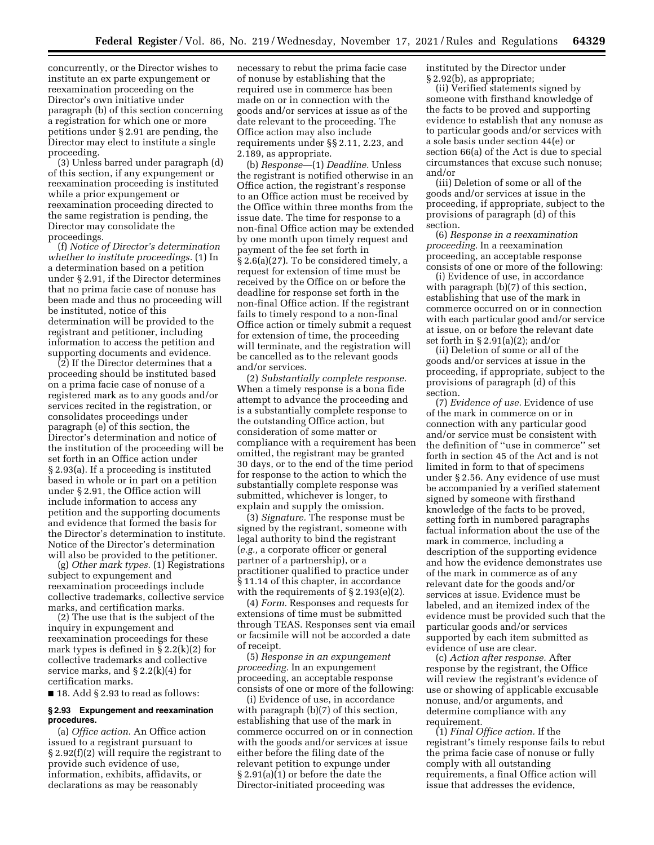concurrently, or the Director wishes to institute an ex parte expungement or reexamination proceeding on the Director's own initiative under paragraph (b) of this section concerning a registration for which one or more petitions under § 2.91 are pending, the Director may elect to institute a single proceeding.

(3) Unless barred under paragraph (d) of this section, if any expungement or reexamination proceeding is instituted while a prior expungement or reexamination proceeding directed to the same registration is pending, the Director may consolidate the proceedings.

(f) *Notice of Director's determination whether to institute proceedings.* (1) In a determination based on a petition under § 2.91, if the Director determines that no prima facie case of nonuse has been made and thus no proceeding will be instituted, notice of this determination will be provided to the registrant and petitioner, including information to access the petition and supporting documents and evidence.

(2) If the Director determines that a proceeding should be instituted based on a prima facie case of nonuse of a registered mark as to any goods and/or services recited in the registration, or consolidates proceedings under paragraph (e) of this section, the Director's determination and notice of the institution of the proceeding will be set forth in an Office action under § 2.93(a). If a proceeding is instituted based in whole or in part on a petition under § 2.91, the Office action will include information to access any petition and the supporting documents and evidence that formed the basis for the Director's determination to institute. Notice of the Director's determination will also be provided to the petitioner.

(g) *Other mark types.* (1) Registrations subject to expungement and reexamination proceedings include collective trademarks, collective service marks, and certification marks.

(2) The use that is the subject of the inquiry in expungement and reexamination proceedings for these mark types is defined in § 2.2(k)(2) for collective trademarks and collective service marks, and  $\S 2.2(k)(4)$  for certification marks.

 $\blacksquare$  18. Add § 2.93 to read as follows:

## **§ 2.93 Expungement and reexamination procedures.**

(a) *Office action.* An Office action issued to a registrant pursuant to § 2.92(f)(2) will require the registrant to provide such evidence of use, information, exhibits, affidavits, or declarations as may be reasonably

necessary to rebut the prima facie case of nonuse by establishing that the required use in commerce has been made on or in connection with the goods and/or services at issue as of the date relevant to the proceeding. The Office action may also include requirements under §§ 2.11, 2.23, and 2.189, as appropriate.

(b) *Response—*(1) *Deadline.* Unless the registrant is notified otherwise in an Office action, the registrant's response to an Office action must be received by the Office within three months from the issue date. The time for response to a non-final Office action may be extended by one month upon timely request and payment of the fee set forth in § 2.6(a)(27). To be considered timely, a request for extension of time must be received by the Office on or before the deadline for response set forth in the non-final Office action. If the registrant fails to timely respond to a non-final Office action or timely submit a request for extension of time, the proceeding will terminate, and the registration will be cancelled as to the relevant goods and/or services.

(2) *Substantially complete response.*  When a timely response is a bona fide attempt to advance the proceeding and is a substantially complete response to the outstanding Office action, but consideration of some matter or compliance with a requirement has been omitted, the registrant may be granted 30 days, or to the end of the time period for response to the action to which the substantially complete response was submitted, whichever is longer, to explain and supply the omission.

(3) *Signature.* The response must be signed by the registrant, someone with legal authority to bind the registrant (*e.g.,* a corporate officer or general partner of a partnership), or a practitioner qualified to practice under § 11.14 of this chapter, in accordance with the requirements of § 2.193(e)(2).

(4) *Form.* Responses and requests for extensions of time must be submitted through TEAS. Responses sent via email or facsimile will not be accorded a date of receipt.

(5) *Response in an expungement proceeding.* In an expungement proceeding, an acceptable response consists of one or more of the following:

(i) Evidence of use, in accordance with paragraph (b)(7) of this section, establishing that use of the mark in commerce occurred on or in connection with the goods and/or services at issue either before the filing date of the relevant petition to expunge under § 2.91(a)(1) or before the date the Director-initiated proceeding was

instituted by the Director under § 2.92(b), as appropriate;

(ii) Verified statements signed by someone with firsthand knowledge of the facts to be proved and supporting evidence to establish that any nonuse as to particular goods and/or services with a sole basis under section 44(e) or section 66(a) of the Act is due to special circumstances that excuse such nonuse; and/or

(iii) Deletion of some or all of the goods and/or services at issue in the proceeding, if appropriate, subject to the provisions of paragraph (d) of this section.

(6) *Response in a reexamination proceeding.* In a reexamination proceeding, an acceptable response consists of one or more of the following:

(i) Evidence of use, in accordance with paragraph (b)(7) of this section, establishing that use of the mark in commerce occurred on or in connection with each particular good and/or service at issue, on or before the relevant date set forth in § 2.91(a)(2); and/or

(ii) Deletion of some or all of the goods and/or services at issue in the proceeding, if appropriate, subject to the provisions of paragraph (d) of this section.

(7) *Evidence of use.* Evidence of use of the mark in commerce on or in connection with any particular good and/or service must be consistent with the definition of ''use in commerce'' set forth in section 45 of the Act and is not limited in form to that of specimens under § 2.56. Any evidence of use must be accompanied by a verified statement signed by someone with firsthand knowledge of the facts to be proved, setting forth in numbered paragraphs factual information about the use of the mark in commerce, including a description of the supporting evidence and how the evidence demonstrates use of the mark in commerce as of any relevant date for the goods and/or services at issue. Evidence must be labeled, and an itemized index of the evidence must be provided such that the particular goods and/or services supported by each item submitted as evidence of use are clear.

(c) *Action after response.* After response by the registrant, the Office will review the registrant's evidence of use or showing of applicable excusable nonuse, and/or arguments, and determine compliance with any requirement.

(1) *Final Office action.* If the registrant's timely response fails to rebut the prima facie case of nonuse or fully comply with all outstanding requirements, a final Office action will issue that addresses the evidence,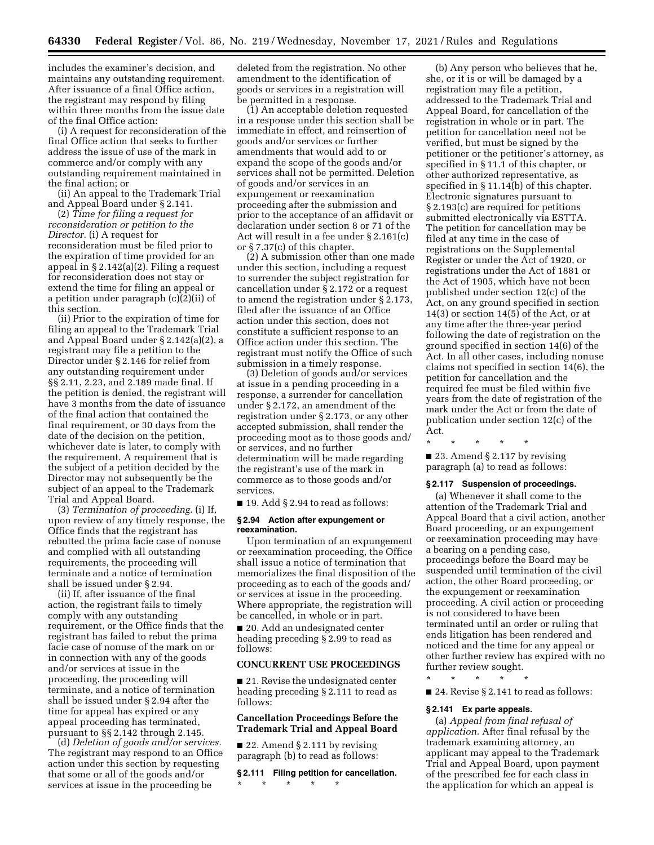includes the examiner's decision, and maintains any outstanding requirement. After issuance of a final Office action, the registrant may respond by filing within three months from the issue date of the final Office action:

(i) A request for reconsideration of the final Office action that seeks to further address the issue of use of the mark in commerce and/or comply with any outstanding requirement maintained in the final action; or

(ii) An appeal to the Trademark Trial and Appeal Board under § 2.141.

(2) *Time for filing a request for reconsideration or petition to the Director.* (i) A request for reconsideration must be filed prior to the expiration of time provided for an appeal in § 2.142(a)(2). Filing a request for reconsideration does not stay or extend the time for filing an appeal or a petition under paragraph (c)(2)(ii) of this section.

(ii) Prior to the expiration of time for filing an appeal to the Trademark Trial and Appeal Board under § 2.142(a)(2), a registrant may file a petition to the Director under § 2.146 for relief from any outstanding requirement under §§ 2.11, 2.23, and 2.189 made final. If the petition is denied, the registrant will have 3 months from the date of issuance of the final action that contained the final requirement, or 30 days from the date of the decision on the petition, whichever date is later, to comply with the requirement. A requirement that is the subject of a petition decided by the Director may not subsequently be the subject of an appeal to the Trademark Trial and Appeal Board.

(3) *Termination of proceeding.* (i) If, upon review of any timely response, the Office finds that the registrant has rebutted the prima facie case of nonuse and complied with all outstanding requirements, the proceeding will terminate and a notice of termination shall be issued under § 2.94.

(ii) If, after issuance of the final action, the registrant fails to timely comply with any outstanding requirement, or the Office finds that the registrant has failed to rebut the prima facie case of nonuse of the mark on or in connection with any of the goods and/or services at issue in the proceeding, the proceeding will terminate, and a notice of termination shall be issued under § 2.94 after the time for appeal has expired or any appeal proceeding has terminated, pursuant to §§ 2.142 through 2.145.

(d) *Deletion of goods and/or services.*  The registrant may respond to an Office action under this section by requesting that some or all of the goods and/or services at issue in the proceeding be

deleted from the registration. No other amendment to the identification of goods or services in a registration will be permitted in a response.

(1) An acceptable deletion requested in a response under this section shall be immediate in effect, and reinsertion of goods and/or services or further amendments that would add to or expand the scope of the goods and/or services shall not be permitted. Deletion of goods and/or services in an expungement or reexamination proceeding after the submission and prior to the acceptance of an affidavit or declaration under section 8 or 71 of the Act will result in a fee under § 2.161(c) or § 7.37(c) of this chapter.

(2) A submission other than one made under this section, including a request to surrender the subject registration for cancellation under § 2.172 or a request to amend the registration under § 2.173, filed after the issuance of an Office action under this section, does not constitute a sufficient response to an Office action under this section. The registrant must notify the Office of such submission in a timely response.

(3) Deletion of goods and/or services at issue in a pending proceeding in a response, a surrender for cancellation under § 2.172, an amendment of the registration under § 2.173, or any other accepted submission, shall render the proceeding moot as to those goods and/ or services, and no further determination will be made regarding the registrant's use of the mark in commerce as to those goods and/or services.

■ 19. Add § 2.94 to read as follows:

## **§ 2.94 Action after expungement or reexamination.**

Upon termination of an expungement or reexamination proceeding, the Office shall issue a notice of termination that memorializes the final disposition of the proceeding as to each of the goods and/ or services at issue in the proceeding. Where appropriate, the registration will be cancelled, in whole or in part.

■ 20. Add an undesignated center heading preceding § 2.99 to read as follows:

# **CONCURRENT USE PROCEEDINGS**

■ 21. Revise the undesignated center heading preceding § 2.111 to read as follows:

# **Cancellation Proceedings Before the Trademark Trial and Appeal Board**

■ 22. Amend § 2.111 by revising paragraph (b) to read as follows:

**§ 2.111 Filing petition for cancellation.**  \* \* \* \* \*

(b) Any person who believes that he, she, or it is or will be damaged by a registration may file a petition, addressed to the Trademark Trial and Appeal Board, for cancellation of the registration in whole or in part. The petition for cancellation need not be verified, but must be signed by the petitioner or the petitioner's attorney, as specified in § 11.1 of this chapter, or other authorized representative, as specified in § 11.14(b) of this chapter. Electronic signatures pursuant to § 2.193(c) are required for petitions submitted electronically via ESTTA. The petition for cancellation may be filed at any time in the case of registrations on the Supplemental Register or under the Act of 1920, or registrations under the Act of 1881 or the Act of 1905, which have not been published under section 12(c) of the Act, on any ground specified in section 14(3) or section 14(5) of the Act, or at any time after the three-year period following the date of registration on the ground specified in section 14(6) of the Act. In all other cases, including nonuse claims not specified in section 14(6), the petition for cancellation and the required fee must be filed within five years from the date of registration of the mark under the Act or from the date of publication under section 12(c) of the Act.

\* \* \* \* \* ■ 23. Amend § 2.117 by revising paragraph (a) to read as follows:

#### **§ 2.117 Suspension of proceedings.**

(a) Whenever it shall come to the attention of the Trademark Trial and Appeal Board that a civil action, another Board proceeding, or an expungement or reexamination proceeding may have a bearing on a pending case, proceedings before the Board may be suspended until termination of the civil action, the other Board proceeding, or the expungement or reexamination proceeding. A civil action or proceeding is not considered to have been terminated until an order or ruling that ends litigation has been rendered and noticed and the time for any appeal or other further review has expired with no further review sought.

\* \* \* \* \*

■ 24. Revise § 2.141 to read as follows:

## **§ 2.141 Ex parte appeals.**

(a) *Appeal from final refusal of application.* After final refusal by the trademark examining attorney, an applicant may appeal to the Trademark Trial and Appeal Board, upon payment of the prescribed fee for each class in the application for which an appeal is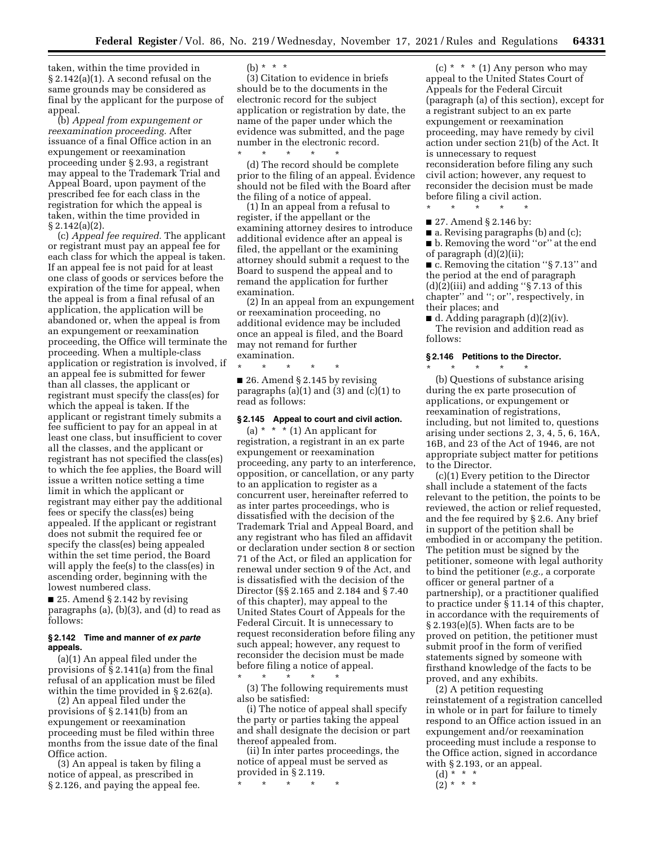taken, within the time provided in § 2.142(a)(1). A second refusal on the same grounds may be considered as final by the applicant for the purpose of appeal.

(b) *Appeal from expungement or reexamination proceeding.* After issuance of a final Office action in an expungement or reexamination proceeding under § 2.93, a registrant may appeal to the Trademark Trial and Appeal Board, upon payment of the prescribed fee for each class in the registration for which the appeal is taken, within the time provided in  $§ 2.142(a)(2).$ 

(c) *Appeal fee required.* The applicant or registrant must pay an appeal fee for each class for which the appeal is taken. If an appeal fee is not paid for at least one class of goods or services before the expiration of the time for appeal, when the appeal is from a final refusal of an application, the application will be abandoned or, when the appeal is from an expungement or reexamination proceeding, the Office will terminate the proceeding. When a multiple-class application or registration is involved, if an appeal fee is submitted for fewer than all classes, the applicant or registrant must specify the class(es) for which the appeal is taken. If the applicant or registrant timely submits a fee sufficient to pay for an appeal in at least one class, but insufficient to cover all the classes, and the applicant or registrant has not specified the class(es) to which the fee applies, the Board will issue a written notice setting a time limit in which the applicant or registrant may either pay the additional fees or specify the class(es) being appealed. If the applicant or registrant does not submit the required fee or specify the class(es) being appealed within the set time period, the Board will apply the fee(s) to the class(es) in ascending order, beginning with the lowest numbered class.

■ 25. Amend § 2.142 by revising paragraphs (a), (b)(3), and (d) to read as follows:

## **§ 2.142 Time and manner of** *ex parte*  **appeals.**

(a)(1) An appeal filed under the provisions of § 2.141(a) from the final refusal of an application must be filed within the time provided in § 2.62(a).

(2) An appeal filed under the provisions of § 2.141(b) from an expungement or reexamination proceeding must be filed within three months from the issue date of the final Office action.

(3) An appeal is taken by filing a notice of appeal, as prescribed in § 2.126, and paying the appeal fee.

(b) \* \* \*

(3) Citation to evidence in briefs should be to the documents in the electronic record for the subject application or registration by date, the name of the paper under which the evidence was submitted, and the page number in the electronic record.

\* \* \* \* \* (d) The record should be complete prior to the filing of an appeal. Evidence should not be filed with the Board after the filing of a notice of appeal.

(1) In an appeal from a refusal to register, if the appellant or the examining attorney desires to introduce additional evidence after an appeal is filed, the appellant or the examining attorney should submit a request to the Board to suspend the appeal and to remand the application for further examination.

(2) In an appeal from an expungement or reexamination proceeding, no additional evidence may be included once an appeal is filed, and the Board may not remand for further examination.

\* \* \* \* \*

■ 26. Amend § 2.145 by revising paragraphs  $(a)(1)$  and  $(3)$  and  $(c)(1)$  to read as follows:

#### **§ 2.145 Appeal to court and civil action.**

(a)  $* * * (1)$  An applicant for registration, a registrant in an ex parte expungement or reexamination proceeding, any party to an interference, opposition, or cancellation, or any party to an application to register as a concurrent user, hereinafter referred to as inter partes proceedings, who is dissatisfied with the decision of the Trademark Trial and Appeal Board, and any registrant who has filed an affidavit or declaration under section 8 or section 71 of the Act, or filed an application for renewal under section 9 of the Act, and is dissatisfied with the decision of the Director (§§ 2.165 and 2.184 and § 7.40 of this chapter), may appeal to the United States Court of Appeals for the Federal Circuit. It is unnecessary to request reconsideration before filing any such appeal; however, any request to reconsider the decision must be made before filing a notice of appeal.

\* \* \* \* \* (3) The following requirements must also be satisfied:

(i) The notice of appeal shall specify the party or parties taking the appeal and shall designate the decision or part thereof appealed from.

(ii) In inter partes proceedings, the notice of appeal must be served as provided in § 2.119.

\* \* \* \* \*

(c)  $*$   $*$   $*$  (1) Any person who may appeal to the United States Court of Appeals for the Federal Circuit (paragraph (a) of this section), except for a registrant subject to an ex parte expungement or reexamination proceeding, may have remedy by civil action under section 21(b) of the Act. It is unnecessary to request reconsideration before filing any such civil action; however, any request to reconsider the decision must be made before filing a civil action.

\* \* \* \* \*

■ 27. Amend § 2.146 by:

■ a. Revising paragraphs (b) and (c); ■ b. Removing the word "or" at the end of paragraph (d)(2)(ii);

■ c. Removing the citation "§ 7.13" and the period at the end of paragraph  $(d)(2)(iii)$  and adding "§ 7.13 of this chapter'' and ''; or'', respectively, in their places; and

 $\blacksquare$  d. Adding paragraph (d)(2)(iv). The revision and addition read as follows:

## **§ 2.146 Petitions to the Director.**

\* \* \* \* \*

(b) Questions of substance arising during the ex parte prosecution of applications, or expungement or reexamination of registrations, including, but not limited to, questions arising under sections 2, 3, 4, 5, 6, 16A, 16B, and 23 of the Act of 1946, are not appropriate subject matter for petitions to the Director.

(c)(1) Every petition to the Director shall include a statement of the facts relevant to the petition, the points to be reviewed, the action or relief requested, and the fee required by § 2.6. Any brief in support of the petition shall be embodied in or accompany the petition. The petition must be signed by the petitioner, someone with legal authority to bind the petitioner (*e.g.,* a corporate officer or general partner of a partnership), or a practitioner qualified to practice under § 11.14 of this chapter, in accordance with the requirements of § 2.193(e)(5). When facts are to be proved on petition, the petitioner must submit proof in the form of verified statements signed by someone with firsthand knowledge of the facts to be proved, and any exhibits.

(2) A petition requesting reinstatement of a registration cancelled in whole or in part for failure to timely respond to an Office action issued in an expungement and/or reexamination proceeding must include a response to the Office action, signed in accordance with § 2.193, or an appeal.

 $(d) * * * *$  $(2)^* * * *$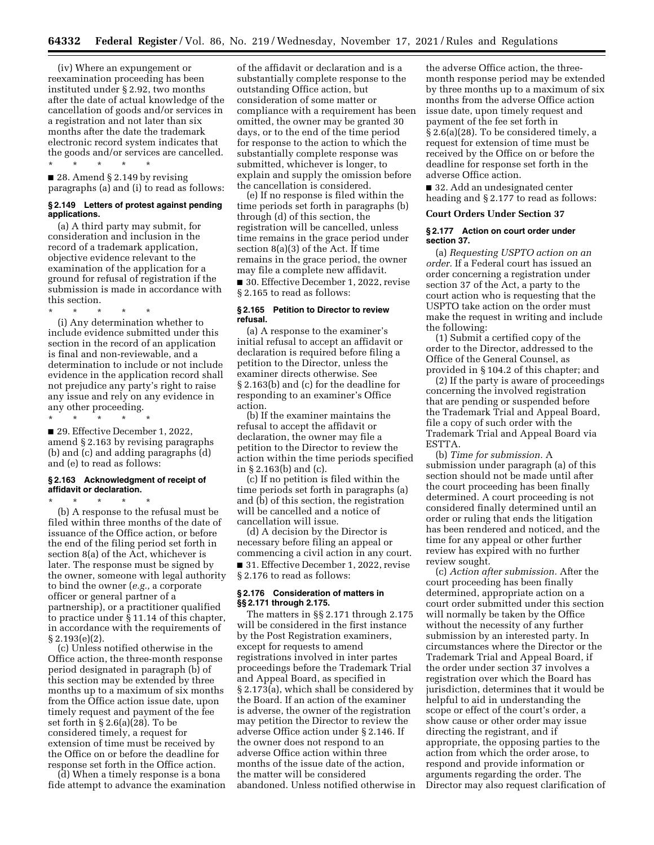(iv) Where an expungement or reexamination proceeding has been instituted under § 2.92, two months after the date of actual knowledge of the cancellation of goods and/or services in a registration and not later than six months after the date the trademark electronic record system indicates that the goods and/or services are cancelled.

\* \* \* \* \*

■ 28. Amend § 2.149 by revising paragraphs (a) and (i) to read as follows:

## **§ 2.149 Letters of protest against pending applications.**

(a) A third party may submit, for consideration and inclusion in the record of a trademark application, objective evidence relevant to the examination of the application for a ground for refusal of registration if the submission is made in accordance with this section.

\* \* \* \* \* (i) Any determination whether to include evidence submitted under this section in the record of an application is final and non-reviewable, and a determination to include or not include evidence in the application record shall not prejudice any party's right to raise any issue and rely on any evidence in any other proceeding.

\* \* \* \* \*

■ 29. Effective December 1, 2022. amend § 2.163 by revising paragraphs (b) and (c) and adding paragraphs (d) and (e) to read as follows:

## **§ 2.163 Acknowledgment of receipt of affidavit or declaration.**

 $\star$   $\qquad$   $\star$   $\qquad$   $\star$ 

(b) A response to the refusal must be filed within three months of the date of issuance of the Office action, or before the end of the filing period set forth in section 8(a) of the Act, whichever is later. The response must be signed by the owner, someone with legal authority to bind the owner (*e.g.,* a corporate officer or general partner of a partnership), or a practitioner qualified to practice under § 11.14 of this chapter, in accordance with the requirements of § 2.193(e)(2).

(c) Unless notified otherwise in the Office action, the three-month response period designated in paragraph (b) of this section may be extended by three months up to a maximum of six months from the Office action issue date, upon timely request and payment of the fee set forth in § 2.6(a)(28). To be considered timely, a request for extension of time must be received by the Office on or before the deadline for response set forth in the Office action.

(d) When a timely response is a bona fide attempt to advance the examination

of the affidavit or declaration and is a substantially complete response to the outstanding Office action, but consideration of some matter or compliance with a requirement has been omitted, the owner may be granted 30 days, or to the end of the time period for response to the action to which the substantially complete response was submitted, whichever is longer, to explain and supply the omission before the cancellation is considered.

(e) If no response is filed within the time periods set forth in paragraphs (b) through (d) of this section, the registration will be cancelled, unless time remains in the grace period under section 8(a)(3) of the Act. If time remains in the grace period, the owner may file a complete new affidavit. ■ 30. Effective December 1, 2022, revise § 2.165 to read as follows:

## **§ 2.165 Petition to Director to review refusal.**

(a) A response to the examiner's initial refusal to accept an affidavit or declaration is required before filing a petition to the Director, unless the examiner directs otherwise. See § 2.163(b) and (c) for the deadline for responding to an examiner's Office action.

(b) If the examiner maintains the refusal to accept the affidavit or declaration, the owner may file a petition to the Director to review the action within the time periods specified in § 2.163(b) and (c).

(c) If no petition is filed within the time periods set forth in paragraphs (a) and (b) of this section, the registration will be cancelled and a notice of cancellation will issue.

(d) A decision by the Director is necessary before filing an appeal or commencing a civil action in any court. ■ 31. Effective December 1, 2022, revise § 2.176 to read as follows:

# **§ 2.176 Consideration of matters in §§ 2.171 through 2.175.**

The matters in §§ 2.171 through 2.175 will be considered in the first instance by the Post Registration examiners, except for requests to amend registrations involved in inter partes proceedings before the Trademark Trial and Appeal Board, as specified in § 2.173(a), which shall be considered by the Board. If an action of the examiner is adverse, the owner of the registration may petition the Director to review the adverse Office action under § 2.146. If the owner does not respond to an adverse Office action within three months of the issue date of the action, the matter will be considered abandoned. Unless notified otherwise in

the adverse Office action, the threemonth response period may be extended by three months up to a maximum of six months from the adverse Office action issue date, upon timely request and payment of the fee set forth in § 2.6(a)(28). To be considered timely, a request for extension of time must be received by the Office on or before the deadline for response set forth in the adverse Office action.

■ 32. Add an undesignated center heading and § 2.177 to read as follows:

## **Court Orders Under Section 37**

## **§ 2.177 Action on court order under section 37.**

(a) *Requesting USPTO action on an order.* If a Federal court has issued an order concerning a registration under section 37 of the Act, a party to the court action who is requesting that the USPTO take action on the order must make the request in writing and include the following:

(1) Submit a certified copy of the order to the Director, addressed to the Office of the General Counsel, as provided in § 104.2 of this chapter; and

(2) If the party is aware of proceedings concerning the involved registration that are pending or suspended before the Trademark Trial and Appeal Board, file a copy of such order with the Trademark Trial and Appeal Board via ESTTA.

(b) *Time for submission.* A submission under paragraph (a) of this section should not be made until after the court proceeding has been finally determined. A court proceeding is not considered finally determined until an order or ruling that ends the litigation has been rendered and noticed, and the time for any appeal or other further review has expired with no further review sought.

(c) *Action after submission.* After the court proceeding has been finally determined, appropriate action on a court order submitted under this section will normally be taken by the Office without the necessity of any further submission by an interested party. In circumstances where the Director or the Trademark Trial and Appeal Board, if the order under section 37 involves a registration over which the Board has jurisdiction, determines that it would be helpful to aid in understanding the scope or effect of the court's order, a show cause or other order may issue directing the registrant, and if appropriate, the opposing parties to the action from which the order arose, to respond and provide information or arguments regarding the order. The Director may also request clarification of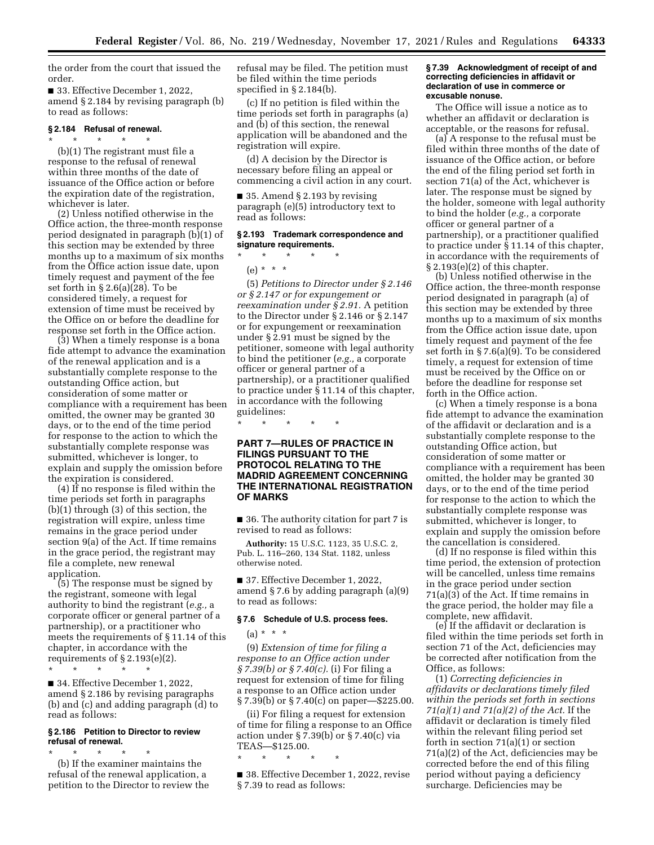the order from the court that issued the order.

■ 33. Effective December 1, 2022, amend § 2.184 by revising paragraph (b) to read as follows:

#### **§ 2.184 Refusal of renewal.**  \* \* \* \* \*

(b)(1) The registrant must file a response to the refusal of renewal within three months of the date of issuance of the Office action or before the expiration date of the registration, whichever is later.

(2) Unless notified otherwise in the Office action, the three-month response period designated in paragraph (b)(1) of this section may be extended by three months up to a maximum of six months from the Office action issue date, upon timely request and payment of the fee set forth in § 2.6(a)(28). To be considered timely, a request for extension of time must be received by the Office on or before the deadline for response set forth in the Office action.

(3) When a timely response is a bona fide attempt to advance the examination of the renewal application and is a substantially complete response to the outstanding Office action, but consideration of some matter or compliance with a requirement has been omitted, the owner may be granted 30 days, or to the end of the time period for response to the action to which the substantially complete response was submitted, whichever is longer, to explain and supply the omission before the expiration is considered.

(4) If no response is filed within the time periods set forth in paragraphs (b)(1) through (3) of this section, the registration will expire, unless time remains in the grace period under section 9(a) of the Act. If time remains in the grace period, the registrant may file a complete, new renewal application.

(5) The response must be signed by the registrant, someone with legal authority to bind the registrant (*e.g.,* a corporate officer or general partner of a partnership), or a practitioner who meets the requirements of § 11.14 of this chapter, in accordance with the requirements of  $\S 2.193(e)(2)$ .

\* \* \* \* \* ■ 34. Effective December 1, 2022, amend § 2.186 by revising paragraphs (b) and (c) and adding paragraph (d) to read as follows:

# **§ 2.186 Petition to Director to review refusal of renewal.**

\* \* \* \* \* (b) If the examiner maintains the refusal of the renewal application, a petition to the Director to review the refusal may be filed. The petition must be filed within the time periods specified in § 2.184(b).

(c) If no petition is filed within the time periods set forth in paragraphs (a) and (b) of this section, the renewal application will be abandoned and the registration will expire.

(d) A decision by the Director is necessary before filing an appeal or commencing a civil action in any court.

■ 35. Amend § 2.193 by revising paragraph (e)(5) introductory text to read as follows:

# **§ 2.193 Trademark correspondence and signature requirements.**

\* \* \* \* \*

(e) \* \* \*

(5) *Petitions to Director under § 2.146 or § 2.147 or for expungement or reexamination under § 2.91.* A petition to the Director under § 2.146 or § 2.147 or for expungement or reexamination under § 2.91 must be signed by the petitioner, someone with legal authority to bind the petitioner (*e.g.,* a corporate officer or general partner of a partnership), or a practitioner qualified to practice under § 11.14 of this chapter, in accordance with the following guidelines:

\* \* \* \* \*

# **PART 7—RULES OF PRACTICE IN FILINGS PURSUANT TO THE PROTOCOL RELATING TO THE MADRID AGREEMENT CONCERNING THE INTERNATIONAL REGISTRATION OF MARKS**

■ 36. The authority citation for part 7 is revised to read as follows:

**Authority:** 15 U.S.C. 1123, 35 U.S.C. 2, Pub. L. 116–260, 134 Stat. 1182, unless otherwise noted.

■ 37. Effective December 1, 2022, amend § 7.6 by adding paragraph (a)(9) to read as follows:

## **§ 7.6 Schedule of U.S. process fees.**

 $(a) * * * *$ 

(9) *Extension of time for filing a response to an Office action under § 7.39(b) or § 7.40(c).* (i) For filing a request for extension of time for filing a response to an Office action under § 7.39(b) or § 7.40(c) on paper—\$225.00.

(ii) For filing a request for extension of time for filing a response to an Office action under § 7.39(b) or § 7.40(c) via TEAS—\$125.00.

■ 38. Effective December 1, 2022, revise § 7.39 to read as follows:

\* \* \* \* \*

## **§ 7.39 Acknowledgment of receipt of and correcting deficiencies in affidavit or declaration of use in commerce or excusable nonuse.**

The Office will issue a notice as to whether an affidavit or declaration is acceptable, or the reasons for refusal.

(a) A response to the refusal must be filed within three months of the date of issuance of the Office action, or before the end of the filing period set forth in section 71(a) of the Act, whichever is later. The response must be signed by the holder, someone with legal authority to bind the holder (*e.g.,* a corporate officer or general partner of a partnership), or a practitioner qualified to practice under § 11.14 of this chapter, in accordance with the requirements of  $§ 2.193(e)(2)$  of this chapter.

(b) Unless notified otherwise in the Office action, the three-month response period designated in paragraph (a) of this section may be extended by three months up to a maximum of six months from the Office action issue date, upon timely request and payment of the fee set forth in § 7.6(a)(9). To be considered timely, a request for extension of time must be received by the Office on or before the deadline for response set forth in the Office action.

(c) When a timely response is a bona fide attempt to advance the examination of the affidavit or declaration and is a substantially complete response to the outstanding Office action, but consideration of some matter or compliance with a requirement has been omitted, the holder may be granted 30 days, or to the end of the time period for response to the action to which the substantially complete response was submitted, whichever is longer, to explain and supply the omission before the cancellation is considered.

(d) If no response is filed within this time period, the extension of protection will be cancelled, unless time remains in the grace period under section 71(a)(3) of the Act. If time remains in the grace period, the holder may file a complete, new affidavit.

(e) If the affidavit or declaration is filed within the time periods set forth in section 71 of the Act, deficiencies may be corrected after notification from the Office, as follows:

(1) *Correcting deficiencies in affidavits or declarations timely filed within the periods set forth in sections 71(a)(1) and 71(a)(2) of the Act.* If the affidavit or declaration is timely filed within the relevant filing period set forth in section 71(a)(1) or section 71(a)(2) of the Act, deficiencies may be corrected before the end of this filing period without paying a deficiency surcharge. Deficiencies may be